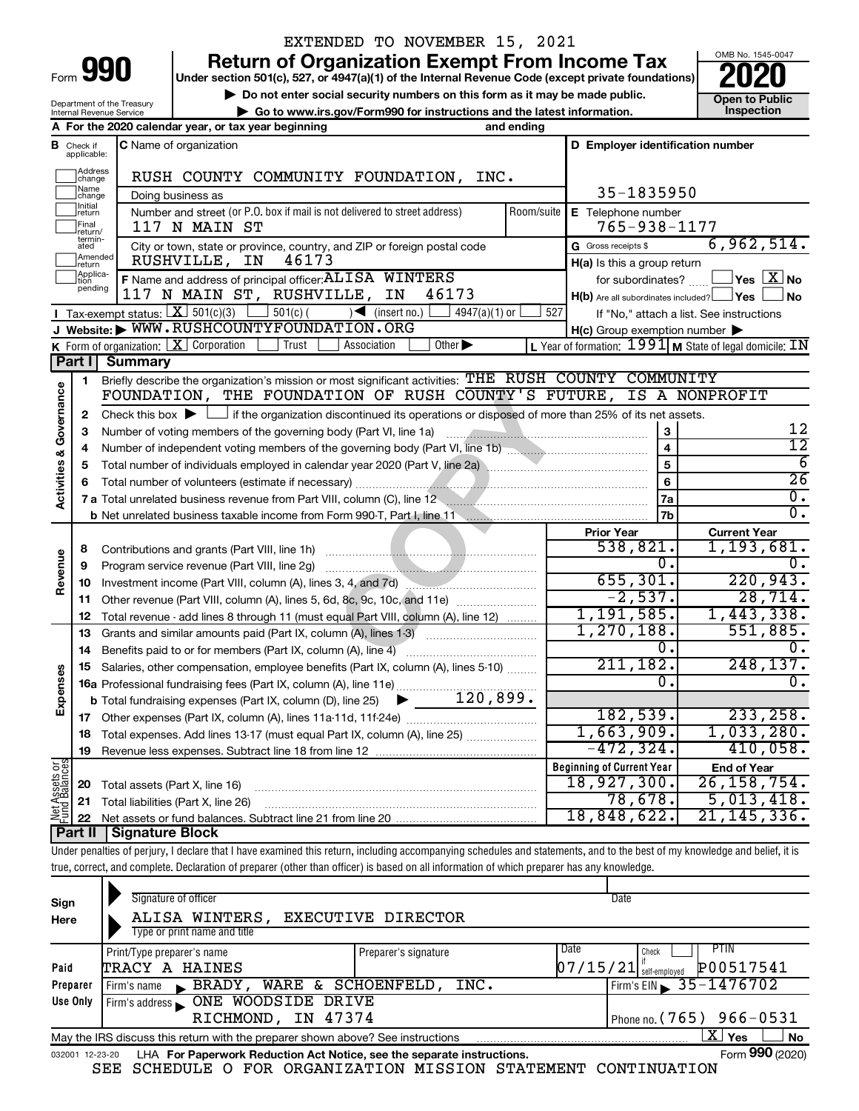| Form |  |
|------|--|

Department of the Treasury Internal Revenue Service

## EXTENDED TO NOVEMBER 15, 2021

**Under section 501(c), 527, or 4947(a)(1) of the Internal Revenue Code (except private foundations) Return of Organization Exempt From Income Tax**<br>r section 501(c), 527, or 4947(a)(1) of the Internal Revenue Code (except private foundations)<br>**2020** 

▶ Do not enter social security numbers on this form as it may be made public. <br>**● Go to www.irs.gov/Form990 for instructions and the latest information.** Inspection **| Go to www.irs.gov/Form990 for instructions and the latest information. Inspection**

OMB No. 1545-0047

|                                    |                               | A For the 2020 calendar year, or tax year beginning<br>and ending                                                                                            |            |                                                         |                                                                    |
|------------------------------------|-------------------------------|--------------------------------------------------------------------------------------------------------------------------------------------------------------|------------|---------------------------------------------------------|--------------------------------------------------------------------|
| В                                  | Check if<br>applicable:       | <b>C</b> Name of organization                                                                                                                                |            | D Employer identification number                        |                                                                    |
|                                    | Address<br>change             | RUSH COUNTY COMMUNITY FOUNDATION, INC.                                                                                                                       |            |                                                         |                                                                    |
|                                    | Name<br>change                | Doing business as                                                                                                                                            |            | 35-1835950                                              |                                                                    |
|                                    | Initial<br>return             | Number and street (or P.O. box if mail is not delivered to street address)                                                                                   | Room/suite | E Telephone number                                      |                                                                    |
|                                    | Final<br>return/<br>termin-   | 117 N MAIN ST                                                                                                                                                |            | 765-938-1177                                            |                                                                    |
|                                    | ated                          | City or town, state or province, country, and ZIP or foreign postal code                                                                                     |            | G Gross receipts \$                                     | 6,962,514.                                                         |
|                                    | Amended<br>return<br>Applica- | 46173<br>RUSHVILLE,<br>IN                                                                                                                                    |            | $H(a)$ is this a group return                           |                                                                    |
|                                    | pending                       | F Name and address of principal officer: ALISA WINTERS                                                                                                       |            | for subordinates?                                       | $\sqrt{\mathsf{Yes}\mathord{\;\mathbb{X}}\mathord{\;\mathsf{No}}}$ |
|                                    |                               | 117 N MAIN ST, RUSHVILLE, IN<br>46173                                                                                                                        |            | $H(b)$ Are all subordinates included? $\Box$ Yes $\Box$ | ⊿ No                                                               |
|                                    |                               | <b>I</b> Tax-exempt status: $X \ 501(c)(3)$<br>$501(c)$ (<br>$\sqrt{\frac{1}{1}}$ (insert no.)<br>$4947(a)(1)$ or<br>J Website: WWW.RUSHCOUNTYFOUNDATION.ORG | 527        |                                                         | If "No," attach a list. See instructions                           |
|                                    |                               | K Form of organization: $X$ Corporation<br>Trust<br>Other $\blacktriangleright$<br>Association                                                               |            | $H(c)$ Group exemption number $\blacktriangleright$     | L Year of formation: $1991$ M State of legal domicile: IN          |
|                                    | Part I                        | <b>Summary</b>                                                                                                                                               |            |                                                         |                                                                    |
|                                    | 1                             | Briefly describe the organization's mission or most significant activities: THE RUSH COUNTY COMMUNITY                                                        |            |                                                         |                                                                    |
| <b>Activities &amp; Governance</b> |                               | FOUNDATION, THE FOUNDATION OF RUSH COUNTY'S FUTURE, IS A NONPROFIT                                                                                           |            |                                                         |                                                                    |
|                                    | 2                             | Check this box $\blacktriangleright$ $\Box$ if the organization discontinued its operations or disposed of more than 25% of its net assets.                  |            |                                                         |                                                                    |
|                                    | з                             | Number of voting members of the governing body (Part VI, line 1a)                                                                                            |            | 3                                                       | 12                                                                 |
|                                    | 4                             |                                                                                                                                                              |            | $\overline{\mathbf{4}}$                                 | $\overline{12}$                                                    |
|                                    | 5                             | Total number of individuals employed in calendar year 2020 (Part V, line 2a) manufacture of individuals employed in calendar year 2020 (Part V, line 2a)     |            | $\overline{5}$                                          | 6                                                                  |
|                                    | 6                             |                                                                                                                                                              |            | 6                                                       | $\overline{26}$                                                    |
|                                    |                               | 7 a Total unrelated business revenue from Part VIII, column (C), line 12 <b>Column COVID 12</b>                                                              |            | 7a                                                      | $\overline{0}$ .                                                   |
|                                    |                               |                                                                                                                                                              |            | 7 <sub>b</sub>                                          | 0.                                                                 |
|                                    |                               |                                                                                                                                                              |            | <b>Prior Year</b>                                       | <b>Current Year</b>                                                |
|                                    | 8                             | Contributions and grants (Part VIII, line 1h)                                                                                                                |            | 538,821.                                                | 1,193,681.                                                         |
| Revenue                            | 9                             | Program service revenue (Part VIII, line 2g)                                                                                                                 |            | σ.                                                      | 0.                                                                 |
|                                    | 10                            |                                                                                                                                                              |            | 655, 301.                                               | 220,943.                                                           |
|                                    | 11                            | Other revenue (Part VIII, column (A), lines 5, 6d, 8c, 9c, 10c, and 11e)                                                                                     |            | $-2,537.$                                               | 28,714.                                                            |
|                                    | 12                            | Total revenue - add lines 8 through 11 (must equal Part VIII, column (A), line 12)                                                                           |            | 1,191,585.                                              | 1,443,338.                                                         |
|                                    | 13                            | Grants and similar amounts paid (Part IX, column (A), lines 1-3)                                                                                             |            | 1,270,188.                                              | 551,885.                                                           |
|                                    | 14                            | Benefits paid to or for members (Part IX, column (A), line 4)                                                                                                |            | 0.                                                      | 0.                                                                 |
| Expenses                           | 15                            | Salaries, other compensation, employee benefits (Part IX, column (A), lines 5-10)                                                                            |            | 211, 182.                                               | 248, 137.                                                          |
|                                    |                               | 16a Professional fundraising fees (Part IX, column (A), line 11e)<br>120,899.                                                                                |            | 0.                                                      | $\overline{0}$ .                                                   |
|                                    |                               | <b>b</b> Total fundraising expenses (Part IX, column (D), line 25) $\triangleright$                                                                          |            | 182,539.                                                | 233, 258.                                                          |
|                                    | 17                            |                                                                                                                                                              |            | 1,663,909.                                              | 1,033,280.                                                         |
|                                    | 18                            | Total expenses. Add lines 13-17 (must equal Part IX, column (A), line 25)                                                                                    |            | $-472, 324.$                                            | 410,058.                                                           |
| ខំន័                               | 19                            |                                                                                                                                                              |            | <b>Beginning of Current Year</b>                        |                                                                    |
|                                    |                               |                                                                                                                                                              |            | 18,927,300.                                             | <b>End of Year</b><br>26, 158, 754.                                |
| sset<br>Balai                      | 20<br>21                      | Total assets (Part X, line 16)                                                                                                                               |            | 78,678.                                                 | 5,013,418.                                                         |
|                                    | 22                            | Total liabilities (Part X, line 26)                                                                                                                          |            | 18,848,622.                                             | 21, 145, 336.                                                      |
|                                    | Part II                       | Signature Block                                                                                                                                              |            |                                                         |                                                                    |
|                                    |                               |                                                                                                                                                              |            |                                                         |                                                                    |

Under penalties of perjury, I declare that I have examined this return, including accompanying schedules and statements, and to the best of my knowledge and belief, it is true, correct, and complete. Declaration of preparer (other than officer) is based on all information of which preparer has any knowledge.

| Sign<br>Here    | Signature of officer<br>ALISA WINTERS,<br>Type or print name and title          | <b>EXECUTIVE DIRECTOR</b> | Date                             |                              |
|-----------------|---------------------------------------------------------------------------------|---------------------------|----------------------------------|------------------------------|
| Paid            | Print/Type preparer's name<br>TRACY A HAINES                                    | Preparer's signature      | Date<br>$07/15/21$ self-employed | PIIN<br>Check<br>P00517541   |
| Preparer        | BRADY, WARE & SCHOENFELD, INC.<br>Firm's name                                   |                           |                                  | Firm's EIN $\, 35 - 1476702$ |
| Use Only        | RICHMOND, IN 47374                                                              |                           |                                  | Phone no. $(765)$ 966-0531   |
|                 | May the IRS discuss this return with the preparer shown above? See instructions |                           |                                  | $X \mid$<br><b>No</b><br>Yes |
| 032001 12-23-20 | LHA For Paperwork Reduction Act Notice, see the separate instructions.          |                           |                                  | Form 990 (2020)              |

SEE SCHEDULE O FOR ORGANIZATION MISSION STATEMENT CONTINUATION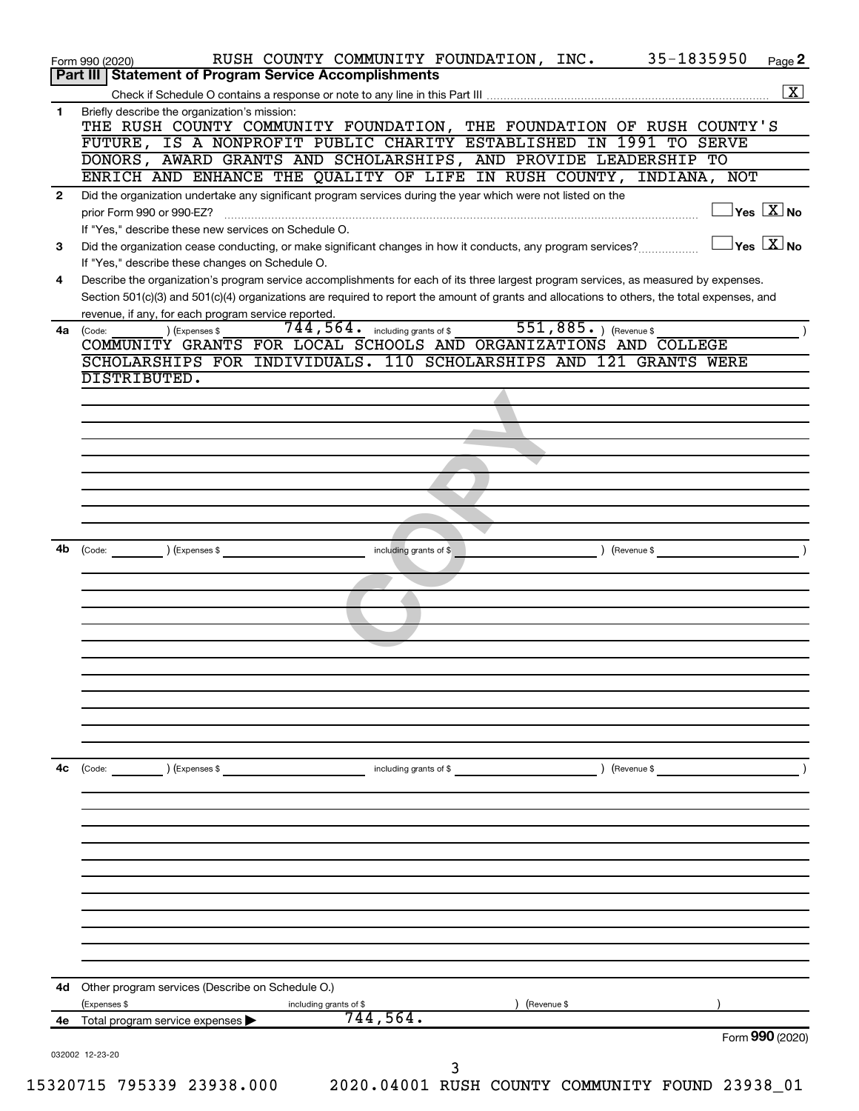|              | 35-1835950<br>RUSH COUNTY COMMUNITY FOUNDATION, INC.<br>Page 2                                                                                                                                                                                                                                                                                                                                                                                                                                                                                                                                                                                                                                                                                                                                                                                                                                                                                                                                                                                                                                                                                                                                                                                                                                                                                                                                                                                                                                                                                                                                                                        |
|--------------|---------------------------------------------------------------------------------------------------------------------------------------------------------------------------------------------------------------------------------------------------------------------------------------------------------------------------------------------------------------------------------------------------------------------------------------------------------------------------------------------------------------------------------------------------------------------------------------------------------------------------------------------------------------------------------------------------------------------------------------------------------------------------------------------------------------------------------------------------------------------------------------------------------------------------------------------------------------------------------------------------------------------------------------------------------------------------------------------------------------------------------------------------------------------------------------------------------------------------------------------------------------------------------------------------------------------------------------------------------------------------------------------------------------------------------------------------------------------------------------------------------------------------------------------------------------------------------------------------------------------------------------|
|              |                                                                                                                                                                                                                                                                                                                                                                                                                                                                                                                                                                                                                                                                                                                                                                                                                                                                                                                                                                                                                                                                                                                                                                                                                                                                                                                                                                                                                                                                                                                                                                                                                                       |
|              | $\boxed{\mathbf{X}}$                                                                                                                                                                                                                                                                                                                                                                                                                                                                                                                                                                                                                                                                                                                                                                                                                                                                                                                                                                                                                                                                                                                                                                                                                                                                                                                                                                                                                                                                                                                                                                                                                  |
| 1            | Briefly describe the organization's mission:                                                                                                                                                                                                                                                                                                                                                                                                                                                                                                                                                                                                                                                                                                                                                                                                                                                                                                                                                                                                                                                                                                                                                                                                                                                                                                                                                                                                                                                                                                                                                                                          |
|              |                                                                                                                                                                                                                                                                                                                                                                                                                                                                                                                                                                                                                                                                                                                                                                                                                                                                                                                                                                                                                                                                                                                                                                                                                                                                                                                                                                                                                                                                                                                                                                                                                                       |
|              |                                                                                                                                                                                                                                                                                                                                                                                                                                                                                                                                                                                                                                                                                                                                                                                                                                                                                                                                                                                                                                                                                                                                                                                                                                                                                                                                                                                                                                                                                                                                                                                                                                       |
|              |                                                                                                                                                                                                                                                                                                                                                                                                                                                                                                                                                                                                                                                                                                                                                                                                                                                                                                                                                                                                                                                                                                                                                                                                                                                                                                                                                                                                                                                                                                                                                                                                                                       |
|              |                                                                                                                                                                                                                                                                                                                                                                                                                                                                                                                                                                                                                                                                                                                                                                                                                                                                                                                                                                                                                                                                                                                                                                                                                                                                                                                                                                                                                                                                                                                                                                                                                                       |
| $\mathbf{2}$ | $\sqrt{\mathsf{Yes}\ \mathbf{X}}$ No                                                                                                                                                                                                                                                                                                                                                                                                                                                                                                                                                                                                                                                                                                                                                                                                                                                                                                                                                                                                                                                                                                                                                                                                                                                                                                                                                                                                                                                                                                                                                                                                  |
|              |                                                                                                                                                                                                                                                                                                                                                                                                                                                                                                                                                                                                                                                                                                                                                                                                                                                                                                                                                                                                                                                                                                                                                                                                                                                                                                                                                                                                                                                                                                                                                                                                                                       |
|              | $\exists$ Yes $\boxed{\text{X}}$ No                                                                                                                                                                                                                                                                                                                                                                                                                                                                                                                                                                                                                                                                                                                                                                                                                                                                                                                                                                                                                                                                                                                                                                                                                                                                                                                                                                                                                                                                                                                                                                                                   |
| 3            |                                                                                                                                                                                                                                                                                                                                                                                                                                                                                                                                                                                                                                                                                                                                                                                                                                                                                                                                                                                                                                                                                                                                                                                                                                                                                                                                                                                                                                                                                                                                                                                                                                       |
| 4            |                                                                                                                                                                                                                                                                                                                                                                                                                                                                                                                                                                                                                                                                                                                                                                                                                                                                                                                                                                                                                                                                                                                                                                                                                                                                                                                                                                                                                                                                                                                                                                                                                                       |
|              |                                                                                                                                                                                                                                                                                                                                                                                                                                                                                                                                                                                                                                                                                                                                                                                                                                                                                                                                                                                                                                                                                                                                                                                                                                                                                                                                                                                                                                                                                                                                                                                                                                       |
|              |                                                                                                                                                                                                                                                                                                                                                                                                                                                                                                                                                                                                                                                                                                                                                                                                                                                                                                                                                                                                                                                                                                                                                                                                                                                                                                                                                                                                                                                                                                                                                                                                                                       |
| 4a           |                                                                                                                                                                                                                                                                                                                                                                                                                                                                                                                                                                                                                                                                                                                                                                                                                                                                                                                                                                                                                                                                                                                                                                                                                                                                                                                                                                                                                                                                                                                                                                                                                                       |
|              | COMMUNITY GRANTS FOR LOCAL SCHOOLS AND ORGANIZATIONS AND COLLEGE                                                                                                                                                                                                                                                                                                                                                                                                                                                                                                                                                                                                                                                                                                                                                                                                                                                                                                                                                                                                                                                                                                                                                                                                                                                                                                                                                                                                                                                                                                                                                                      |
|              | SCHOLARSHIPS FOR INDIVIDUALS. 110 SCHOLARSHIPS AND 121 GRANTS WERE                                                                                                                                                                                                                                                                                                                                                                                                                                                                                                                                                                                                                                                                                                                                                                                                                                                                                                                                                                                                                                                                                                                                                                                                                                                                                                                                                                                                                                                                                                                                                                    |
|              | DISTRIBUTED.                                                                                                                                                                                                                                                                                                                                                                                                                                                                                                                                                                                                                                                                                                                                                                                                                                                                                                                                                                                                                                                                                                                                                                                                                                                                                                                                                                                                                                                                                                                                                                                                                          |
|              | Form 990 (2020)<br>Part III   Statement of Program Service Accomplishments<br>THE RUSH COUNTY COMMUNITY FOUNDATION, THE FOUNDATION OF RUSH COUNTY'S<br>FUTURE, IS A NONPROFIT PUBLIC CHARITY ESTABLISHED IN 1991 TO SERVE<br>DONORS, AWARD GRANTS AND SCHOLARSHIPS, AND PROVIDE LEADERSHIP TO<br>ENRICH AND ENHANCE THE QUALITY OF LIFE IN RUSH COUNTY, INDIANA, NOT<br>Did the organization undertake any significant program services during the year which were not listed on the<br>prior Form 990 or 990-EZ?<br>If "Yes," describe these new services on Schedule O.<br>Did the organization cease conducting, or make significant changes in how it conducts, any program services?<br>If "Yes," describe these changes on Schedule O.<br>Describe the organization's program service accomplishments for each of its three largest program services, as measured by expenses.<br>Section 501(c)(3) and 501(c)(4) organizations are required to report the amount of grants and allocations to others, the total expenses, and<br>revenue, if any, for each program service reported.<br>744, 564. including grants of \$551, 885. ) (Revenue \$<br>) (Expenses \$<br>(Code:<br>(Code: ) (Expenses \$<br>including grants of \$<br>$($ Revenue \$<br>$\left(\text{Code:}\right)$ $\left(\text{Expenses $}\right)$<br>including grants of \$<br>) (Revenue \$<br>Other program services (Describe on Schedule O.)<br>(Expenses \$<br>(Revenue \$<br>including grants of \$<br>744,564.<br>Total program service expenses<br>032002 12-23-20<br>3<br>15320715 795339 23938.000<br>2020.04001 RUSH COUNTY COMMUNITY FOUND 23938_01 |
|              |                                                                                                                                                                                                                                                                                                                                                                                                                                                                                                                                                                                                                                                                                                                                                                                                                                                                                                                                                                                                                                                                                                                                                                                                                                                                                                                                                                                                                                                                                                                                                                                                                                       |
|              |                                                                                                                                                                                                                                                                                                                                                                                                                                                                                                                                                                                                                                                                                                                                                                                                                                                                                                                                                                                                                                                                                                                                                                                                                                                                                                                                                                                                                                                                                                                                                                                                                                       |
|              |                                                                                                                                                                                                                                                                                                                                                                                                                                                                                                                                                                                                                                                                                                                                                                                                                                                                                                                                                                                                                                                                                                                                                                                                                                                                                                                                                                                                                                                                                                                                                                                                                                       |
|              |                                                                                                                                                                                                                                                                                                                                                                                                                                                                                                                                                                                                                                                                                                                                                                                                                                                                                                                                                                                                                                                                                                                                                                                                                                                                                                                                                                                                                                                                                                                                                                                                                                       |
|              |                                                                                                                                                                                                                                                                                                                                                                                                                                                                                                                                                                                                                                                                                                                                                                                                                                                                                                                                                                                                                                                                                                                                                                                                                                                                                                                                                                                                                                                                                                                                                                                                                                       |
|              |                                                                                                                                                                                                                                                                                                                                                                                                                                                                                                                                                                                                                                                                                                                                                                                                                                                                                                                                                                                                                                                                                                                                                                                                                                                                                                                                                                                                                                                                                                                                                                                                                                       |
|              |                                                                                                                                                                                                                                                                                                                                                                                                                                                                                                                                                                                                                                                                                                                                                                                                                                                                                                                                                                                                                                                                                                                                                                                                                                                                                                                                                                                                                                                                                                                                                                                                                                       |
|              |                                                                                                                                                                                                                                                                                                                                                                                                                                                                                                                                                                                                                                                                                                                                                                                                                                                                                                                                                                                                                                                                                                                                                                                                                                                                                                                                                                                                                                                                                                                                                                                                                                       |
| 4b           |                                                                                                                                                                                                                                                                                                                                                                                                                                                                                                                                                                                                                                                                                                                                                                                                                                                                                                                                                                                                                                                                                                                                                                                                                                                                                                                                                                                                                                                                                                                                                                                                                                       |
|              |                                                                                                                                                                                                                                                                                                                                                                                                                                                                                                                                                                                                                                                                                                                                                                                                                                                                                                                                                                                                                                                                                                                                                                                                                                                                                                                                                                                                                                                                                                                                                                                                                                       |
|              |                                                                                                                                                                                                                                                                                                                                                                                                                                                                                                                                                                                                                                                                                                                                                                                                                                                                                                                                                                                                                                                                                                                                                                                                                                                                                                                                                                                                                                                                                                                                                                                                                                       |
|              |                                                                                                                                                                                                                                                                                                                                                                                                                                                                                                                                                                                                                                                                                                                                                                                                                                                                                                                                                                                                                                                                                                                                                                                                                                                                                                                                                                                                                                                                                                                                                                                                                                       |
|              |                                                                                                                                                                                                                                                                                                                                                                                                                                                                                                                                                                                                                                                                                                                                                                                                                                                                                                                                                                                                                                                                                                                                                                                                                                                                                                                                                                                                                                                                                                                                                                                                                                       |
|              |                                                                                                                                                                                                                                                                                                                                                                                                                                                                                                                                                                                                                                                                                                                                                                                                                                                                                                                                                                                                                                                                                                                                                                                                                                                                                                                                                                                                                                                                                                                                                                                                                                       |
|              |                                                                                                                                                                                                                                                                                                                                                                                                                                                                                                                                                                                                                                                                                                                                                                                                                                                                                                                                                                                                                                                                                                                                                                                                                                                                                                                                                                                                                                                                                                                                                                                                                                       |
|              |                                                                                                                                                                                                                                                                                                                                                                                                                                                                                                                                                                                                                                                                                                                                                                                                                                                                                                                                                                                                                                                                                                                                                                                                                                                                                                                                                                                                                                                                                                                                                                                                                                       |
|              |                                                                                                                                                                                                                                                                                                                                                                                                                                                                                                                                                                                                                                                                                                                                                                                                                                                                                                                                                                                                                                                                                                                                                                                                                                                                                                                                                                                                                                                                                                                                                                                                                                       |
|              |                                                                                                                                                                                                                                                                                                                                                                                                                                                                                                                                                                                                                                                                                                                                                                                                                                                                                                                                                                                                                                                                                                                                                                                                                                                                                                                                                                                                                                                                                                                                                                                                                                       |
|              |                                                                                                                                                                                                                                                                                                                                                                                                                                                                                                                                                                                                                                                                                                                                                                                                                                                                                                                                                                                                                                                                                                                                                                                                                                                                                                                                                                                                                                                                                                                                                                                                                                       |
|              |                                                                                                                                                                                                                                                                                                                                                                                                                                                                                                                                                                                                                                                                                                                                                                                                                                                                                                                                                                                                                                                                                                                                                                                                                                                                                                                                                                                                                                                                                                                                                                                                                                       |
| 4c           |                                                                                                                                                                                                                                                                                                                                                                                                                                                                                                                                                                                                                                                                                                                                                                                                                                                                                                                                                                                                                                                                                                                                                                                                                                                                                                                                                                                                                                                                                                                                                                                                                                       |
|              |                                                                                                                                                                                                                                                                                                                                                                                                                                                                                                                                                                                                                                                                                                                                                                                                                                                                                                                                                                                                                                                                                                                                                                                                                                                                                                                                                                                                                                                                                                                                                                                                                                       |
|              |                                                                                                                                                                                                                                                                                                                                                                                                                                                                                                                                                                                                                                                                                                                                                                                                                                                                                                                                                                                                                                                                                                                                                                                                                                                                                                                                                                                                                                                                                                                                                                                                                                       |
|              |                                                                                                                                                                                                                                                                                                                                                                                                                                                                                                                                                                                                                                                                                                                                                                                                                                                                                                                                                                                                                                                                                                                                                                                                                                                                                                                                                                                                                                                                                                                                                                                                                                       |
|              |                                                                                                                                                                                                                                                                                                                                                                                                                                                                                                                                                                                                                                                                                                                                                                                                                                                                                                                                                                                                                                                                                                                                                                                                                                                                                                                                                                                                                                                                                                                                                                                                                                       |
|              |                                                                                                                                                                                                                                                                                                                                                                                                                                                                                                                                                                                                                                                                                                                                                                                                                                                                                                                                                                                                                                                                                                                                                                                                                                                                                                                                                                                                                                                                                                                                                                                                                                       |
|              |                                                                                                                                                                                                                                                                                                                                                                                                                                                                                                                                                                                                                                                                                                                                                                                                                                                                                                                                                                                                                                                                                                                                                                                                                                                                                                                                                                                                                                                                                                                                                                                                                                       |
|              |                                                                                                                                                                                                                                                                                                                                                                                                                                                                                                                                                                                                                                                                                                                                                                                                                                                                                                                                                                                                                                                                                                                                                                                                                                                                                                                                                                                                                                                                                                                                                                                                                                       |
|              |                                                                                                                                                                                                                                                                                                                                                                                                                                                                                                                                                                                                                                                                                                                                                                                                                                                                                                                                                                                                                                                                                                                                                                                                                                                                                                                                                                                                                                                                                                                                                                                                                                       |
|              |                                                                                                                                                                                                                                                                                                                                                                                                                                                                                                                                                                                                                                                                                                                                                                                                                                                                                                                                                                                                                                                                                                                                                                                                                                                                                                                                                                                                                                                                                                                                                                                                                                       |
|              |                                                                                                                                                                                                                                                                                                                                                                                                                                                                                                                                                                                                                                                                                                                                                                                                                                                                                                                                                                                                                                                                                                                                                                                                                                                                                                                                                                                                                                                                                                                                                                                                                                       |
|              |                                                                                                                                                                                                                                                                                                                                                                                                                                                                                                                                                                                                                                                                                                                                                                                                                                                                                                                                                                                                                                                                                                                                                                                                                                                                                                                                                                                                                                                                                                                                                                                                                                       |
| 4d           |                                                                                                                                                                                                                                                                                                                                                                                                                                                                                                                                                                                                                                                                                                                                                                                                                                                                                                                                                                                                                                                                                                                                                                                                                                                                                                                                                                                                                                                                                                                                                                                                                                       |
|              |                                                                                                                                                                                                                                                                                                                                                                                                                                                                                                                                                                                                                                                                                                                                                                                                                                                                                                                                                                                                                                                                                                                                                                                                                                                                                                                                                                                                                                                                                                                                                                                                                                       |
|              |                                                                                                                                                                                                                                                                                                                                                                                                                                                                                                                                                                                                                                                                                                                                                                                                                                                                                                                                                                                                                                                                                                                                                                                                                                                                                                                                                                                                                                                                                                                                                                                                                                       |
| 4е           |                                                                                                                                                                                                                                                                                                                                                                                                                                                                                                                                                                                                                                                                                                                                                                                                                                                                                                                                                                                                                                                                                                                                                                                                                                                                                                                                                                                                                                                                                                                                                                                                                                       |
|              | Form 990 (2020)                                                                                                                                                                                                                                                                                                                                                                                                                                                                                                                                                                                                                                                                                                                                                                                                                                                                                                                                                                                                                                                                                                                                                                                                                                                                                                                                                                                                                                                                                                                                                                                                                       |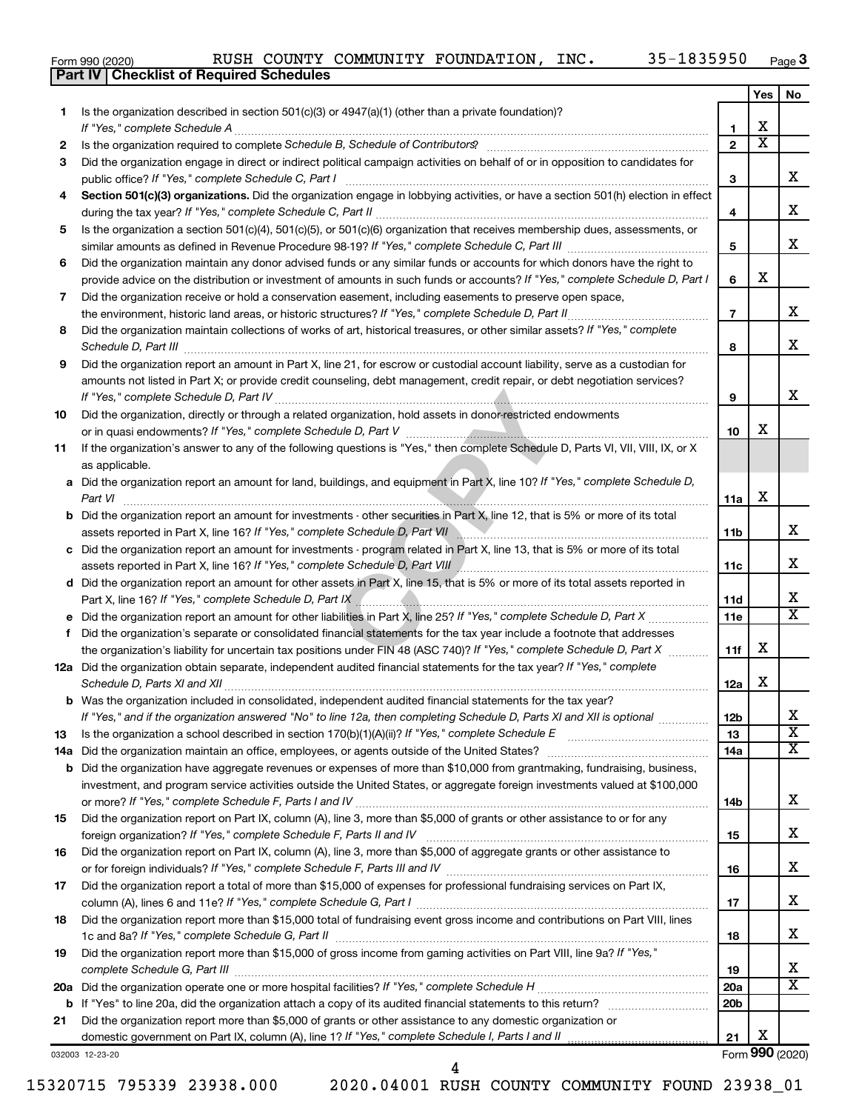|  | Form 990 (2020) |
|--|-----------------|
|  |                 |

**Part IV Checklist of Required Schedules**

|    |                                                                                                                                                                                                                                     |                 | Yes | No                      |
|----|-------------------------------------------------------------------------------------------------------------------------------------------------------------------------------------------------------------------------------------|-----------------|-----|-------------------------|
| 1. | Is the organization described in section $501(c)(3)$ or $4947(a)(1)$ (other than a private foundation)?                                                                                                                             |                 |     |                         |
|    | If "Yes," complete Schedule A                                                                                                                                                                                                       | 1               | х   |                         |
| 2  | Is the organization required to complete Schedule B, Schedule of Contributors? [11] the organization required to complete Schedule B, Schedule of Contributors?                                                                     | $\mathbf{2}$    | х   |                         |
| 3  | Did the organization engage in direct or indirect political campaign activities on behalf of or in opposition to candidates for                                                                                                     |                 |     |                         |
|    | public office? If "Yes," complete Schedule C, Part I                                                                                                                                                                                | з               |     | х                       |
| 4  | Section 501(c)(3) organizations. Did the organization engage in lobbying activities, or have a section 501(h) election in effect                                                                                                    |                 |     |                         |
|    |                                                                                                                                                                                                                                     | 4               |     | х                       |
| 5  | Is the organization a section 501(c)(4), 501(c)(5), or 501(c)(6) organization that receives membership dues, assessments, or                                                                                                        | 5               |     | х                       |
|    | Did the organization maintain any donor advised funds or any similar funds or accounts for which donors have the right to                                                                                                           |                 |     |                         |
| 6  | provide advice on the distribution or investment of amounts in such funds or accounts? If "Yes," complete Schedule D, Part I                                                                                                        | 6               | х   |                         |
| 7  | Did the organization receive or hold a conservation easement, including easements to preserve open space,                                                                                                                           |                 |     |                         |
|    |                                                                                                                                                                                                                                     | $\overline{7}$  |     | х                       |
| 8  | .<br>Did the organization maintain collections of works of art, historical treasures, or other similar assets? If "Yes," complete                                                                                                   |                 |     |                         |
|    | Schedule D, Part III <b>Marting Communities</b> Contains and Technical Contains and Technical Contains and Technical Contains and Technical Contains and Technical Contains and Technical Contains and Technical Contains and Techn | 8               |     | х                       |
| 9  | Did the organization report an amount in Part X, line 21, for escrow or custodial account liability, serve as a custodian for                                                                                                       |                 |     |                         |
|    | amounts not listed in Part X; or provide credit counseling, debt management, credit repair, or debt negotiation services?                                                                                                           |                 |     |                         |
|    |                                                                                                                                                                                                                                     | 9               |     | х                       |
| 10 | Did the organization, directly or through a related organization, hold assets in donor-restricted endowments                                                                                                                        |                 |     |                         |
|    |                                                                                                                                                                                                                                     | 10              | x   |                         |
| 11 | If the organization's answer to any of the following questions is "Yes," then complete Schedule D, Parts VI, VII, VIII, IX, or X                                                                                                    |                 |     |                         |
|    | as applicable.                                                                                                                                                                                                                      |                 |     |                         |
|    | a Did the organization report an amount for land, buildings, and equipment in Part X, line 10? If "Yes," complete Schedule D,                                                                                                       |                 |     |                         |
|    | Part VI                                                                                                                                                                                                                             | 11a             | х   |                         |
|    | <b>b</b> Did the organization report an amount for investments - other securities in Part X, line 12, that is 5% or more of its total                                                                                               |                 |     |                         |
|    | assets reported in Part X, line 16? If "Yes," complete Schedule D, Part VII \\\essiming material material material material material material material material material material material material material material material      | 11b             |     | х                       |
|    | c Did the organization report an amount for investments - program related in Part X, line 13, that is 5% or more of its total                                                                                                       |                 |     |                         |
|    |                                                                                                                                                                                                                                     | 11c             |     | х                       |
|    | d Did the organization report an amount for other assets in Part X, line 15, that is 5% or more of its total assets reported in                                                                                                     |                 |     | x                       |
|    | e Did the organization report an amount for other liabilities in Part X, line 25? If "Yes," complete Schedule D, Part X                                                                                                             | 11d<br>11e      |     | X                       |
| f  | Did the organization's separate or consolidated financial statements for the tax year include a footnote that addresses                                                                                                             |                 |     |                         |
|    | the organization's liability for uncertain tax positions under FIN 48 (ASC 740)? If "Yes," complete Schedule D, Part X                                                                                                              | 11f             | х   |                         |
|    | 12a Did the organization obtain separate, independent audited financial statements for the tax year? If "Yes," complete                                                                                                             |                 |     |                         |
|    | Schedule D, Parts XI and XII                                                                                                                                                                                                        | 12a             | x   |                         |
|    | <b>b</b> Was the organization included in consolidated, independent audited financial statements for the tax year?                                                                                                                  |                 |     |                         |
|    | If "Yes," and if the organization answered "No" to line 12a, then completing Schedule D, Parts XI and XII is optional                                                                                                               | 12b             |     | 77                      |
| 13 | Is the organization a school described in section $170(b)(1)(A)(ii)?$ If "Yes," complete Schedule E                                                                                                                                 | 13              |     | $\overline{\mathbf{X}}$ |
|    | 14a Did the organization maintain an office, employees, or agents outside of the United States?                                                                                                                                     | 14a             |     | х                       |
|    | <b>b</b> Did the organization have aggregate revenues or expenses of more than \$10,000 from grantmaking, fundraising, business,                                                                                                    |                 |     |                         |
|    | investment, and program service activities outside the United States, or aggregate foreign investments valued at \$100,000                                                                                                          |                 |     |                         |
|    |                                                                                                                                                                                                                                     | 14b             |     | х                       |
| 15 | Did the organization report on Part IX, column (A), line 3, more than \$5,000 of grants or other assistance to or for any                                                                                                           |                 |     |                         |
|    |                                                                                                                                                                                                                                     | 15              |     | х                       |
| 16 | Did the organization report on Part IX, column (A), line 3, more than \$5,000 of aggregate grants or other assistance to                                                                                                            |                 |     |                         |
|    | Did the organization report a total of more than \$15,000 of expenses for professional fundraising services on Part IX,                                                                                                             | 16              |     | х                       |
| 17 |                                                                                                                                                                                                                                     | 17              |     | х                       |
| 18 | Did the organization report more than \$15,000 total of fundraising event gross income and contributions on Part VIII, lines                                                                                                        |                 |     |                         |
|    |                                                                                                                                                                                                                                     | 18              |     | х                       |
| 19 | Did the organization report more than \$15,000 of gross income from gaming activities on Part VIII, line 9a? If "Yes,"                                                                                                              |                 |     |                         |
|    |                                                                                                                                                                                                                                     | 19              |     | x                       |
|    |                                                                                                                                                                                                                                     | 20a             |     | х                       |
|    |                                                                                                                                                                                                                                     | 20 <sub>b</sub> |     |                         |
| 21 | Did the organization report more than \$5,000 of grants or other assistance to any domestic organization or                                                                                                                         |                 |     |                         |
|    | domestic government on Part IX, column (A), line 1? If "Yes," complete Schedule I, Parts I and II                                                                                                                                   | 21              | х   |                         |
|    |                                                                                                                                                                                                                                     |                 |     |                         |

032003 12-23-20

Form (2020) **990**

15320715 795339 23938.000 2020.04001 RUSH COUNTY COMMUNITY FOUND 23938\_01

4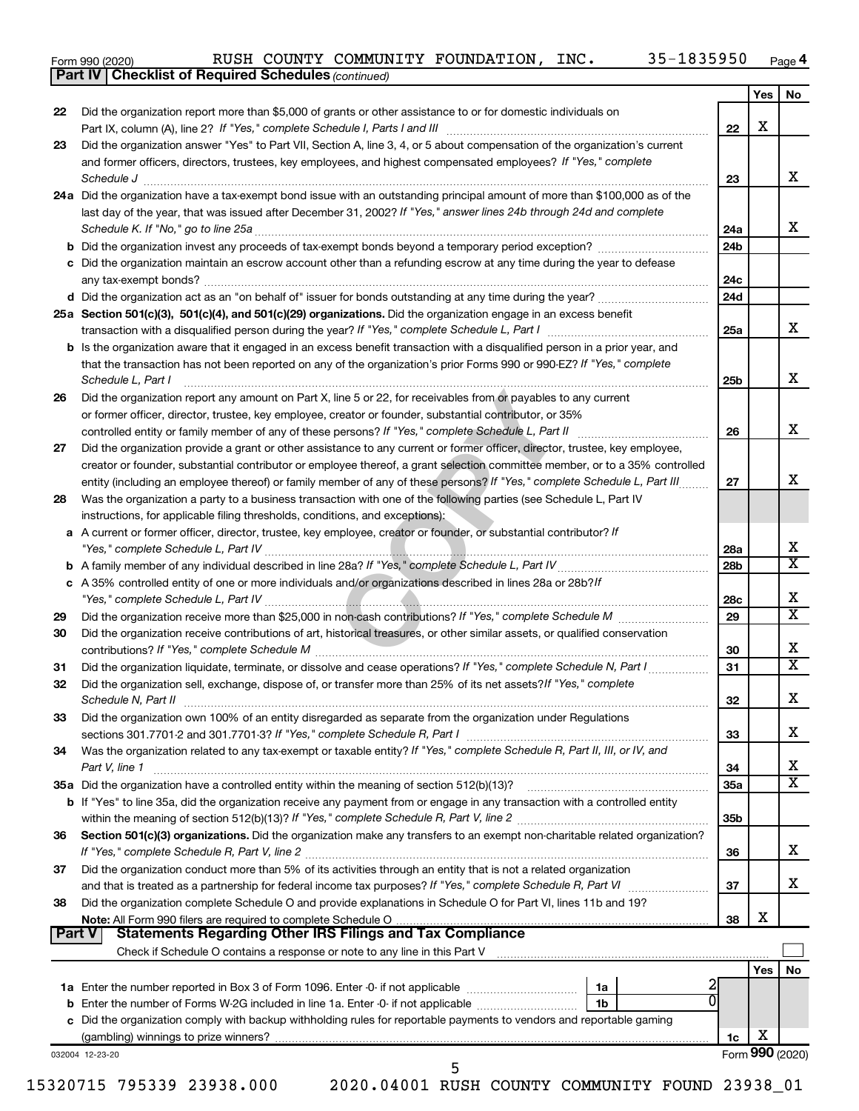|  | Form 990 (2020) |
|--|-----------------|
|  |                 |

*(continued)* **Part IV Checklist of Required Schedules**

|               |                                                                                                                                                                                                                                                                                                                                                                                                                                                                                                                                                                                          |                 | Yes | No                         |
|---------------|------------------------------------------------------------------------------------------------------------------------------------------------------------------------------------------------------------------------------------------------------------------------------------------------------------------------------------------------------------------------------------------------------------------------------------------------------------------------------------------------------------------------------------------------------------------------------------------|-----------------|-----|----------------------------|
| 22            | Did the organization report more than \$5,000 of grants or other assistance to or for domestic individuals on                                                                                                                                                                                                                                                                                                                                                                                                                                                                            |                 |     |                            |
|               |                                                                                                                                                                                                                                                                                                                                                                                                                                                                                                                                                                                          | 22              | X   |                            |
| 23            | Did the organization answer "Yes" to Part VII, Section A, line 3, 4, or 5 about compensation of the organization's current                                                                                                                                                                                                                                                                                                                                                                                                                                                               |                 |     |                            |
|               | and former officers, directors, trustees, key employees, and highest compensated employees? If "Yes," complete                                                                                                                                                                                                                                                                                                                                                                                                                                                                           |                 |     | х                          |
|               | $\textit{Schedule J} \textit{ \textbf{}} \textit{ \textbf{}} \textit{ \textbf{}} \textit{ \textbf{}} \textit{ \textbf{}} \textit{ \textbf{}} \textit{ \textbf{}} \textit{ \textbf{}} \textit{ \textbf{}} \textit{ \textbf{}} \textit{ \textbf{}} \textit{ \textbf{}} \textit{ \textbf{}} \textit{ \textbf{}} \textit{ \textbf{}} \textit{ \textbf{}} \textit{ \textbf{}} \textit{ \textbf{}} \textit{ \textbf{}} \textit{ \textbf{}} \textit{ \textbf{}}$<br>24a Did the organization have a tax-exempt bond issue with an outstanding principal amount of more than \$100,000 as of the | 23              |     |                            |
|               |                                                                                                                                                                                                                                                                                                                                                                                                                                                                                                                                                                                          |                 |     |                            |
|               | last day of the year, that was issued after December 31, 2002? If "Yes," answer lines 24b through 24d and complete<br>Schedule K. If "No," go to line 25a                                                                                                                                                                                                                                                                                                                                                                                                                                | 24a             |     | x                          |
|               |                                                                                                                                                                                                                                                                                                                                                                                                                                                                                                                                                                                          | 24 <sub>b</sub> |     |                            |
|               | c Did the organization maintain an escrow account other than a refunding escrow at any time during the year to defease                                                                                                                                                                                                                                                                                                                                                                                                                                                                   |                 |     |                            |
|               |                                                                                                                                                                                                                                                                                                                                                                                                                                                                                                                                                                                          | 24c             |     |                            |
|               |                                                                                                                                                                                                                                                                                                                                                                                                                                                                                                                                                                                          | 24d             |     |                            |
|               | 25a Section 501(c)(3), 501(c)(4), and 501(c)(29) organizations. Did the organization engage in an excess benefit                                                                                                                                                                                                                                                                                                                                                                                                                                                                         |                 |     |                            |
|               |                                                                                                                                                                                                                                                                                                                                                                                                                                                                                                                                                                                          | 25a             |     | x                          |
|               | <b>b</b> Is the organization aware that it engaged in an excess benefit transaction with a disqualified person in a prior year, and                                                                                                                                                                                                                                                                                                                                                                                                                                                      |                 |     |                            |
|               | that the transaction has not been reported on any of the organization's prior Forms 990 or 990-EZ? If "Yes," complete                                                                                                                                                                                                                                                                                                                                                                                                                                                                    |                 |     |                            |
|               | Schedule L, Part I                                                                                                                                                                                                                                                                                                                                                                                                                                                                                                                                                                       | 25b             |     | х                          |
| 26            | Did the organization report any amount on Part X, line 5 or 22, for receivables from or payables to any current                                                                                                                                                                                                                                                                                                                                                                                                                                                                          |                 |     |                            |
|               | or former officer, director, trustee, key employee, creator or founder, substantial contributor, or 35%                                                                                                                                                                                                                                                                                                                                                                                                                                                                                  |                 |     |                            |
|               | controlled entity or family member of any of these persons? If "Yes," complete Schedule L, Part II                                                                                                                                                                                                                                                                                                                                                                                                                                                                                       | 26              |     | x                          |
| 27            | Did the organization provide a grant or other assistance to any current or former officer, director, trustee, key employee,                                                                                                                                                                                                                                                                                                                                                                                                                                                              |                 |     |                            |
|               | creator or founder, substantial contributor or employee thereof, a grant selection committee member, or to a 35% controlled                                                                                                                                                                                                                                                                                                                                                                                                                                                              |                 |     |                            |
|               | entity (including an employee thereof) or family member of any of these persons? If "Yes," complete Schedule L, Part III                                                                                                                                                                                                                                                                                                                                                                                                                                                                 | 27              |     | х                          |
| 28            | Was the organization a party to a business transaction with one of the following parties (see Schedule L, Part IV                                                                                                                                                                                                                                                                                                                                                                                                                                                                        |                 |     |                            |
|               | instructions, for applicable filing thresholds, conditions, and exceptions):<br>a A current or former officer, director, trustee, key employee, creator or founder, or substantial contributor? If                                                                                                                                                                                                                                                                                                                                                                                       |                 |     |                            |
|               |                                                                                                                                                                                                                                                                                                                                                                                                                                                                                                                                                                                          | 28a             |     | X                          |
|               |                                                                                                                                                                                                                                                                                                                                                                                                                                                                                                                                                                                          | 28 <sub>b</sub> |     | X                          |
|               | c A 35% controlled entity of one or more individuals and/or organizations described in lines 28a or 28b?If                                                                                                                                                                                                                                                                                                                                                                                                                                                                               |                 |     |                            |
|               |                                                                                                                                                                                                                                                                                                                                                                                                                                                                                                                                                                                          | 28c             |     | х                          |
| 29            |                                                                                                                                                                                                                                                                                                                                                                                                                                                                                                                                                                                          | 29              |     | $\overline{\text{x}}$      |
| 30            | Did the organization receive contributions of art, historical treasures, or other similar assets, or qualified conservation                                                                                                                                                                                                                                                                                                                                                                                                                                                              |                 |     |                            |
|               |                                                                                                                                                                                                                                                                                                                                                                                                                                                                                                                                                                                          | 30              |     | х                          |
| 31            | Did the organization liquidate, terminate, or dissolve and cease operations? If "Yes," complete Schedule N, Part I                                                                                                                                                                                                                                                                                                                                                                                                                                                                       | 31              |     | $\overline{\texttt{x}}$    |
| 32            | Did the organization sell, exchange, dispose of, or transfer more than 25% of its net assets? If "Yes," complete                                                                                                                                                                                                                                                                                                                                                                                                                                                                         |                 |     |                            |
|               | Schedule N, Part II                                                                                                                                                                                                                                                                                                                                                                                                                                                                                                                                                                      | 32              |     | х                          |
| 33            | Did the organization own 100% of an entity disregarded as separate from the organization under Regulations                                                                                                                                                                                                                                                                                                                                                                                                                                                                               |                 |     |                            |
|               |                                                                                                                                                                                                                                                                                                                                                                                                                                                                                                                                                                                          | 33              |     | х                          |
| 34            | Was the organization related to any tax-exempt or taxable entity? If "Yes," complete Schedule R, Part II, III, or IV, and                                                                                                                                                                                                                                                                                                                                                                                                                                                                |                 |     |                            |
|               | Part V, line 1                                                                                                                                                                                                                                                                                                                                                                                                                                                                                                                                                                           | 34              |     | х<br>$\overline{\text{X}}$ |
|               |                                                                                                                                                                                                                                                                                                                                                                                                                                                                                                                                                                                          | 35a             |     |                            |
|               | b If "Yes" to line 35a, did the organization receive any payment from or engage in any transaction with a controlled entity                                                                                                                                                                                                                                                                                                                                                                                                                                                              | 35 <sub>b</sub> |     |                            |
| 36            | Section 501(c)(3) organizations. Did the organization make any transfers to an exempt non-charitable related organization?                                                                                                                                                                                                                                                                                                                                                                                                                                                               |                 |     |                            |
|               |                                                                                                                                                                                                                                                                                                                                                                                                                                                                                                                                                                                          | 36              |     | х                          |
| 37            | Did the organization conduct more than 5% of its activities through an entity that is not a related organization                                                                                                                                                                                                                                                                                                                                                                                                                                                                         |                 |     |                            |
|               | and that is treated as a partnership for federal income tax purposes? If "Yes," complete Schedule R, Part VI                                                                                                                                                                                                                                                                                                                                                                                                                                                                             | 37              |     | x                          |
| 38            | Did the organization complete Schedule O and provide explanations in Schedule O for Part VI, lines 11b and 19?                                                                                                                                                                                                                                                                                                                                                                                                                                                                           |                 |     |                            |
|               |                                                                                                                                                                                                                                                                                                                                                                                                                                                                                                                                                                                          | 38              | х   |                            |
| <b>Part V</b> | Statements Regarding Other IRS Filings and Tax Compliance                                                                                                                                                                                                                                                                                                                                                                                                                                                                                                                                |                 |     |                            |
|               |                                                                                                                                                                                                                                                                                                                                                                                                                                                                                                                                                                                          |                 |     |                            |
|               |                                                                                                                                                                                                                                                                                                                                                                                                                                                                                                                                                                                          |                 | Yes | No                         |
|               | 1a                                                                                                                                                                                                                                                                                                                                                                                                                                                                                                                                                                                       |                 |     |                            |
|               | 1b<br>c Did the organization comply with backup withholding rules for reportable payments to vendors and reportable gaming                                                                                                                                                                                                                                                                                                                                                                                                                                                               |                 |     |                            |
|               |                                                                                                                                                                                                                                                                                                                                                                                                                                                                                                                                                                                          | 1c              | х   |                            |
|               | 032004 12-23-20                                                                                                                                                                                                                                                                                                                                                                                                                                                                                                                                                                          |                 |     | Form 990 (2020)            |
|               | 5                                                                                                                                                                                                                                                                                                                                                                                                                                                                                                                                                                                        |                 |     |                            |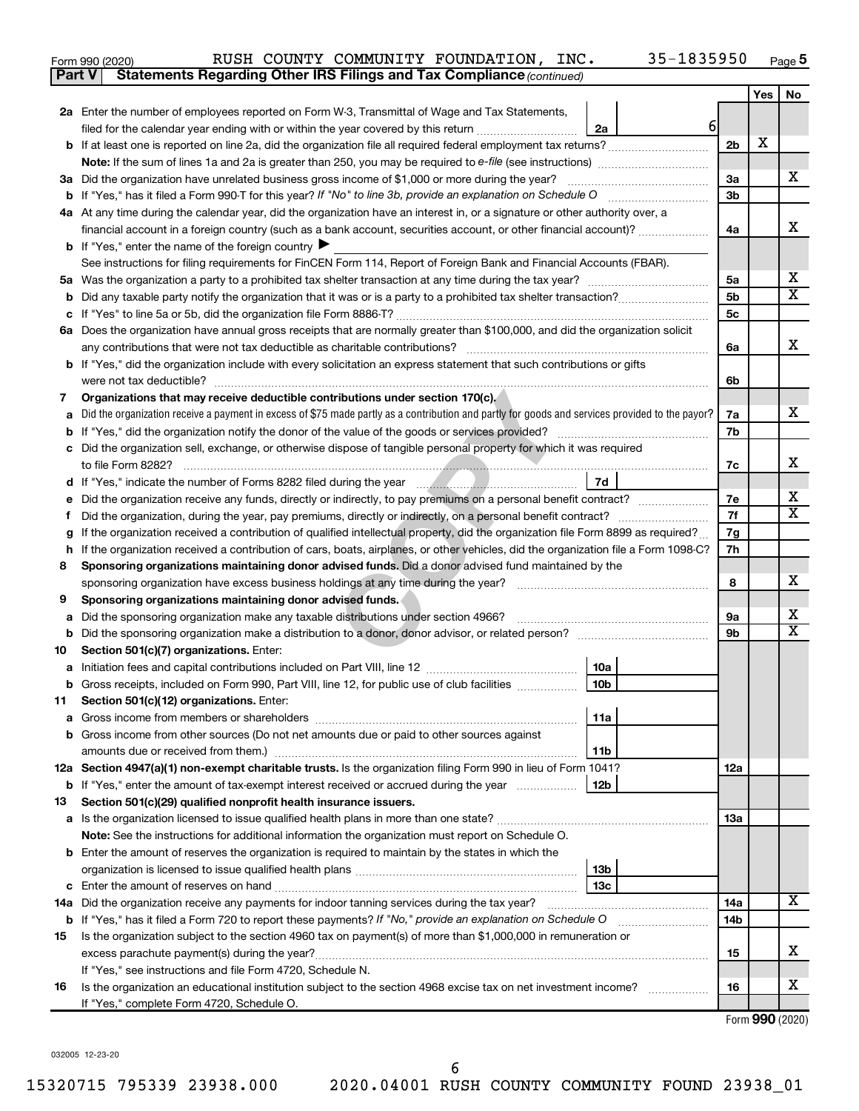| Form 990 (2020) |  |  | RUSH COUNTY COMMUNITY FOUNDATION, INC.                                              | 35-1835950 | Page |
|-----------------|--|--|-------------------------------------------------------------------------------------|------------|------|
|                 |  |  | <b>Part V</b> Statements Regarding Other IRS Filings and Tax Compliance (continued) |            |      |

|         |                                                                                                                                                 |                      | Yes | No                      |
|---------|-------------------------------------------------------------------------------------------------------------------------------------------------|----------------------|-----|-------------------------|
|         | 2a Enter the number of employees reported on Form W-3, Transmittal of Wage and Tax Statements,                                                  |                      |     |                         |
|         | 6<br>filed for the calendar year ending with or within the year covered by this return <i>manumumumum</i><br>2a                                 |                      |     |                         |
|         |                                                                                                                                                 | 2 <sub>b</sub>       | X   |                         |
|         |                                                                                                                                                 |                      |     |                         |
|         | 3a Did the organization have unrelated business gross income of \$1,000 or more during the year?                                                | 3a                   |     | x                       |
|         |                                                                                                                                                 | 3 <sub>b</sub>       |     |                         |
|         | 4a At any time during the calendar year, did the organization have an interest in, or a signature or other authority over, a                    |                      |     |                         |
|         | financial account in a foreign country (such as a bank account, securities account, or other financial account)?                                | 4a                   |     | x                       |
|         | <b>b</b> If "Yes," enter the name of the foreign country $\blacktriangleright$                                                                  |                      |     |                         |
|         | See instructions for filing requirements for FinCEN Form 114, Report of Foreign Bank and Financial Accounts (FBAR).                             |                      |     | х                       |
| 5а<br>b |                                                                                                                                                 | 5a<br>5 <sub>b</sub> |     | X.                      |
|         |                                                                                                                                                 | 5c                   |     |                         |
|         | 6a Does the organization have annual gross receipts that are normally greater than \$100,000, and did the organization solicit                  |                      |     |                         |
|         | any contributions that were not tax deductible as charitable contributions?                                                                     | 6a                   |     | х                       |
|         | b If "Yes," did the organization include with every solicitation an express statement that such contributions or gifts                          |                      |     |                         |
|         | were not tax deductible?                                                                                                                        | 6b                   |     |                         |
| 7       | Organizations that may receive deductible contributions under section 170(c).                                                                   |                      |     |                         |
|         | Did the organization receive a payment in excess of \$75 made partly as a contribution and partly for goods and services provided to the payor? | 7a                   |     | x.                      |
|         |                                                                                                                                                 | 7b                   |     |                         |
|         | Did the organization sell, exchange, or otherwise dispose of tangible personal property for which it was required                               |                      |     |                         |
|         |                                                                                                                                                 | 7c                   |     | х                       |
|         | 7d                                                                                                                                              |                      |     |                         |
|         | Did the organization receive any funds, directly or indirectly, to pay premiums on a personal benefit contract?                                 | 7е                   |     | x                       |
| Ť.      | Did the organization, during the year, pay premiums, directly or indirectly, on a personal benefit contract?                                    | 7f                   |     | x                       |
|         | If the organization received a contribution of qualified intellectual property, did the organization file Form 8899 as required?                | 7g                   |     |                         |
| h       | If the organization received a contribution of cars, boats, airplanes, or other vehicles, did the organization file a Form 1098-C?              | 7h                   |     |                         |
| 8       | Sponsoring organizations maintaining donor advised funds. Did a donor advised fund maintained by the                                            |                      |     | x                       |
|         |                                                                                                                                                 | 8                    |     |                         |
| 9       | Sponsoring organizations maintaining donor advised funds.<br>Did the sponsoring organization make any taxable distributions under section 4966? | <b>9a</b>            |     | x                       |
| а<br>b  |                                                                                                                                                 | 9b                   |     | $\overline{\mathbf{X}}$ |
| 10      | Section 501(c)(7) organizations. Enter:                                                                                                         |                      |     |                         |
| а       | 10a                                                                                                                                             |                      |     |                         |
| b       | 10 <sub>b</sub><br>Gross receipts, included on Form 990, Part VIII, line 12, for public use of club facilities                                  |                      |     |                         |
| 11      | Section 501(c)(12) organizations. Enter:                                                                                                        |                      |     |                         |
|         | 11a                                                                                                                                             |                      |     |                         |
|         | <b>b</b> Gross income from other sources (Do not net amounts due or paid to other sources against                                               |                      |     |                         |
|         | 11 <sub>b</sub><br>amounts due or received from them.)                                                                                          |                      |     |                         |
|         | 12a Section 4947(a)(1) non-exempt charitable trusts. Is the organization filing Form 990 in lieu of Form 1041?                                  | 12a                  |     |                         |
|         | <b>b</b> If "Yes," enter the amount of tax-exempt interest received or accrued during the year<br>  12b                                         |                      |     |                         |
| 13      | Section 501(c)(29) qualified nonprofit health insurance issuers.                                                                                |                      |     |                         |
|         |                                                                                                                                                 | 13a                  |     |                         |
|         | Note: See the instructions for additional information the organization must report on Schedule O.                                               |                      |     |                         |
|         | <b>b</b> Enter the amount of reserves the organization is required to maintain by the states in which the                                       |                      |     |                         |
|         | 13b<br>13c                                                                                                                                      |                      |     |                         |
|         | 14a Did the organization receive any payments for indoor tanning services during the tax year?                                                  | 14a                  |     | X                       |
|         | <b>b</b> If "Yes," has it filed a Form 720 to report these payments? If "No," provide an explanation on Schedule O                              | 14 <sub>b</sub>      |     |                         |
| 15      | Is the organization subject to the section 4960 tax on payment(s) of more than \$1,000,000 in remuneration or                                   |                      |     |                         |
|         |                                                                                                                                                 | 15                   |     | х                       |
|         | If "Yes," see instructions and file Form 4720, Schedule N.                                                                                      |                      |     |                         |
| 16      | Is the organization an educational institution subject to the section 4968 excise tax on net investment income?                                 | 16                   |     | x                       |
|         | If "Yes," complete Form 4720, Schedule O.                                                                                                       |                      |     |                         |

Form (2020) **990**

032005 12-23-20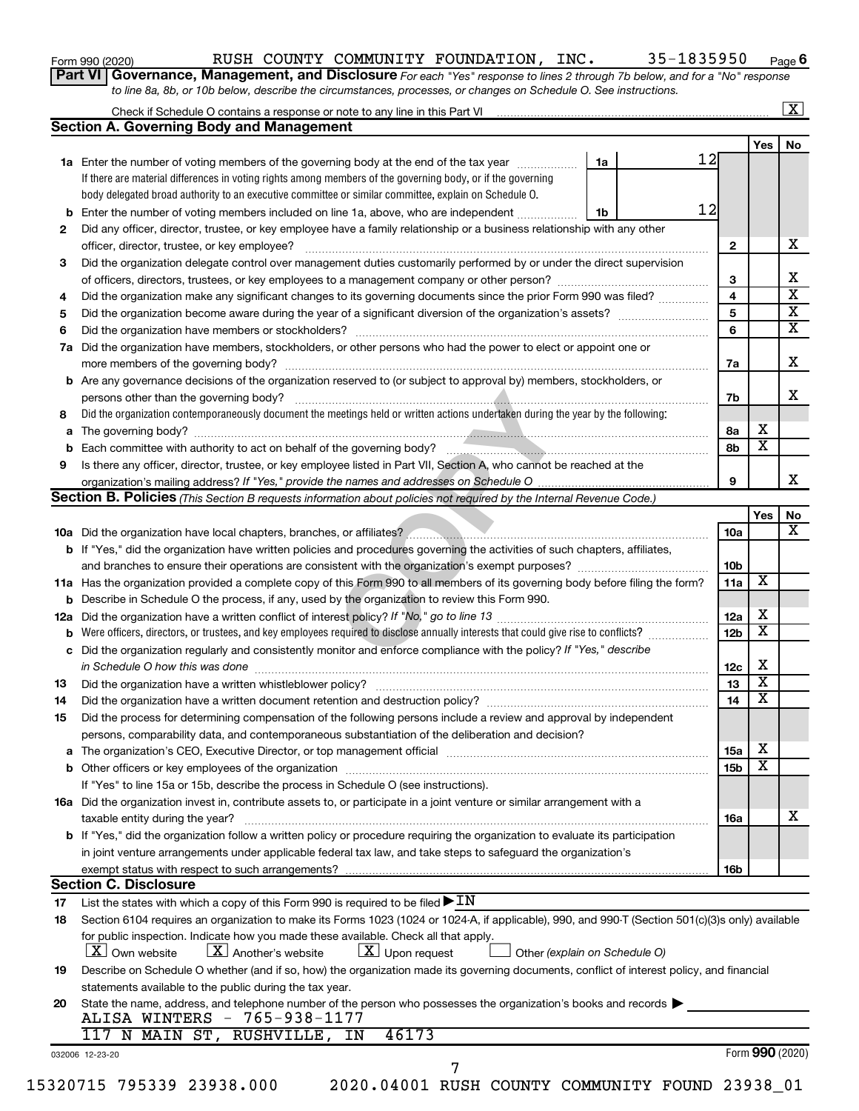| Form 990 (2020) |
|-----------------|
|-----------------|

## Form 990 (2020) Page RUSH COUNTY COMMUNITY FOUNDATION, INC. 35-1835950

**Part VI** Governance, Management, and Disclosure For each "Yes" response to lines 2 through 7b below, and for a "No" response *to line 8a, 8b, or 10b below, describe the circumstances, processes, or changes on Schedule O. See instructions.*

|                                                                                                                                                                                                                                                                                                                                                                                                                                                                                                                                                                                                                                                                                                                                                                                                                                                                                                                                                                                                                                                                                                                                                                                                                                                                                                                                                                                                                                                                                                                                                                                                                                                                                                                                                                                                                                                                                                                                                                                                                                                                                                                                                                                                                                                                                                                                                                                                                                                                                                                                                                                                                                                                                                                                                                                                                                                                                                                                                                                                                                                                                                                                                                                                                                                                                                                                                                                                                                                                                                                                                                                                                                                                                                                                                                                                                                                                                                                                                                                                                                                                                                                                                                                                                                                                                                                       |                                                                                     |  |                         | Yes                          |                 |
|-----------------------------------------------------------------------------------------------------------------------------------------------------------------------------------------------------------------------------------------------------------------------------------------------------------------------------------------------------------------------------------------------------------------------------------------------------------------------------------------------------------------------------------------------------------------------------------------------------------------------------------------------------------------------------------------------------------------------------------------------------------------------------------------------------------------------------------------------------------------------------------------------------------------------------------------------------------------------------------------------------------------------------------------------------------------------------------------------------------------------------------------------------------------------------------------------------------------------------------------------------------------------------------------------------------------------------------------------------------------------------------------------------------------------------------------------------------------------------------------------------------------------------------------------------------------------------------------------------------------------------------------------------------------------------------------------------------------------------------------------------------------------------------------------------------------------------------------------------------------------------------------------------------------------------------------------------------------------------------------------------------------------------------------------------------------------------------------------------------------------------------------------------------------------------------------------------------------------------------------------------------------------------------------------------------------------------------------------------------------------------------------------------------------------------------------------------------------------------------------------------------------------------------------------------------------------------------------------------------------------------------------------------------------------------------------------------------------------------------------------------------------------------------------------------------------------------------------------------------------------------------------------------------------------------------------------------------------------------------------------------------------------------------------------------------------------------------------------------------------------------------------------------------------------------------------------------------------------------------------------------------------------------------------------------------------------------------------------------------------------------------------------------------------------------------------------------------------------------------------------------------------------------------------------------------------------------------------------------------------------------------------------------------------------------------------------------------------------------------------------------------------------------------------------------------------------------------------------------------------------------------------------------------------------------------------------------------------------------------------------------------------------------------------------------------------------------------------------------------------------------------------------------------------------------------------------------------------------------------------------------------------------------------------------------------------------|-------------------------------------------------------------------------------------|--|-------------------------|------------------------------|-----------------|
|                                                                                                                                                                                                                                                                                                                                                                                                                                                                                                                                                                                                                                                                                                                                                                                                                                                                                                                                                                                                                                                                                                                                                                                                                                                                                                                                                                                                                                                                                                                                                                                                                                                                                                                                                                                                                                                                                                                                                                                                                                                                                                                                                                                                                                                                                                                                                                                                                                                                                                                                                                                                                                                                                                                                                                                                                                                                                                                                                                                                                                                                                                                                                                                                                                                                                                                                                                                                                                                                                                                                                                                                                                                                                                                                                                                                                                                                                                                                                                                                                                                                                                                                                                                                                                                                                                                       |                                                                                     |  |                         |                              |                 |
|                                                                                                                                                                                                                                                                                                                                                                                                                                                                                                                                                                                                                                                                                                                                                                                                                                                                                                                                                                                                                                                                                                                                                                                                                                                                                                                                                                                                                                                                                                                                                                                                                                                                                                                                                                                                                                                                                                                                                                                                                                                                                                                                                                                                                                                                                                                                                                                                                                                                                                                                                                                                                                                                                                                                                                                                                                                                                                                                                                                                                                                                                                                                                                                                                                                                                                                                                                                                                                                                                                                                                                                                                                                                                                                                                                                                                                                                                                                                                                                                                                                                                                                                                                                                                                                                                                                       |                                                                                     |  |                         |                              |                 |
|                                                                                                                                                                                                                                                                                                                                                                                                                                                                                                                                                                                                                                                                                                                                                                                                                                                                                                                                                                                                                                                                                                                                                                                                                                                                                                                                                                                                                                                                                                                                                                                                                                                                                                                                                                                                                                                                                                                                                                                                                                                                                                                                                                                                                                                                                                                                                                                                                                                                                                                                                                                                                                                                                                                                                                                                                                                                                                                                                                                                                                                                                                                                                                                                                                                                                                                                                                                                                                                                                                                                                                                                                                                                                                                                                                                                                                                                                                                                                                                                                                                                                                                                                                                                                                                                                                                       |                                                                                     |  |                         |                              |                 |
|                                                                                                                                                                                                                                                                                                                                                                                                                                                                                                                                                                                                                                                                                                                                                                                                                                                                                                                                                                                                                                                                                                                                                                                                                                                                                                                                                                                                                                                                                                                                                                                                                                                                                                                                                                                                                                                                                                                                                                                                                                                                                                                                                                                                                                                                                                                                                                                                                                                                                                                                                                                                                                                                                                                                                                                                                                                                                                                                                                                                                                                                                                                                                                                                                                                                                                                                                                                                                                                                                                                                                                                                                                                                                                                                                                                                                                                                                                                                                                                                                                                                                                                                                                                                                                                                                                                       |                                                                                     |  |                         |                              |                 |
|                                                                                                                                                                                                                                                                                                                                                                                                                                                                                                                                                                                                                                                                                                                                                                                                                                                                                                                                                                                                                                                                                                                                                                                                                                                                                                                                                                                                                                                                                                                                                                                                                                                                                                                                                                                                                                                                                                                                                                                                                                                                                                                                                                                                                                                                                                                                                                                                                                                                                                                                                                                                                                                                                                                                                                                                                                                                                                                                                                                                                                                                                                                                                                                                                                                                                                                                                                                                                                                                                                                                                                                                                                                                                                                                                                                                                                                                                                                                                                                                                                                                                                                                                                                                                                                                                                                       |                                                                                     |  |                         |                              |                 |
|                                                                                                                                                                                                                                                                                                                                                                                                                                                                                                                                                                                                                                                                                                                                                                                                                                                                                                                                                                                                                                                                                                                                                                                                                                                                                                                                                                                                                                                                                                                                                                                                                                                                                                                                                                                                                                                                                                                                                                                                                                                                                                                                                                                                                                                                                                                                                                                                                                                                                                                                                                                                                                                                                                                                                                                                                                                                                                                                                                                                                                                                                                                                                                                                                                                                                                                                                                                                                                                                                                                                                                                                                                                                                                                                                                                                                                                                                                                                                                                                                                                                                                                                                                                                                                                                                                                       |                                                                                     |  | $\overline{2}$          |                              |                 |
|                                                                                                                                                                                                                                                                                                                                                                                                                                                                                                                                                                                                                                                                                                                                                                                                                                                                                                                                                                                                                                                                                                                                                                                                                                                                                                                                                                                                                                                                                                                                                                                                                                                                                                                                                                                                                                                                                                                                                                                                                                                                                                                                                                                                                                                                                                                                                                                                                                                                                                                                                                                                                                                                                                                                                                                                                                                                                                                                                                                                                                                                                                                                                                                                                                                                                                                                                                                                                                                                                                                                                                                                                                                                                                                                                                                                                                                                                                                                                                                                                                                                                                                                                                                                                                                                                                                       |                                                                                     |  |                         |                              |                 |
|                                                                                                                                                                                                                                                                                                                                                                                                                                                                                                                                                                                                                                                                                                                                                                                                                                                                                                                                                                                                                                                                                                                                                                                                                                                                                                                                                                                                                                                                                                                                                                                                                                                                                                                                                                                                                                                                                                                                                                                                                                                                                                                                                                                                                                                                                                                                                                                                                                                                                                                                                                                                                                                                                                                                                                                                                                                                                                                                                                                                                                                                                                                                                                                                                                                                                                                                                                                                                                                                                                                                                                                                                                                                                                                                                                                                                                                                                                                                                                                                                                                                                                                                                                                                                                                                                                                       |                                                                                     |  | 3                       |                              |                 |
|                                                                                                                                                                                                                                                                                                                                                                                                                                                                                                                                                                                                                                                                                                                                                                                                                                                                                                                                                                                                                                                                                                                                                                                                                                                                                                                                                                                                                                                                                                                                                                                                                                                                                                                                                                                                                                                                                                                                                                                                                                                                                                                                                                                                                                                                                                                                                                                                                                                                                                                                                                                                                                                                                                                                                                                                                                                                                                                                                                                                                                                                                                                                                                                                                                                                                                                                                                                                                                                                                                                                                                                                                                                                                                                                                                                                                                                                                                                                                                                                                                                                                                                                                                                                                                                                                                                       |                                                                                     |  | 4                       |                              |                 |
|                                                                                                                                                                                                                                                                                                                                                                                                                                                                                                                                                                                                                                                                                                                                                                                                                                                                                                                                                                                                                                                                                                                                                                                                                                                                                                                                                                                                                                                                                                                                                                                                                                                                                                                                                                                                                                                                                                                                                                                                                                                                                                                                                                                                                                                                                                                                                                                                                                                                                                                                                                                                                                                                                                                                                                                                                                                                                                                                                                                                                                                                                                                                                                                                                                                                                                                                                                                                                                                                                                                                                                                                                                                                                                                                                                                                                                                                                                                                                                                                                                                                                                                                                                                                                                                                                                                       |                                                                                     |  | $\overline{\mathbf{5}}$ |                              |                 |
|                                                                                                                                                                                                                                                                                                                                                                                                                                                                                                                                                                                                                                                                                                                                                                                                                                                                                                                                                                                                                                                                                                                                                                                                                                                                                                                                                                                                                                                                                                                                                                                                                                                                                                                                                                                                                                                                                                                                                                                                                                                                                                                                                                                                                                                                                                                                                                                                                                                                                                                                                                                                                                                                                                                                                                                                                                                                                                                                                                                                                                                                                                                                                                                                                                                                                                                                                                                                                                                                                                                                                                                                                                                                                                                                                                                                                                                                                                                                                                                                                                                                                                                                                                                                                                                                                                                       |                                                                                     |  | 6                       |                              |                 |
|                                                                                                                                                                                                                                                                                                                                                                                                                                                                                                                                                                                                                                                                                                                                                                                                                                                                                                                                                                                                                                                                                                                                                                                                                                                                                                                                                                                                                                                                                                                                                                                                                                                                                                                                                                                                                                                                                                                                                                                                                                                                                                                                                                                                                                                                                                                                                                                                                                                                                                                                                                                                                                                                                                                                                                                                                                                                                                                                                                                                                                                                                                                                                                                                                                                                                                                                                                                                                                                                                                                                                                                                                                                                                                                                                                                                                                                                                                                                                                                                                                                                                                                                                                                                                                                                                                                       |                                                                                     |  |                         |                              |                 |
|                                                                                                                                                                                                                                                                                                                                                                                                                                                                                                                                                                                                                                                                                                                                                                                                                                                                                                                                                                                                                                                                                                                                                                                                                                                                                                                                                                                                                                                                                                                                                                                                                                                                                                                                                                                                                                                                                                                                                                                                                                                                                                                                                                                                                                                                                                                                                                                                                                                                                                                                                                                                                                                                                                                                                                                                                                                                                                                                                                                                                                                                                                                                                                                                                                                                                                                                                                                                                                                                                                                                                                                                                                                                                                                                                                                                                                                                                                                                                                                                                                                                                                                                                                                                                                                                                                                       |                                                                                     |  | 7a                      |                              |                 |
|                                                                                                                                                                                                                                                                                                                                                                                                                                                                                                                                                                                                                                                                                                                                                                                                                                                                                                                                                                                                                                                                                                                                                                                                                                                                                                                                                                                                                                                                                                                                                                                                                                                                                                                                                                                                                                                                                                                                                                                                                                                                                                                                                                                                                                                                                                                                                                                                                                                                                                                                                                                                                                                                                                                                                                                                                                                                                                                                                                                                                                                                                                                                                                                                                                                                                                                                                                                                                                                                                                                                                                                                                                                                                                                                                                                                                                                                                                                                                                                                                                                                                                                                                                                                                                                                                                                       |                                                                                     |  |                         |                              |                 |
|                                                                                                                                                                                                                                                                                                                                                                                                                                                                                                                                                                                                                                                                                                                                                                                                                                                                                                                                                                                                                                                                                                                                                                                                                                                                                                                                                                                                                                                                                                                                                                                                                                                                                                                                                                                                                                                                                                                                                                                                                                                                                                                                                                                                                                                                                                                                                                                                                                                                                                                                                                                                                                                                                                                                                                                                                                                                                                                                                                                                                                                                                                                                                                                                                                                                                                                                                                                                                                                                                                                                                                                                                                                                                                                                                                                                                                                                                                                                                                                                                                                                                                                                                                                                                                                                                                                       | persons other than the governing body?                                              |  | 7b                      |                              |                 |
|                                                                                                                                                                                                                                                                                                                                                                                                                                                                                                                                                                                                                                                                                                                                                                                                                                                                                                                                                                                                                                                                                                                                                                                                                                                                                                                                                                                                                                                                                                                                                                                                                                                                                                                                                                                                                                                                                                                                                                                                                                                                                                                                                                                                                                                                                                                                                                                                                                                                                                                                                                                                                                                                                                                                                                                                                                                                                                                                                                                                                                                                                                                                                                                                                                                                                                                                                                                                                                                                                                                                                                                                                                                                                                                                                                                                                                                                                                                                                                                                                                                                                                                                                                                                                                                                                                                       |                                                                                     |  |                         |                              |                 |
|                                                                                                                                                                                                                                                                                                                                                                                                                                                                                                                                                                                                                                                                                                                                                                                                                                                                                                                                                                                                                                                                                                                                                                                                                                                                                                                                                                                                                                                                                                                                                                                                                                                                                                                                                                                                                                                                                                                                                                                                                                                                                                                                                                                                                                                                                                                                                                                                                                                                                                                                                                                                                                                                                                                                                                                                                                                                                                                                                                                                                                                                                                                                                                                                                                                                                                                                                                                                                                                                                                                                                                                                                                                                                                                                                                                                                                                                                                                                                                                                                                                                                                                                                                                                                                                                                                                       |                                                                                     |  | 8a                      | x                            |                 |
|                                                                                                                                                                                                                                                                                                                                                                                                                                                                                                                                                                                                                                                                                                                                                                                                                                                                                                                                                                                                                                                                                                                                                                                                                                                                                                                                                                                                                                                                                                                                                                                                                                                                                                                                                                                                                                                                                                                                                                                                                                                                                                                                                                                                                                                                                                                                                                                                                                                                                                                                                                                                                                                                                                                                                                                                                                                                                                                                                                                                                                                                                                                                                                                                                                                                                                                                                                                                                                                                                                                                                                                                                                                                                                                                                                                                                                                                                                                                                                                                                                                                                                                                                                                                                                                                                                                       |                                                                                     |  | 8b                      | $\overline{\mathbf{x}}$      |                 |
|                                                                                                                                                                                                                                                                                                                                                                                                                                                                                                                                                                                                                                                                                                                                                                                                                                                                                                                                                                                                                                                                                                                                                                                                                                                                                                                                                                                                                                                                                                                                                                                                                                                                                                                                                                                                                                                                                                                                                                                                                                                                                                                                                                                                                                                                                                                                                                                                                                                                                                                                                                                                                                                                                                                                                                                                                                                                                                                                                                                                                                                                                                                                                                                                                                                                                                                                                                                                                                                                                                                                                                                                                                                                                                                                                                                                                                                                                                                                                                                                                                                                                                                                                                                                                                                                                                                       |                                                                                     |  |                         |                              |                 |
|                                                                                                                                                                                                                                                                                                                                                                                                                                                                                                                                                                                                                                                                                                                                                                                                                                                                                                                                                                                                                                                                                                                                                                                                                                                                                                                                                                                                                                                                                                                                                                                                                                                                                                                                                                                                                                                                                                                                                                                                                                                                                                                                                                                                                                                                                                                                                                                                                                                                                                                                                                                                                                                                                                                                                                                                                                                                                                                                                                                                                                                                                                                                                                                                                                                                                                                                                                                                                                                                                                                                                                                                                                                                                                                                                                                                                                                                                                                                                                                                                                                                                                                                                                                                                                                                                                                       |                                                                                     |  | 9                       |                              |                 |
|                                                                                                                                                                                                                                                                                                                                                                                                                                                                                                                                                                                                                                                                                                                                                                                                                                                                                                                                                                                                                                                                                                                                                                                                                                                                                                                                                                                                                                                                                                                                                                                                                                                                                                                                                                                                                                                                                                                                                                                                                                                                                                                                                                                                                                                                                                                                                                                                                                                                                                                                                                                                                                                                                                                                                                                                                                                                                                                                                                                                                                                                                                                                                                                                                                                                                                                                                                                                                                                                                                                                                                                                                                                                                                                                                                                                                                                                                                                                                                                                                                                                                                                                                                                                                                                                                                                       |                                                                                     |  |                         |                              |                 |
|                                                                                                                                                                                                                                                                                                                                                                                                                                                                                                                                                                                                                                                                                                                                                                                                                                                                                                                                                                                                                                                                                                                                                                                                                                                                                                                                                                                                                                                                                                                                                                                                                                                                                                                                                                                                                                                                                                                                                                                                                                                                                                                                                                                                                                                                                                                                                                                                                                                                                                                                                                                                                                                                                                                                                                                                                                                                                                                                                                                                                                                                                                                                                                                                                                                                                                                                                                                                                                                                                                                                                                                                                                                                                                                                                                                                                                                                                                                                                                                                                                                                                                                                                                                                                                                                                                                       |                                                                                     |  |                         | Yes                          |                 |
|                                                                                                                                                                                                                                                                                                                                                                                                                                                                                                                                                                                                                                                                                                                                                                                                                                                                                                                                                                                                                                                                                                                                                                                                                                                                                                                                                                                                                                                                                                                                                                                                                                                                                                                                                                                                                                                                                                                                                                                                                                                                                                                                                                                                                                                                                                                                                                                                                                                                                                                                                                                                                                                                                                                                                                                                                                                                                                                                                                                                                                                                                                                                                                                                                                                                                                                                                                                                                                                                                                                                                                                                                                                                                                                                                                                                                                                                                                                                                                                                                                                                                                                                                                                                                                                                                                                       |                                                                                     |  | 10a                     |                              |                 |
|                                                                                                                                                                                                                                                                                                                                                                                                                                                                                                                                                                                                                                                                                                                                                                                                                                                                                                                                                                                                                                                                                                                                                                                                                                                                                                                                                                                                                                                                                                                                                                                                                                                                                                                                                                                                                                                                                                                                                                                                                                                                                                                                                                                                                                                                                                                                                                                                                                                                                                                                                                                                                                                                                                                                                                                                                                                                                                                                                                                                                                                                                                                                                                                                                                                                                                                                                                                                                                                                                                                                                                                                                                                                                                                                                                                                                                                                                                                                                                                                                                                                                                                                                                                                                                                                                                                       |                                                                                     |  |                         |                              |                 |
|                                                                                                                                                                                                                                                                                                                                                                                                                                                                                                                                                                                                                                                                                                                                                                                                                                                                                                                                                                                                                                                                                                                                                                                                                                                                                                                                                                                                                                                                                                                                                                                                                                                                                                                                                                                                                                                                                                                                                                                                                                                                                                                                                                                                                                                                                                                                                                                                                                                                                                                                                                                                                                                                                                                                                                                                                                                                                                                                                                                                                                                                                                                                                                                                                                                                                                                                                                                                                                                                                                                                                                                                                                                                                                                                                                                                                                                                                                                                                                                                                                                                                                                                                                                                                                                                                                                       |                                                                                     |  | 10 <sub>b</sub>         |                              |                 |
|                                                                                                                                                                                                                                                                                                                                                                                                                                                                                                                                                                                                                                                                                                                                                                                                                                                                                                                                                                                                                                                                                                                                                                                                                                                                                                                                                                                                                                                                                                                                                                                                                                                                                                                                                                                                                                                                                                                                                                                                                                                                                                                                                                                                                                                                                                                                                                                                                                                                                                                                                                                                                                                                                                                                                                                                                                                                                                                                                                                                                                                                                                                                                                                                                                                                                                                                                                                                                                                                                                                                                                                                                                                                                                                                                                                                                                                                                                                                                                                                                                                                                                                                                                                                                                                                                                                       |                                                                                     |  | 11a                     | X                            |                 |
|                                                                                                                                                                                                                                                                                                                                                                                                                                                                                                                                                                                                                                                                                                                                                                                                                                                                                                                                                                                                                                                                                                                                                                                                                                                                                                                                                                                                                                                                                                                                                                                                                                                                                                                                                                                                                                                                                                                                                                                                                                                                                                                                                                                                                                                                                                                                                                                                                                                                                                                                                                                                                                                                                                                                                                                                                                                                                                                                                                                                                                                                                                                                                                                                                                                                                                                                                                                                                                                                                                                                                                                                                                                                                                                                                                                                                                                                                                                                                                                                                                                                                                                                                                                                                                                                                                                       |                                                                                     |  |                         |                              |                 |
|                                                                                                                                                                                                                                                                                                                                                                                                                                                                                                                                                                                                                                                                                                                                                                                                                                                                                                                                                                                                                                                                                                                                                                                                                                                                                                                                                                                                                                                                                                                                                                                                                                                                                                                                                                                                                                                                                                                                                                                                                                                                                                                                                                                                                                                                                                                                                                                                                                                                                                                                                                                                                                                                                                                                                                                                                                                                                                                                                                                                                                                                                                                                                                                                                                                                                                                                                                                                                                                                                                                                                                                                                                                                                                                                                                                                                                                                                                                                                                                                                                                                                                                                                                                                                                                                                                                       |                                                                                     |  |                         | x                            |                 |
|                                                                                                                                                                                                                                                                                                                                                                                                                                                                                                                                                                                                                                                                                                                                                                                                                                                                                                                                                                                                                                                                                                                                                                                                                                                                                                                                                                                                                                                                                                                                                                                                                                                                                                                                                                                                                                                                                                                                                                                                                                                                                                                                                                                                                                                                                                                                                                                                                                                                                                                                                                                                                                                                                                                                                                                                                                                                                                                                                                                                                                                                                                                                                                                                                                                                                                                                                                                                                                                                                                                                                                                                                                                                                                                                                                                                                                                                                                                                                                                                                                                                                                                                                                                                                                                                                                                       |                                                                                     |  | 12a                     | $\overline{\textbf{x}}$      |                 |
|                                                                                                                                                                                                                                                                                                                                                                                                                                                                                                                                                                                                                                                                                                                                                                                                                                                                                                                                                                                                                                                                                                                                                                                                                                                                                                                                                                                                                                                                                                                                                                                                                                                                                                                                                                                                                                                                                                                                                                                                                                                                                                                                                                                                                                                                                                                                                                                                                                                                                                                                                                                                                                                                                                                                                                                                                                                                                                                                                                                                                                                                                                                                                                                                                                                                                                                                                                                                                                                                                                                                                                                                                                                                                                                                                                                                                                                                                                                                                                                                                                                                                                                                                                                                                                                                                                                       |                                                                                     |  | 12 <sub>b</sub>         |                              |                 |
|                                                                                                                                                                                                                                                                                                                                                                                                                                                                                                                                                                                                                                                                                                                                                                                                                                                                                                                                                                                                                                                                                                                                                                                                                                                                                                                                                                                                                                                                                                                                                                                                                                                                                                                                                                                                                                                                                                                                                                                                                                                                                                                                                                                                                                                                                                                                                                                                                                                                                                                                                                                                                                                                                                                                                                                                                                                                                                                                                                                                                                                                                                                                                                                                                                                                                                                                                                                                                                                                                                                                                                                                                                                                                                                                                                                                                                                                                                                                                                                                                                                                                                                                                                                                                                                                                                                       |                                                                                     |  |                         |                              |                 |
|                                                                                                                                                                                                                                                                                                                                                                                                                                                                                                                                                                                                                                                                                                                                                                                                                                                                                                                                                                                                                                                                                                                                                                                                                                                                                                                                                                                                                                                                                                                                                                                                                                                                                                                                                                                                                                                                                                                                                                                                                                                                                                                                                                                                                                                                                                                                                                                                                                                                                                                                                                                                                                                                                                                                                                                                                                                                                                                                                                                                                                                                                                                                                                                                                                                                                                                                                                                                                                                                                                                                                                                                                                                                                                                                                                                                                                                                                                                                                                                                                                                                                                                                                                                                                                                                                                                       |                                                                                     |  | 12c                     | х<br>$\overline{\textbf{x}}$ |                 |
|                                                                                                                                                                                                                                                                                                                                                                                                                                                                                                                                                                                                                                                                                                                                                                                                                                                                                                                                                                                                                                                                                                                                                                                                                                                                                                                                                                                                                                                                                                                                                                                                                                                                                                                                                                                                                                                                                                                                                                                                                                                                                                                                                                                                                                                                                                                                                                                                                                                                                                                                                                                                                                                                                                                                                                                                                                                                                                                                                                                                                                                                                                                                                                                                                                                                                                                                                                                                                                                                                                                                                                                                                                                                                                                                                                                                                                                                                                                                                                                                                                                                                                                                                                                                                                                                                                                       |                                                                                     |  | 13                      |                              |                 |
|                                                                                                                                                                                                                                                                                                                                                                                                                                                                                                                                                                                                                                                                                                                                                                                                                                                                                                                                                                                                                                                                                                                                                                                                                                                                                                                                                                                                                                                                                                                                                                                                                                                                                                                                                                                                                                                                                                                                                                                                                                                                                                                                                                                                                                                                                                                                                                                                                                                                                                                                                                                                                                                                                                                                                                                                                                                                                                                                                                                                                                                                                                                                                                                                                                                                                                                                                                                                                                                                                                                                                                                                                                                                                                                                                                                                                                                                                                                                                                                                                                                                                                                                                                                                                                                                                                                       |                                                                                     |  | 14                      | $\overline{\textbf{x}}$      |                 |
|                                                                                                                                                                                                                                                                                                                                                                                                                                                                                                                                                                                                                                                                                                                                                                                                                                                                                                                                                                                                                                                                                                                                                                                                                                                                                                                                                                                                                                                                                                                                                                                                                                                                                                                                                                                                                                                                                                                                                                                                                                                                                                                                                                                                                                                                                                                                                                                                                                                                                                                                                                                                                                                                                                                                                                                                                                                                                                                                                                                                                                                                                                                                                                                                                                                                                                                                                                                                                                                                                                                                                                                                                                                                                                                                                                                                                                                                                                                                                                                                                                                                                                                                                                                                                                                                                                                       |                                                                                     |  |                         |                              |                 |
|                                                                                                                                                                                                                                                                                                                                                                                                                                                                                                                                                                                                                                                                                                                                                                                                                                                                                                                                                                                                                                                                                                                                                                                                                                                                                                                                                                                                                                                                                                                                                                                                                                                                                                                                                                                                                                                                                                                                                                                                                                                                                                                                                                                                                                                                                                                                                                                                                                                                                                                                                                                                                                                                                                                                                                                                                                                                                                                                                                                                                                                                                                                                                                                                                                                                                                                                                                                                                                                                                                                                                                                                                                                                                                                                                                                                                                                                                                                                                                                                                                                                                                                                                                                                                                                                                                                       |                                                                                     |  |                         |                              |                 |
|                                                                                                                                                                                                                                                                                                                                                                                                                                                                                                                                                                                                                                                                                                                                                                                                                                                                                                                                                                                                                                                                                                                                                                                                                                                                                                                                                                                                                                                                                                                                                                                                                                                                                                                                                                                                                                                                                                                                                                                                                                                                                                                                                                                                                                                                                                                                                                                                                                                                                                                                                                                                                                                                                                                                                                                                                                                                                                                                                                                                                                                                                                                                                                                                                                                                                                                                                                                                                                                                                                                                                                                                                                                                                                                                                                                                                                                                                                                                                                                                                                                                                                                                                                                                                                                                                                                       |                                                                                     |  | <b>15a</b>              | x                            |                 |
|                                                                                                                                                                                                                                                                                                                                                                                                                                                                                                                                                                                                                                                                                                                                                                                                                                                                                                                                                                                                                                                                                                                                                                                                                                                                                                                                                                                                                                                                                                                                                                                                                                                                                                                                                                                                                                                                                                                                                                                                                                                                                                                                                                                                                                                                                                                                                                                                                                                                                                                                                                                                                                                                                                                                                                                                                                                                                                                                                                                                                                                                                                                                                                                                                                                                                                                                                                                                                                                                                                                                                                                                                                                                                                                                                                                                                                                                                                                                                                                                                                                                                                                                                                                                                                                                                                                       |                                                                                     |  | 15b                     | $\overline{\textbf{x}}$      |                 |
|                                                                                                                                                                                                                                                                                                                                                                                                                                                                                                                                                                                                                                                                                                                                                                                                                                                                                                                                                                                                                                                                                                                                                                                                                                                                                                                                                                                                                                                                                                                                                                                                                                                                                                                                                                                                                                                                                                                                                                                                                                                                                                                                                                                                                                                                                                                                                                                                                                                                                                                                                                                                                                                                                                                                                                                                                                                                                                                                                                                                                                                                                                                                                                                                                                                                                                                                                                                                                                                                                                                                                                                                                                                                                                                                                                                                                                                                                                                                                                                                                                                                                                                                                                                                                                                                                                                       | If "Yes" to line 15a or 15b, describe the process in Schedule O (see instructions). |  |                         |                              |                 |
|                                                                                                                                                                                                                                                                                                                                                                                                                                                                                                                                                                                                                                                                                                                                                                                                                                                                                                                                                                                                                                                                                                                                                                                                                                                                                                                                                                                                                                                                                                                                                                                                                                                                                                                                                                                                                                                                                                                                                                                                                                                                                                                                                                                                                                                                                                                                                                                                                                                                                                                                                                                                                                                                                                                                                                                                                                                                                                                                                                                                                                                                                                                                                                                                                                                                                                                                                                                                                                                                                                                                                                                                                                                                                                                                                                                                                                                                                                                                                                                                                                                                                                                                                                                                                                                                                                                       |                                                                                     |  |                         |                              |                 |
|                                                                                                                                                                                                                                                                                                                                                                                                                                                                                                                                                                                                                                                                                                                                                                                                                                                                                                                                                                                                                                                                                                                                                                                                                                                                                                                                                                                                                                                                                                                                                                                                                                                                                                                                                                                                                                                                                                                                                                                                                                                                                                                                                                                                                                                                                                                                                                                                                                                                                                                                                                                                                                                                                                                                                                                                                                                                                                                                                                                                                                                                                                                                                                                                                                                                                                                                                                                                                                                                                                                                                                                                                                                                                                                                                                                                                                                                                                                                                                                                                                                                                                                                                                                                                                                                                                                       | taxable entity during the year?                                                     |  | 16a                     |                              |                 |
|                                                                                                                                                                                                                                                                                                                                                                                                                                                                                                                                                                                                                                                                                                                                                                                                                                                                                                                                                                                                                                                                                                                                                                                                                                                                                                                                                                                                                                                                                                                                                                                                                                                                                                                                                                                                                                                                                                                                                                                                                                                                                                                                                                                                                                                                                                                                                                                                                                                                                                                                                                                                                                                                                                                                                                                                                                                                                                                                                                                                                                                                                                                                                                                                                                                                                                                                                                                                                                                                                                                                                                                                                                                                                                                                                                                                                                                                                                                                                                                                                                                                                                                                                                                                                                                                                                                       |                                                                                     |  |                         |                              |                 |
|                                                                                                                                                                                                                                                                                                                                                                                                                                                                                                                                                                                                                                                                                                                                                                                                                                                                                                                                                                                                                                                                                                                                                                                                                                                                                                                                                                                                                                                                                                                                                                                                                                                                                                                                                                                                                                                                                                                                                                                                                                                                                                                                                                                                                                                                                                                                                                                                                                                                                                                                                                                                                                                                                                                                                                                                                                                                                                                                                                                                                                                                                                                                                                                                                                                                                                                                                                                                                                                                                                                                                                                                                                                                                                                                                                                                                                                                                                                                                                                                                                                                                                                                                                                                                                                                                                                       |                                                                                     |  |                         |                              |                 |
|                                                                                                                                                                                                                                                                                                                                                                                                                                                                                                                                                                                                                                                                                                                                                                                                                                                                                                                                                                                                                                                                                                                                                                                                                                                                                                                                                                                                                                                                                                                                                                                                                                                                                                                                                                                                                                                                                                                                                                                                                                                                                                                                                                                                                                                                                                                                                                                                                                                                                                                                                                                                                                                                                                                                                                                                                                                                                                                                                                                                                                                                                                                                                                                                                                                                                                                                                                                                                                                                                                                                                                                                                                                                                                                                                                                                                                                                                                                                                                                                                                                                                                                                                                                                                                                                                                                       | exempt status with respect to such arrangements?                                    |  | 16b                     |                              |                 |
|                                                                                                                                                                                                                                                                                                                                                                                                                                                                                                                                                                                                                                                                                                                                                                                                                                                                                                                                                                                                                                                                                                                                                                                                                                                                                                                                                                                                                                                                                                                                                                                                                                                                                                                                                                                                                                                                                                                                                                                                                                                                                                                                                                                                                                                                                                                                                                                                                                                                                                                                                                                                                                                                                                                                                                                                                                                                                                                                                                                                                                                                                                                                                                                                                                                                                                                                                                                                                                                                                                                                                                                                                                                                                                                                                                                                                                                                                                                                                                                                                                                                                                                                                                                                                                                                                                                       |                                                                                     |  |                         |                              |                 |
|                                                                                                                                                                                                                                                                                                                                                                                                                                                                                                                                                                                                                                                                                                                                                                                                                                                                                                                                                                                                                                                                                                                                                                                                                                                                                                                                                                                                                                                                                                                                                                                                                                                                                                                                                                                                                                                                                                                                                                                                                                                                                                                                                                                                                                                                                                                                                                                                                                                                                                                                                                                                                                                                                                                                                                                                                                                                                                                                                                                                                                                                                                                                                                                                                                                                                                                                                                                                                                                                                                                                                                                                                                                                                                                                                                                                                                                                                                                                                                                                                                                                                                                                                                                                                                                                                                                       |                                                                                     |  |                         |                              |                 |
|                                                                                                                                                                                                                                                                                                                                                                                                                                                                                                                                                                                                                                                                                                                                                                                                                                                                                                                                                                                                                                                                                                                                                                                                                                                                                                                                                                                                                                                                                                                                                                                                                                                                                                                                                                                                                                                                                                                                                                                                                                                                                                                                                                                                                                                                                                                                                                                                                                                                                                                                                                                                                                                                                                                                                                                                                                                                                                                                                                                                                                                                                                                                                                                                                                                                                                                                                                                                                                                                                                                                                                                                                                                                                                                                                                                                                                                                                                                                                                                                                                                                                                                                                                                                                                                                                                                       |                                                                                     |  |                         |                              |                 |
|                                                                                                                                                                                                                                                                                                                                                                                                                                                                                                                                                                                                                                                                                                                                                                                                                                                                                                                                                                                                                                                                                                                                                                                                                                                                                                                                                                                                                                                                                                                                                                                                                                                                                                                                                                                                                                                                                                                                                                                                                                                                                                                                                                                                                                                                                                                                                                                                                                                                                                                                                                                                                                                                                                                                                                                                                                                                                                                                                                                                                                                                                                                                                                                                                                                                                                                                                                                                                                                                                                                                                                                                                                                                                                                                                                                                                                                                                                                                                                                                                                                                                                                                                                                                                                                                                                                       | for public inspection. Indicate how you made these available. Check all that apply. |  |                         |                              |                 |
|                                                                                                                                                                                                                                                                                                                                                                                                                                                                                                                                                                                                                                                                                                                                                                                                                                                                                                                                                                                                                                                                                                                                                                                                                                                                                                                                                                                                                                                                                                                                                                                                                                                                                                                                                                                                                                                                                                                                                                                                                                                                                                                                                                                                                                                                                                                                                                                                                                                                                                                                                                                                                                                                                                                                                                                                                                                                                                                                                                                                                                                                                                                                                                                                                                                                                                                                                                                                                                                                                                                                                                                                                                                                                                                                                                                                                                                                                                                                                                                                                                                                                                                                                                                                                                                                                                                       |                                                                                     |  |                         |                              |                 |
|                                                                                                                                                                                                                                                                                                                                                                                                                                                                                                                                                                                                                                                                                                                                                                                                                                                                                                                                                                                                                                                                                                                                                                                                                                                                                                                                                                                                                                                                                                                                                                                                                                                                                                                                                                                                                                                                                                                                                                                                                                                                                                                                                                                                                                                                                                                                                                                                                                                                                                                                                                                                                                                                                                                                                                                                                                                                                                                                                                                                                                                                                                                                                                                                                                                                                                                                                                                                                                                                                                                                                                                                                                                                                                                                                                                                                                                                                                                                                                                                                                                                                                                                                                                                                                                                                                                       |                                                                                     |  |                         |                              |                 |
| Check if Schedule O contains a response or note to any line in this Part VI [11] [12] Check if Schedule O contains a response or note to any line in this Part VI<br><b>Section A. Governing Body and Management</b><br>12<br>1a<br>1a Enter the number of voting members of the governing body at the end of the tax year<br>If there are material differences in voting rights among members of the governing body, or if the governing<br>body delegated broad authority to an executive committee or similar committee, explain on Schedule O.<br>12<br><b>b</b> Enter the number of voting members included on line 1a, above, who are independent <i></i><br>1b<br>Did any officer, director, trustee, or key employee have a family relationship or a business relationship with any other<br>2<br>officer, director, trustee, or key employee?<br>Did the organization delegate control over management duties customarily performed by or under the direct supervision<br>3<br>Did the organization make any significant changes to its governing documents since the prior Form 990 was filed?<br>4<br>5<br>6<br>Did the organization have members, stockholders, or other persons who had the power to elect or appoint one or<br>7a<br><b>b</b> Are any governance decisions of the organization reserved to (or subject to approval by) members, stockholders, or<br>Did the organization contemporaneously document the meetings held or written actions undertaken during the year by the following:<br>8<br>Is there any officer, director, trustee, or key employee listed in Part VII, Section A, who cannot be reached at the<br>9<br>Section B. Policies (This Section B requests information about policies not required by the Internal Revenue Code.)<br><b>b</b> If "Yes," did the organization have written policies and procedures governing the activities of such chapters, affiliates,<br>11a Has the organization provided a complete copy of this Form 990 to all members of its governing body before filing the form?<br><b>b</b> Describe in Schedule O the process, if any, used by the organization to review this Form 990.<br>12a<br>Were officers, directors, or trustees, and key employees required to disclose annually interests that could give rise to conflicts?<br>b<br>c Did the organization regularly and consistently monitor and enforce compliance with the policy? If "Yes," describe<br>in Schedule O how this was done manufactured and continuum and contact the way to the set of the set of the schedule O how this was done<br>13<br>Did the organization have a written document retention and destruction policy? [11] manufaction manufaction in<br>14<br>Did the process for determining compensation of the following persons include a review and approval by independent<br>15<br>persons, comparability data, and contemporaneous substantiation of the deliberation and decision?<br>16a Did the organization invest in, contribute assets to, or participate in a joint venture or similar arrangement with a<br><b>b</b> If "Yes," did the organization follow a written policy or procedure requiring the organization to evaluate its participation<br>in joint venture arrangements under applicable federal tax law, and take steps to safeguard the organization's<br><b>Section C. Disclosure</b><br>List the states with which a copy of this Form 990 is required to be filed $\blacktriangleright\text{IN}$<br>17<br>Section 6104 requires an organization to make its Forms 1023 (1024 or 1024-A, if applicable), 990, and 990-T (Section 501(c)(3)s only) available<br>18<br>$\lfloor x \rfloor$ Another's website<br>$\lfloor x \rfloor$ Upon request<br>  X   Own website<br>Other (explain on Schedule O)<br>Describe on Schedule O whether (and if so, how) the organization made its governing documents, conflict of interest policy, and financial<br>19<br>statements available to the public during the tax year.<br>State the name, address, and telephone number of the person who possesses the organization's books and records<br>20<br>ALISA WINTERS - 765-938-1177<br>117 N MAIN ST, RUSHVILLE, IN<br>46173<br>032006 12-23-20<br>7<br>15320715 795339 23938.000<br>2020.04001 RUSH COUNTY COMMUNITY FOUND 23938_01 |                                                                                     |  |                         |                              |                 |
|                                                                                                                                                                                                                                                                                                                                                                                                                                                                                                                                                                                                                                                                                                                                                                                                                                                                                                                                                                                                                                                                                                                                                                                                                                                                                                                                                                                                                                                                                                                                                                                                                                                                                                                                                                                                                                                                                                                                                                                                                                                                                                                                                                                                                                                                                                                                                                                                                                                                                                                                                                                                                                                                                                                                                                                                                                                                                                                                                                                                                                                                                                                                                                                                                                                                                                                                                                                                                                                                                                                                                                                                                                                                                                                                                                                                                                                                                                                                                                                                                                                                                                                                                                                                                                                                                                                       |                                                                                     |  |                         |                              |                 |
|                                                                                                                                                                                                                                                                                                                                                                                                                                                                                                                                                                                                                                                                                                                                                                                                                                                                                                                                                                                                                                                                                                                                                                                                                                                                                                                                                                                                                                                                                                                                                                                                                                                                                                                                                                                                                                                                                                                                                                                                                                                                                                                                                                                                                                                                                                                                                                                                                                                                                                                                                                                                                                                                                                                                                                                                                                                                                                                                                                                                                                                                                                                                                                                                                                                                                                                                                                                                                                                                                                                                                                                                                                                                                                                                                                                                                                                                                                                                                                                                                                                                                                                                                                                                                                                                                                                       |                                                                                     |  |                         |                              |                 |
|                                                                                                                                                                                                                                                                                                                                                                                                                                                                                                                                                                                                                                                                                                                                                                                                                                                                                                                                                                                                                                                                                                                                                                                                                                                                                                                                                                                                                                                                                                                                                                                                                                                                                                                                                                                                                                                                                                                                                                                                                                                                                                                                                                                                                                                                                                                                                                                                                                                                                                                                                                                                                                                                                                                                                                                                                                                                                                                                                                                                                                                                                                                                                                                                                                                                                                                                                                                                                                                                                                                                                                                                                                                                                                                                                                                                                                                                                                                                                                                                                                                                                                                                                                                                                                                                                                                       |                                                                                     |  |                         |                              |                 |
|                                                                                                                                                                                                                                                                                                                                                                                                                                                                                                                                                                                                                                                                                                                                                                                                                                                                                                                                                                                                                                                                                                                                                                                                                                                                                                                                                                                                                                                                                                                                                                                                                                                                                                                                                                                                                                                                                                                                                                                                                                                                                                                                                                                                                                                                                                                                                                                                                                                                                                                                                                                                                                                                                                                                                                                                                                                                                                                                                                                                                                                                                                                                                                                                                                                                                                                                                                                                                                                                                                                                                                                                                                                                                                                                                                                                                                                                                                                                                                                                                                                                                                                                                                                                                                                                                                                       |                                                                                     |  |                         |                              | Form 990 (2020) |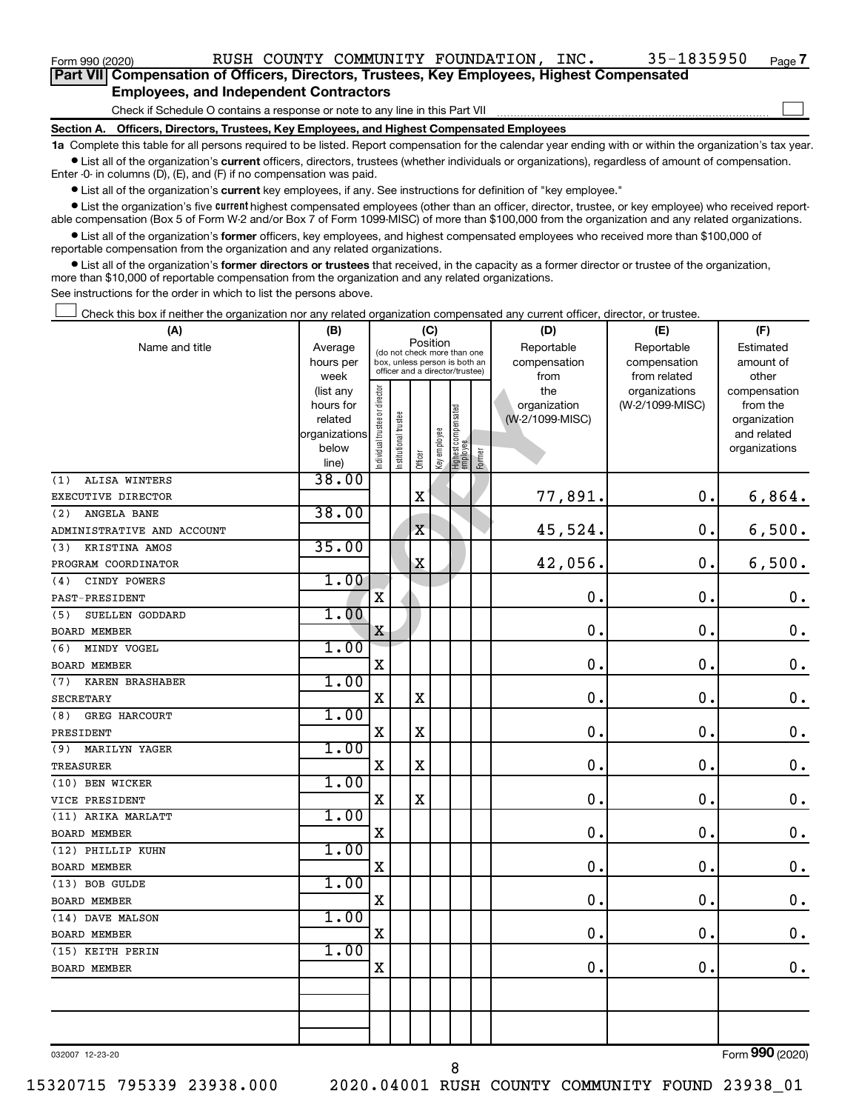| Form 990 (2020)                                                                                   |  |  | RUSH COUNTY COMMUNITY FOUNDATION, INC. |  | 35-1835950 | Page 7 |  |  |  |  |  |  |
|---------------------------------------------------------------------------------------------------|--|--|----------------------------------------|--|------------|--------|--|--|--|--|--|--|
| <b>Part VII Compensation of Officers, Directors, Trustees, Key Employees, Highest Compensated</b> |  |  |                                        |  |            |        |  |  |  |  |  |  |
| <b>Employees, and Independent Contractors</b>                                                     |  |  |                                        |  |            |        |  |  |  |  |  |  |
| Check if Schedule O contains a response or note to any line in this Part VII                      |  |  |                                        |  |            |        |  |  |  |  |  |  |
| Section A. Officers, Directors, Trustees, Key Employees, and Highest Compensated Employees        |  |  |                                        |  |            |        |  |  |  |  |  |  |

**1a**  Complete this table for all persons required to be listed. Report compensation for the calendar year ending with or within the organization's tax year.  $\bullet$  List all of the organization's current officers, directors, trustees (whether individuals or organizations), regardless of amount of compensation.

Enter -0- in columns (D), (E), and (F) if no compensation was paid.

**•** List all of the organization's current key employees, if any. See instructions for definition of "key employee."

• List the organization's five *current* highest compensated employees (other than an officer, director, trustee, or key employee) who received reportable compensation (Box 5 of Form W-2 and/or Box 7 of Form 1099-MISC) of more than \$100,000 from the organization and any related organizations.

 $\bullet$  List all of the organization's former officers, key employees, and highest compensated employees who received more than \$100,000 of reportable compensation from the organization and any related organizations.

**•** List all of the organization's former directors or trustees that received, in the capacity as a former director or trustee of the organization, more than \$10,000 of reportable compensation from the organization and any related organizations.

See instructions for the order in which to list the persons above.

Check this box if neither the organization nor any related organization compensated any current officer, director, or trustee.  $\Box$ 

| (A)                           | (B)                    | (C)                            |                       |                                                                  |              |                                 |        | (D)             | (E)                           | (F)                      |  |
|-------------------------------|------------------------|--------------------------------|-----------------------|------------------------------------------------------------------|--------------|---------------------------------|--------|-----------------|-------------------------------|--------------------------|--|
| Name and title                | Average                |                                |                       | Position<br>(do not check more than one                          |              |                                 |        | Reportable      | Reportable                    | Estimated                |  |
|                               | hours per              |                                |                       | box, unless person is both an<br>officer and a director/trustee) |              |                                 |        | compensation    | compensation                  | amount of                |  |
|                               | week                   |                                |                       |                                                                  |              |                                 |        | from<br>the     | from related<br>organizations | other                    |  |
|                               | (list any<br>hours for |                                |                       |                                                                  |              |                                 |        | organization    | (W-2/1099-MISC)               | compensation<br>from the |  |
|                               | related                |                                |                       |                                                                  |              |                                 |        | (W-2/1099-MISC) |                               | organization             |  |
|                               | organizations          |                                |                       |                                                                  |              |                                 |        |                 |                               | and related              |  |
|                               | below                  | Individual trustee or director | Institutional trustee |                                                                  | Key employee | Highest compensated<br>employee |        |                 |                               | organizations            |  |
|                               | line)                  |                                |                       | Officer                                                          |              |                                 | Former |                 |                               |                          |  |
| ALISA WINTERS<br>(1)          | 38.00                  |                                |                       |                                                                  |              |                                 |        |                 |                               |                          |  |
| EXECUTIVE DIRECTOR            |                        |                                |                       | $\mathbf X$                                                      |              |                                 |        | 77,891.         | 0.                            | 6,864.                   |  |
| ANGELA BANE<br>(2)            | 38.00                  |                                |                       |                                                                  |              |                                 |        |                 |                               |                          |  |
| ADMINISTRATIVE AND ACCOUNT    |                        |                                |                       | $\mathbf X$                                                      |              |                                 |        | 45,524.         | $\mathbf 0$ .                 | 6,500.                   |  |
| KRISTINA AMOS<br>(3)          | 35.00                  |                                |                       |                                                                  |              |                                 |        |                 |                               |                          |  |
| PROGRAM COORDINATOR           |                        |                                |                       | $\mathbf X$                                                      |              |                                 |        | 42,056.         | $\mathbf 0$ .                 | 6,500.                   |  |
| CINDY POWERS<br>(4)           | 1.00                   |                                |                       |                                                                  |              |                                 |        |                 |                               |                          |  |
| PAST-PRESIDENT                |                        | $\overline{\textbf{X}}$        |                       |                                                                  |              |                                 |        | $\mathbf 0$ .   | $\mathbf 0$ .                 | $\boldsymbol{0}$ .       |  |
| SUELLEN GODDARD<br>(5)        | 1.00                   |                                |                       |                                                                  |              |                                 |        |                 |                               |                          |  |
| <b>BOARD MEMBER</b>           |                        | X                              |                       |                                                                  |              |                                 |        | $\mathbf 0$ .   | $\mathbf 0$ .                 | $\mathbf 0$ .            |  |
| MINDY VOGEL<br>(6)            | 1.00                   |                                |                       |                                                                  |              |                                 |        |                 |                               |                          |  |
| <b>BOARD MEMBER</b>           |                        | $\mathbf X$                    |                       |                                                                  |              |                                 |        | $\mathbf 0$ .   | $\mathbf 0$ .                 | $\boldsymbol{0}$ .       |  |
| (7)<br><b>KAREN BRASHABER</b> | 1.00                   |                                |                       |                                                                  |              |                                 |        |                 |                               |                          |  |
| <b>SECRETARY</b>              |                        | X                              |                       | $\mathbf X$                                                      |              |                                 |        | 0.              | $\mathbf 0$ .                 | $\boldsymbol{0}$ .       |  |
| (8)<br><b>GREG HARCOURT</b>   | 1.00                   |                                |                       |                                                                  |              |                                 |        |                 |                               |                          |  |
| PRESIDENT                     |                        | $\mathbf x$                    |                       | X                                                                |              |                                 |        | $\mathbf 0$ .   | $\mathbf 0$ .                 | $\boldsymbol{0}$ .       |  |
| (9) MARILYN YAGER             | 1.00                   |                                |                       |                                                                  |              |                                 |        |                 |                               |                          |  |
| TREASURER                     |                        | X                              |                       | $\mathbf X$                                                      |              |                                 |        | 0.              | $\mathbf 0$ .                 | $\boldsymbol{0}$ .       |  |
| (10) BEN WICKER               | 1.00                   |                                |                       |                                                                  |              |                                 |        |                 |                               |                          |  |
| VICE PRESIDENT                |                        | $\mathbf x$                    |                       | $\mathbf X$                                                      |              |                                 |        | $\mathbf 0$ .   | $\mathbf 0$ .                 | $\mathbf 0$ .            |  |
| (11) ARIKA MARLATT            | 1.00                   |                                |                       |                                                                  |              |                                 |        |                 |                               |                          |  |
| <b>BOARD MEMBER</b>           |                        | $\mathbf x$                    |                       |                                                                  |              |                                 |        | 0.              | $\mathbf 0$ .                 | $\mathbf 0$ .            |  |
| (12) PHILLIP KUHN             | 1.00                   |                                |                       |                                                                  |              |                                 |        |                 |                               |                          |  |
| <b>BOARD MEMBER</b>           |                        | X                              |                       |                                                                  |              |                                 |        | 0.              | $\mathbf 0$ .                 | $\mathbf 0$ .            |  |
| (13) BOB GULDE                | 1.00                   |                                |                       |                                                                  |              |                                 |        |                 |                               |                          |  |
| <b>BOARD MEMBER</b>           |                        | X                              |                       |                                                                  |              |                                 |        | $\mathbf 0$ .   | $\mathbf 0$ .                 | $\mathbf 0$ .            |  |
| (14) DAVE MALSON              | 1.00                   |                                |                       |                                                                  |              |                                 |        |                 |                               |                          |  |
| BOARD MEMBER                  |                        | $\mathbf X$                    |                       |                                                                  |              |                                 |        | $\mathbf 0$ .   | О.                            | $\boldsymbol{0}$ .       |  |
| (15) KEITH PERIN              | 1.00                   |                                |                       |                                                                  |              |                                 |        |                 |                               |                          |  |
| BOARD MEMBER                  |                        | $\mathbf X$                    |                       |                                                                  |              |                                 |        | 0.              | $\mathbf 0$ .                 | $\mathbf 0$ .            |  |
|                               |                        |                                |                       |                                                                  |              |                                 |        |                 |                               |                          |  |
|                               |                        |                                |                       |                                                                  |              |                                 |        |                 |                               |                          |  |
|                               |                        |                                |                       |                                                                  |              |                                 |        |                 |                               |                          |  |
|                               |                        |                                |                       |                                                                  |              |                                 |        |                 |                               |                          |  |

032007 12-23-20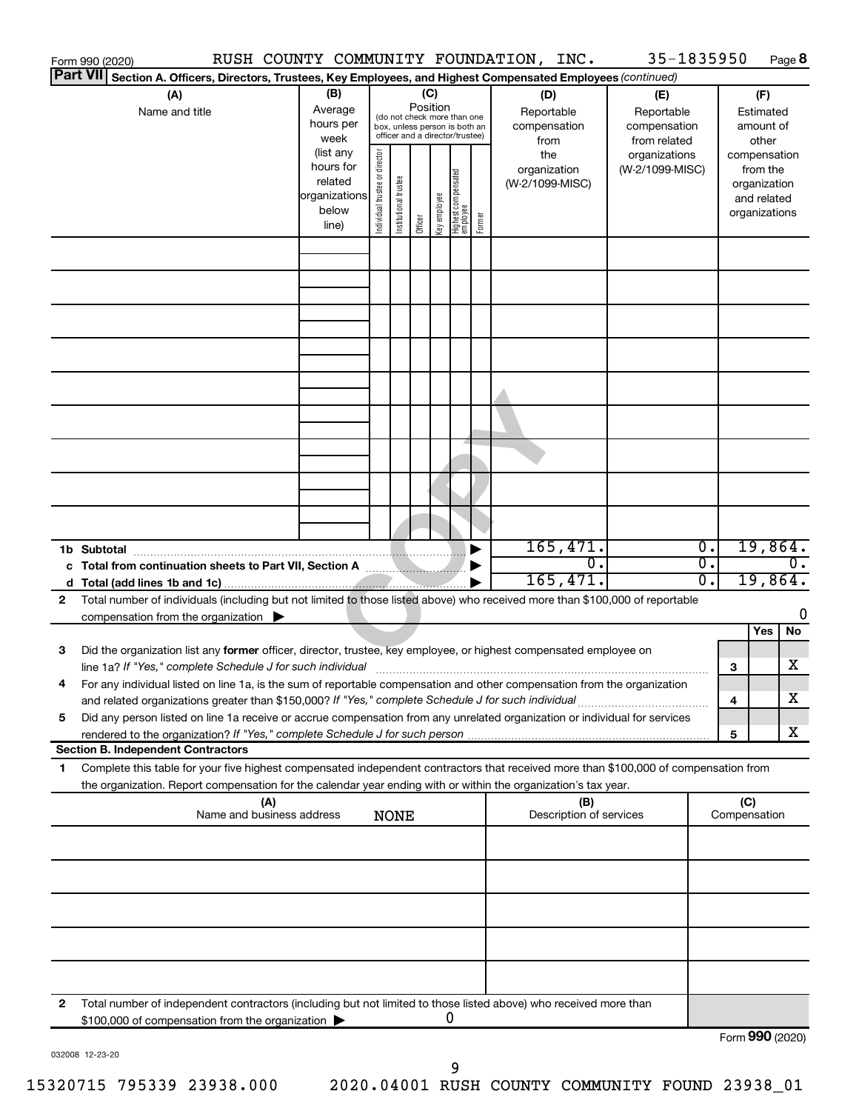|                 | Form 990 (2020)                                                                                                                                                                                                                                        | RUSH COUNTY COMMUNITY FOUNDATION, INC.                               |                                |                                                                                                                    |         |              |                                 |        |                                           | 35-1835950                                        |                                      |                     |                                                                          | Page 8    |
|-----------------|--------------------------------------------------------------------------------------------------------------------------------------------------------------------------------------------------------------------------------------------------------|----------------------------------------------------------------------|--------------------------------|--------------------------------------------------------------------------------------------------------------------|---------|--------------|---------------------------------|--------|-------------------------------------------|---------------------------------------------------|--------------------------------------|---------------------|--------------------------------------------------------------------------|-----------|
| <b>Part VII</b> | Section A. Officers, Directors, Trustees, Key Employees, and Highest Compensated Employees (continued)                                                                                                                                                 |                                                                      |                                |                                                                                                                    |         |              |                                 |        |                                           |                                                   |                                      |                     |                                                                          |           |
|                 | (A)<br>Name and title                                                                                                                                                                                                                                  | (B)<br>Average<br>hours per<br>week                                  |                                | (C)<br>Position<br>(do not check more than one<br>box, unless person is both an<br>officer and a director/trustee) |         |              |                                 |        | (D)<br>Reportable<br>compensation<br>from | (E)<br>Reportable<br>compensation<br>from related |                                      |                     | (F)<br>Estimated<br>amount of<br>other                                   |           |
|                 |                                                                                                                                                                                                                                                        | (list any<br>hours for<br>related<br>organizations<br>below<br>line) | Individual trustee or director | Institutional trustee                                                                                              | Officer | Key employee | Highest compensated<br>employee | Former | the<br>organization<br>(W-2/1099-MISC)    | organizations<br>(W-2/1099-MISC)                  |                                      |                     | compensation<br>from the<br>organization<br>and related<br>organizations |           |
|                 |                                                                                                                                                                                                                                                        |                                                                      |                                |                                                                                                                    |         |              |                                 |        |                                           |                                                   |                                      |                     |                                                                          |           |
|                 |                                                                                                                                                                                                                                                        |                                                                      |                                |                                                                                                                    |         |              |                                 |        |                                           |                                                   |                                      |                     |                                                                          |           |
|                 |                                                                                                                                                                                                                                                        |                                                                      |                                |                                                                                                                    |         |              |                                 |        |                                           |                                                   |                                      |                     |                                                                          |           |
|                 |                                                                                                                                                                                                                                                        |                                                                      |                                |                                                                                                                    |         |              |                                 |        |                                           |                                                   |                                      |                     |                                                                          |           |
|                 |                                                                                                                                                                                                                                                        |                                                                      |                                |                                                                                                                    |         |              |                                 |        |                                           |                                                   |                                      |                     |                                                                          |           |
|                 |                                                                                                                                                                                                                                                        |                                                                      |                                |                                                                                                                    |         |              |                                 |        |                                           |                                                   |                                      |                     |                                                                          |           |
|                 | 1b Subtotal                                                                                                                                                                                                                                            |                                                                      |                                |                                                                                                                    |         |              |                                 |        | 165,471.                                  |                                                   | $\overline{0}$ .                     |                     | 19,864.                                                                  |           |
|                 |                                                                                                                                                                                                                                                        |                                                                      |                                |                                                                                                                    |         |              |                                 |        | 0.<br>165,471.                            |                                                   | $\overline{0}$ .<br>$\overline{0}$ . |                     | 19,864.                                                                  | $0$ .     |
| 2               | Total number of individuals (including but not limited to those listed above) who received more than \$100,000 of reportable                                                                                                                           |                                                                      |                                |                                                                                                                    |         |              |                                 |        |                                           |                                                   |                                      |                     |                                                                          | 0         |
|                 | compensation from the organization $\blacktriangleright$                                                                                                                                                                                               |                                                                      |                                |                                                                                                                    |         |              |                                 |        |                                           |                                                   |                                      |                     | Yes                                                                      | <b>No</b> |
| 3               | Did the organization list any former officer, director, trustee, key employee, or highest compensated employee on<br>line 1a? If "Yes," complete Schedule J for such individual [11] manufacture in the content of the schedule J for such individual  |                                                                      |                                |                                                                                                                    |         |              |                                 |        |                                           |                                                   |                                      | 3                   |                                                                          | x         |
|                 | For any individual listed on line 1a, is the sum of reportable compensation and other compensation from the organization<br>and related organizations greater than \$150,000? If "Yes," complete Schedule J for such individual                        |                                                                      |                                |                                                                                                                    |         |              |                                 |        |                                           |                                                   |                                      | 4                   |                                                                          | х         |
| 5               | Did any person listed on line 1a receive or accrue compensation from any unrelated organization or individual for services<br>rendered to the organization? If "Yes," complete Schedule J for such person<br><b>Section B. Independent Contractors</b> |                                                                      |                                |                                                                                                                    |         |              |                                 |        |                                           |                                                   |                                      | 5                   |                                                                          | x         |
| 1               | Complete this table for your five highest compensated independent contractors that received more than \$100,000 of compensation from                                                                                                                   |                                                                      |                                |                                                                                                                    |         |              |                                 |        |                                           |                                                   |                                      |                     |                                                                          |           |
|                 | the organization. Report compensation for the calendar year ending with or within the organization's tax year.<br>(A)<br>Name and business address                                                                                                     |                                                                      |                                | <b>NONE</b>                                                                                                        |         |              |                                 |        | (B)<br>Description of services            |                                                   |                                      | (C)<br>Compensation |                                                                          |           |
|                 |                                                                                                                                                                                                                                                        |                                                                      |                                |                                                                                                                    |         |              |                                 |        |                                           |                                                   |                                      |                     |                                                                          |           |
|                 |                                                                                                                                                                                                                                                        |                                                                      |                                |                                                                                                                    |         |              |                                 |        |                                           |                                                   |                                      |                     |                                                                          |           |
|                 |                                                                                                                                                                                                                                                        |                                                                      |                                |                                                                                                                    |         |              |                                 |        |                                           |                                                   |                                      |                     |                                                                          |           |
|                 |                                                                                                                                                                                                                                                        |                                                                      |                                |                                                                                                                    |         |              |                                 |        |                                           |                                                   |                                      |                     |                                                                          |           |
| 2               | Total number of independent contractors (including but not limited to those listed above) who received more than<br>\$100,000 of compensation from the organization                                                                                    |                                                                      |                                |                                                                                                                    |         |              | 0                               |        |                                           |                                                   |                                      |                     |                                                                          |           |
|                 |                                                                                                                                                                                                                                                        |                                                                      |                                |                                                                                                                    |         |              |                                 |        |                                           |                                                   |                                      | Form 990 (2020)     |                                                                          |           |

032008 12-23-20

Form 990 (2020)

9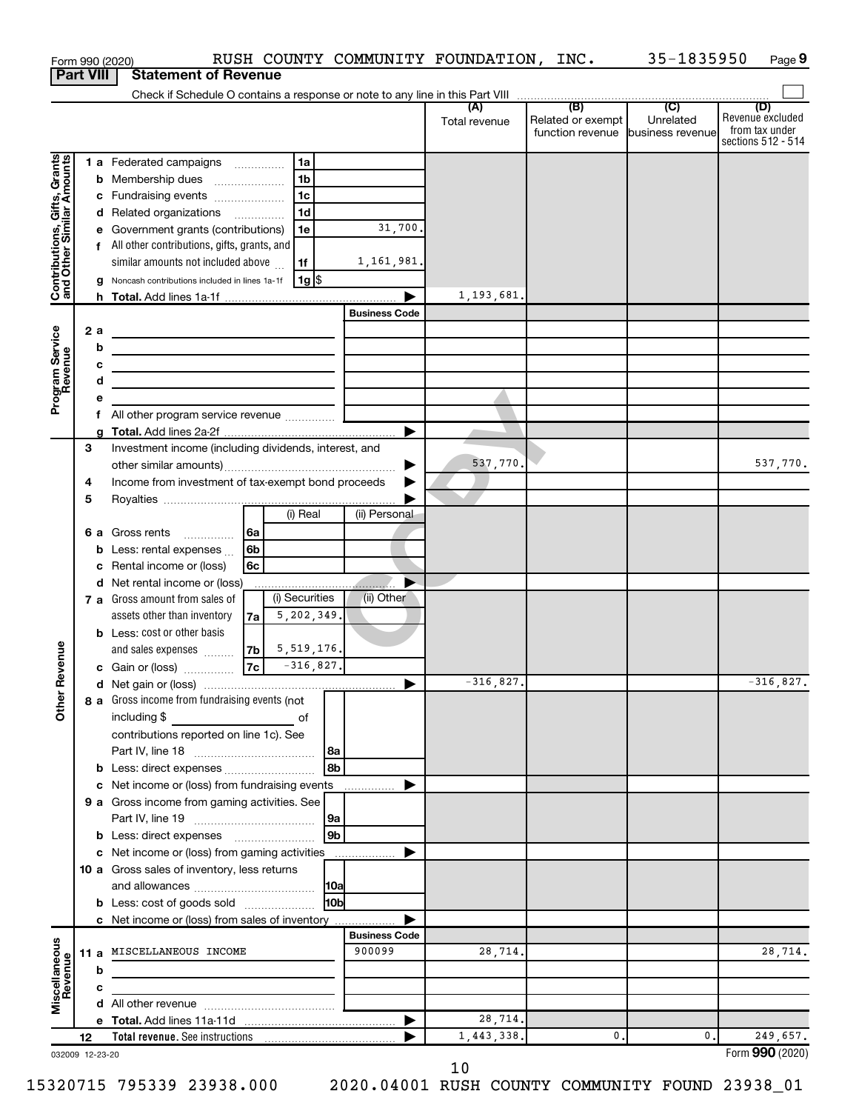|                                                           |    |        | Form 990 (2020)                                                                     |              |                |                      | RUSH COUNTY COMMUNITY FOUNDATION, INC. |                                       | 35-1835950                    | Page 9                                                          |
|-----------------------------------------------------------|----|--------|-------------------------------------------------------------------------------------|--------------|----------------|----------------------|----------------------------------------|---------------------------------------|-------------------------------|-----------------------------------------------------------------|
| <b>Part VIII</b>                                          |    |        | <b>Statement of Revenue</b>                                                         |              |                |                      |                                        |                                       |                               |                                                                 |
|                                                           |    |        |                                                                                     |              |                |                      | Total revenue                          | Related or exempt<br>function revenue | Unrelated<br>business revenue | (D)<br>Revenue excluded<br>from tax under<br>sections 512 - 514 |
|                                                           |    |        | <b>1 a</b> Federated campaigns                                                      |              | 1a             |                      |                                        |                                       |                               |                                                                 |
| Contributions, Gifts, Grants<br>and Other Similar Amounts |    |        | <b>b</b> Membership dues                                                            |              | 1 <sub>b</sub> |                      |                                        |                                       |                               |                                                                 |
|                                                           |    |        | c Fundraising events                                                                |              | 1 <sub>c</sub> |                      |                                        |                                       |                               |                                                                 |
|                                                           |    |        | d Related organizations                                                             |              | 1 <sub>d</sub> |                      |                                        |                                       |                               |                                                                 |
|                                                           |    |        | e Government grants (contributions)                                                 |              | 1e             | 31,700.              |                                        |                                       |                               |                                                                 |
|                                                           |    |        | f All other contributions, gifts, grants, and<br>similar amounts not included above |              | 1f             | 1,161,981.           |                                        |                                       |                               |                                                                 |
|                                                           |    |        | g Noncash contributions included in lines 1a-1f                                     |              | 1g   \$        |                      |                                        |                                       |                               |                                                                 |
|                                                           |    |        |                                                                                     |              |                |                      | 1,193,681.                             |                                       |                               |                                                                 |
|                                                           |    |        |                                                                                     |              |                | <b>Business Code</b> |                                        |                                       |                               |                                                                 |
|                                                           |    | 2a     |                                                                                     |              |                |                      |                                        |                                       |                               |                                                                 |
|                                                           |    | b      | the contract of the contract of the contract of the contract of the contract of     |              |                |                      |                                        |                                       |                               |                                                                 |
|                                                           |    | c      | <u> 1989 - Johann Barn, amerikansk politiker (d. 1989)</u>                          |              |                |                      |                                        |                                       |                               |                                                                 |
| Program Service                                           |    | d      | the control of the control of the control of the control of the control of          |              |                |                      |                                        |                                       |                               |                                                                 |
|                                                           |    | е      | f All other program service revenue                                                 |              |                |                      |                                        |                                       |                               |                                                                 |
|                                                           |    |        |                                                                                     |              |                |                      |                                        |                                       |                               |                                                                 |
|                                                           | 3  |        | Investment income (including dividends, interest, and                               |              |                |                      |                                        |                                       |                               |                                                                 |
|                                                           |    |        |                                                                                     |              |                | ▶                    | 537,770.                               |                                       |                               | 537,770.                                                        |
|                                                           | 4  |        | Income from investment of tax-exempt bond proceeds                                  |              |                |                      |                                        |                                       |                               |                                                                 |
|                                                           | 5  |        |                                                                                     |              |                |                      |                                        |                                       |                               |                                                                 |
|                                                           |    |        |                                                                                     |              | (i) Real       | (ii) Personal        |                                        |                                       |                               |                                                                 |
|                                                           |    | 6а     | Gross rents                                                                         | 6a<br>6b     |                |                      |                                        |                                       |                               |                                                                 |
|                                                           |    | b<br>c | Less: rental expenses<br>Rental income or (loss)                                    | 6c           |                |                      |                                        |                                       |                               |                                                                 |
|                                                           |    |        | d Net rental income or (loss)                                                       |              |                |                      |                                        |                                       |                               |                                                                 |
|                                                           |    |        | 7 a Gross amount from sales of                                                      |              | (i) Securities | (ii) Other           |                                        |                                       |                               |                                                                 |
|                                                           |    |        | assets other than inventory                                                         | 7a           | 5,202,349.     |                      |                                        |                                       |                               |                                                                 |
|                                                           |    |        | <b>b</b> Less: cost or other basis                                                  |              |                |                      |                                        |                                       |                               |                                                                 |
| venue                                                     |    |        | and sales expenses                                                                  | 7b           | 5,519,176.     |                      |                                        |                                       |                               |                                                                 |
|                                                           |    |        | c Gain or (loss)                                                                    | 7c           | $-316,827.$    |                      |                                        |                                       |                               |                                                                 |
| Other R                                                   |    |        | 8 a Gross income from fundraising events (not                                       |              |                |                      | $-316,827.$                            |                                       |                               | $-316,827.$                                                     |
|                                                           |    |        | including \$                                                                        | <u>of</u> of |                |                      |                                        |                                       |                               |                                                                 |
|                                                           |    |        | contributions reported on line 1c). See                                             |              |                |                      |                                        |                                       |                               |                                                                 |
|                                                           |    |        |                                                                                     |              | 8a             |                      |                                        |                                       |                               |                                                                 |
|                                                           |    | b      | Less: direct expenses                                                               |              | l 8b           |                      |                                        |                                       |                               |                                                                 |
|                                                           |    | с      | Net income or (loss) from fundraising events                                        |              |                | .                    |                                        |                                       |                               |                                                                 |
|                                                           |    |        | 9 a Gross income from gaming activities. See                                        |              |                |                      |                                        |                                       |                               |                                                                 |
|                                                           |    |        |                                                                                     |              | 9a<br>l 9b     |                      |                                        |                                       |                               |                                                                 |
|                                                           |    | с      | Net income or (loss) from gaming activities                                         |              |                |                      |                                        |                                       |                               |                                                                 |
|                                                           |    |        | 10 a Gross sales of inventory, less returns                                         |              |                |                      |                                        |                                       |                               |                                                                 |
|                                                           |    |        |                                                                                     |              | 10a            |                      |                                        |                                       |                               |                                                                 |
|                                                           |    |        | <b>b</b> Less: cost of goods sold                                                   |              | l10bl          |                      |                                        |                                       |                               |                                                                 |
|                                                           |    |        | c Net income or (loss) from sales of inventory                                      |              |                |                      |                                        |                                       |                               |                                                                 |
|                                                           |    |        |                                                                                     |              |                | <b>Business Code</b> |                                        |                                       |                               |                                                                 |
|                                                           |    |        | 11 a MISCELLANEOUS INCOME                                                           |              |                | 900099               | 28,714.                                |                                       |                               | 28,714.                                                         |
| Miscellaneous<br>Revenue                                  |    | b      |                                                                                     |              |                |                      |                                        |                                       |                               |                                                                 |
|                                                           |    | c      |                                                                                     |              |                |                      |                                        |                                       |                               |                                                                 |
|                                                           |    | d      |                                                                                     |              |                | ▶                    | 28,714.                                |                                       |                               |                                                                 |
|                                                           | 12 |        |                                                                                     |              |                |                      | 1,443,338.                             | 0.                                    | 0.                            | 249,657.                                                        |
| 032009 12-23-20                                           |    |        |                                                                                     |              |                |                      |                                        |                                       |                               | Form 990 (2020)                                                 |

10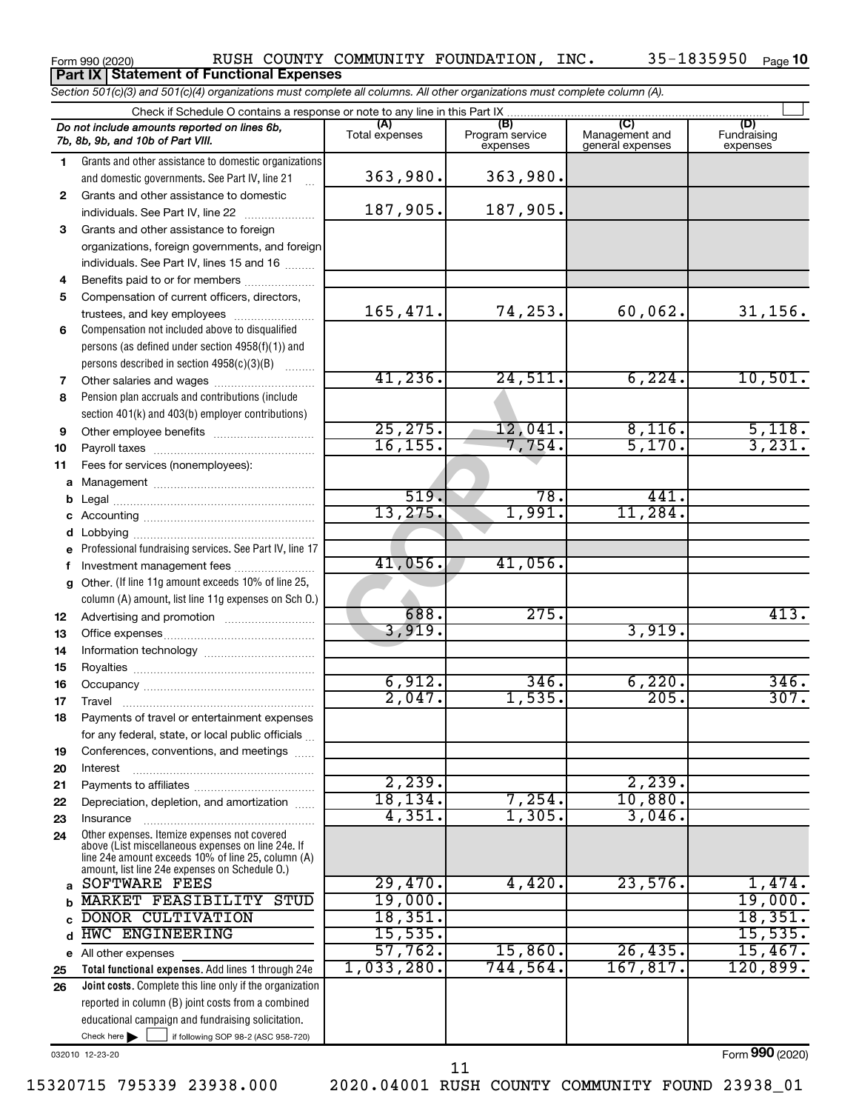Form 990 (2020) Page RUSH COUNTY COMMUNITY FOUNDATION, INC. 35-1835950

expenses

 $\Box$ 

**(A) (B) (C) (D)** Fundraising **1 2 3** Grants and other assistance to foreign **4 5 6 7 8 9 10 11 a** Management ~~~~~~~~~~~~~~~~ **b** *Section 501(c)(3) and 501(c)(4) organizations must complete all columns. All other organizations must complete column (A).* Grants and other assistance to domestic organizations and domestic governments. See Part IV, line 21 Compensation not included above to disqualified persons (as defined under section 4958(f)(1)) and persons described in section  $4958(c)(3)(B)$   $\ldots$ Pension plan accruals and contributions (include section 401(k) and 403(b) employer contributions) Check if Schedule O contains a response or note to any line in this Part IX Total expenses Program service expenses Management and general expenses .<br>... Grants and other assistance to domestic  $individuals. See Part IV, line 22$  ........... organizations, foreign governments, and foreign individuals. See Part IV, lines 15 and 16  $\ldots$ Benefits paid to or for members .................... Compensation of current officers, directors, trustees, and key employees ........................ Other salaries and wages ~~~~~~~~~~ Other employee benefits ~~~~~~~~~~ Payroll taxes ~~~~~~~~~~~~~~~~ Fees for services (nonemployees): Legal ~~~~~~~~~~~~~~~~~~~~ *Do not include amounts reported on lines 6b, 7b, 8b, 9b, and 10b of Part VIII.* **Part IX Statement of Functional Expenses** 363,980. 363,980. 187,905. 187,905. 165,471. 74,253. 60,062. 31,156. 41,236. 24,511. 6,224. 10,501. 25,275. 12,041. 8,116. 5,118. 16,155. 7,754. 5,170. 3,231. 519. 78. 441.

25, 275.<br>
16, 155.<br>
17, 754.<br>
519.<br>
78.<br>
13, 275.<br>
41, 056.<br>
41, 056.<br>
41, 056.<br>
275.<br>
3, 919.<br>
275. **c d e f g 12 13 14 15 16 17 18 19 20 21 22 23 24 a b c d** Professional fundraising services. See Part IV, line 17 Other. (If line 11g amount exceeds 10% of line 25, column (A) amount, list line 11g expenses on Sch O.) Other expenses. Itemize expenses not covered above (List miscellaneous expenses on line 24e. If line 24e amount exceeds 10% of line 25, column (A) amount, list line 24e expenses on Schedule O.) Accounting ~~~~~~~~~~~~~~~~~ Lobbying ~~~~~~~~~~~~~~~~~~ Investment management fees ....................... Advertising and promotion ........................... Office expenses ~~~~~~~~~~~~~~~ Information technology ~~~~~~~~~~~ Royalties ~~~~~~~~~~~~~~~~~~ Occupancy ~~~~~~~~~~~~~~~~~ Travel ~~~~~~~~~~~~~~~~~~~ Payments of travel or entertainment expenses for any federal, state, or local public officials ... Conferences, conventions, and meetings Interest ~~~~~~~~~~~~~~~~~~ Payments to affiliates ~~~~~~~~~~~~ Depreciation, depletion, and amortization ...... Insurance ~~~~~~~~~~~~~~~~~ 13,275. 1,991. 11,284. 41,056. 41,056. 688. 275. 413. 3,919. 3,919.  $\begin{array}{|c|c|c|c|c|c|}\n\hline\n6,912. & \hspace{1.5cm} 346. & \hspace{1.5cm} 6,220. & \hspace{1.5cm} 346. & \ \hline\n\end{array}$ 2,047. 1,535. 205. 307. 2,239. 2,239. 18,134. 7,254. 10,880. 4,351. 1,305. 3,046. SOFTWARE FEES 29,470. 4,420. 23,576. 1,474. MARKET FEASIBILITY STUD | 19,000. | | | | | | | | 19,000. DONOR CULTIVATION 18,351. 18. 18,351. HWC ENGINEERING 15,535. 15,535.

Check here  $\begin{array}{c} \begin{array}{|c} \hline \end{array} \end{array}$  if following SOP 98-2 (ASC 958-720) **Total functional expenses.**  Add lines 1 through 24e **Joint costs.** Complete this line only if the organization **e 25 26** reported in column (B) joint costs from a combined educational campaign and fundraising solicitation. All other expenses Check here |

032010 12-23-20

Form (2020) **990**

15320715 795339 23938.000 2020.04001 RUSH COUNTY COMMUNITY FOUND 23938\_01

11

57,762. 15,860. 26,435. 15,467. 1,033,280. 744,564. 167,817. 120,899.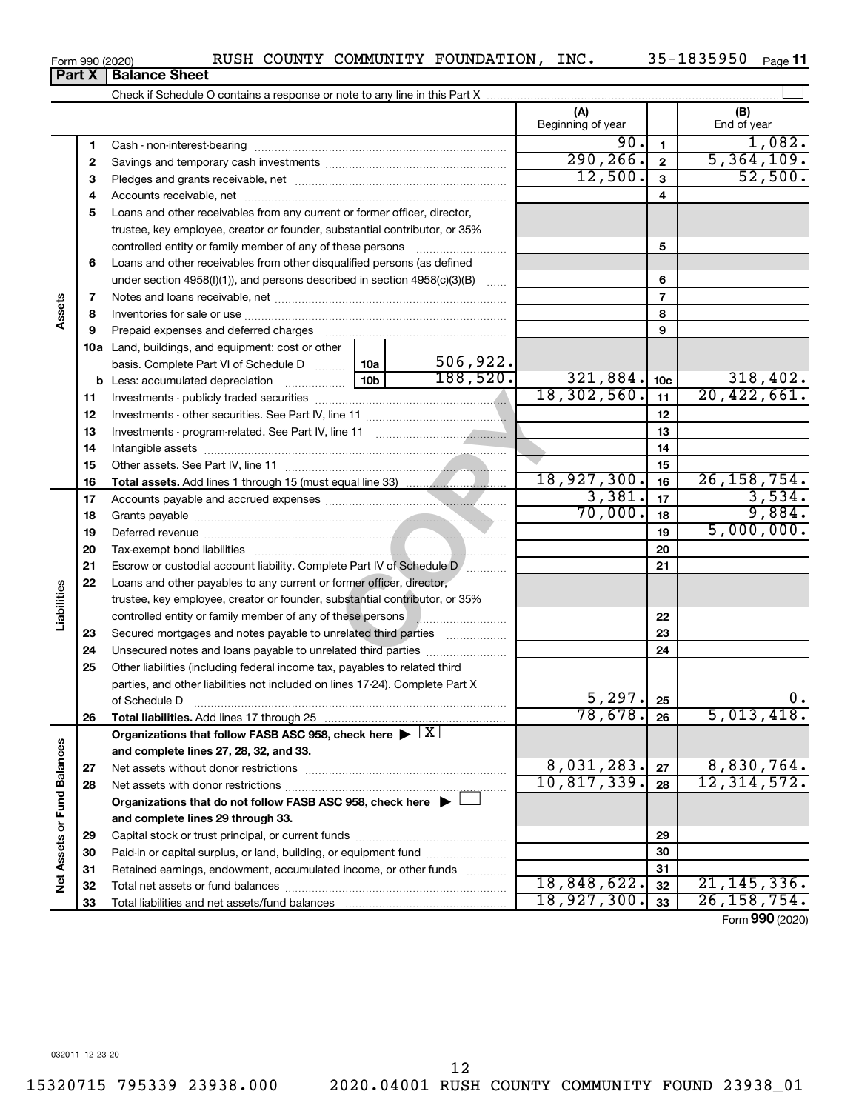$\overline{\phantom{0}}$ 

| Form 990 (2020) |                                                                            | COUNTY | COMMUNITY FOUNDATION | INC. | Page |  |
|-----------------|----------------------------------------------------------------------------|--------|----------------------|------|------|--|
|                 | <b>Part X   Balance Sheet</b>                                              |        |                      |      |      |  |
|                 | Check if Schedule O contains a response or note to any line in this Part X |        |                      |      |      |  |

|                             |          |                                                                                                    |                 |                  | (A)<br>Beginning of year |                 | (B)<br>End of year |
|-----------------------------|----------|----------------------------------------------------------------------------------------------------|-----------------|------------------|--------------------------|-----------------|--------------------|
|                             | 1        |                                                                                                    |                 |                  | 90.                      | $\mathbf{1}$    | 1,082.             |
|                             | 2        |                                                                                                    |                 |                  | 290, 266.                | $\overline{2}$  | 5,364,109.         |
|                             | з        |                                                                                                    |                 |                  | 12,500.                  | 3               | 52,500.            |
|                             | 4        |                                                                                                    |                 |                  |                          | 4               |                    |
|                             | 5        | Loans and other receivables from any current or former officer, director,                          |                 |                  |                          |                 |                    |
|                             |          | trustee, key employee, creator or founder, substantial contributor, or 35%                         |                 |                  |                          |                 |                    |
|                             |          | controlled entity or family member of any of these persons [                                       |                 |                  |                          | 5               |                    |
|                             | 6        | Loans and other receivables from other disqualified persons (as defined                            |                 |                  |                          |                 |                    |
|                             |          | under section 4958(f)(1)), and persons described in section 4958(c)(3)(B)                          |                 | $\sim$           |                          | 6               |                    |
|                             | 7        |                                                                                                    |                 |                  | $\overline{7}$           |                 |                    |
| Assets                      | 8        |                                                                                                    |                 |                  |                          | 8               |                    |
|                             | 9        |                                                                                                    |                 |                  |                          | 9               |                    |
|                             |          | 10a Land, buildings, and equipment: cost or other                                                  |                 |                  |                          |                 |                    |
|                             |          | basis. Complete Part VI of Schedule D                                                              |                 | 506, 922.<br>10a |                          |                 |                    |
|                             |          |                                                                                                    | 10 <sub>b</sub> | 188,520.         | 321,884.                 | 10 <sub>c</sub> | 318,402.           |
|                             | 11       |                                                                                                    | 18,302,560.     | 11               | 20,422,661.              |                 |                    |
|                             | 12       |                                                                                                    |                 | 12               |                          |                 |                    |
|                             | 13       |                                                                                                    |                 | 13               |                          |                 |                    |
|                             | 14       |                                                                                                    |                 | 14               |                          |                 |                    |
|                             | 15       |                                                                                                    |                 | 15               |                          |                 |                    |
|                             | 16       |                                                                                                    |                 |                  | 18,927,300.              | 16              | 26, 158, 754.      |
|                             | 17       |                                                                                                    |                 |                  | 3,381.                   | 17              | 3,534.             |
|                             | 18       |                                                                                                    | 70,000.         | 18               | 9,884.                   |                 |                    |
|                             | 19       |                                                                                                    |                 | 19               | 5,000,000.               |                 |                    |
|                             | 20       |                                                                                                    |                 | 20               |                          |                 |                    |
|                             | 21       | Escrow or custodial account liability. Complete Part IV of Schedule D [                            |                 |                  |                          | 21              |                    |
|                             | 22       | Loans and other payables to any current or former officer, director,                               |                 |                  |                          |                 |                    |
| Liabilities                 |          | trustee, key employee, creator or founder, substantial contributor, or 35%                         |                 |                  |                          |                 |                    |
|                             |          | controlled entity or family member of any of these persons <b>with an entity of family members</b> |                 |                  |                          | 22              |                    |
|                             | 23       | Secured mortgages and notes payable to unrelated third parties                                     |                 |                  |                          | 23              |                    |
|                             | 24       | Unsecured notes and loans payable to unrelated third parties                                       |                 |                  |                          | 24              |                    |
|                             | 25       | Other liabilities (including federal income tax, payables to related third                         |                 |                  |                          |                 |                    |
|                             |          | parties, and other liabilities not included on lines 17-24). Complete Part X                       |                 |                  |                          |                 |                    |
|                             |          | of Schedule D                                                                                      |                 |                  | 5, 297.<br>78,678.       | 25              | Ο.<br>5,013,418.   |
|                             | 26       |                                                                                                    |                 |                  |                          | 26              |                    |
|                             |          | Organizations that follow FASB ASC 958, check here $\blacktriangleright \boxed{X}$                 |                 |                  |                          |                 |                    |
|                             |          | and complete lines 27, 28, 32, and 33.                                                             |                 |                  | 8,031,283.               | 27              | 8,830,764.         |
|                             | 27       |                                                                                                    |                 |                  | 10,817,339.              | 28              | 12, 314, 572.      |
|                             | 28       | Organizations that do not follow FASB ASC 958, check here $\blacktriangleright$                    |                 |                  |                          |                 |                    |
|                             |          | and complete lines 29 through 33.                                                                  |                 |                  |                          |                 |                    |
| Net Assets or Fund Balances |          |                                                                                                    |                 |                  | 29                       |                 |                    |
|                             | 29<br>30 | Paid-in or capital surplus, or land, building, or equipment fund                                   |                 |                  |                          | 30              |                    |
|                             | 31       | Retained earnings, endowment, accumulated income, or other funds                                   |                 |                  |                          | 31              |                    |
|                             | 32       |                                                                                                    |                 | 18,848,622.      | 32                       | 21, 145, 336.   |                    |
|                             | 33       |                                                                                                    |                 |                  | 18,927,300.              | 33              | 26, 158, 754.      |

Form (2020) **990**

12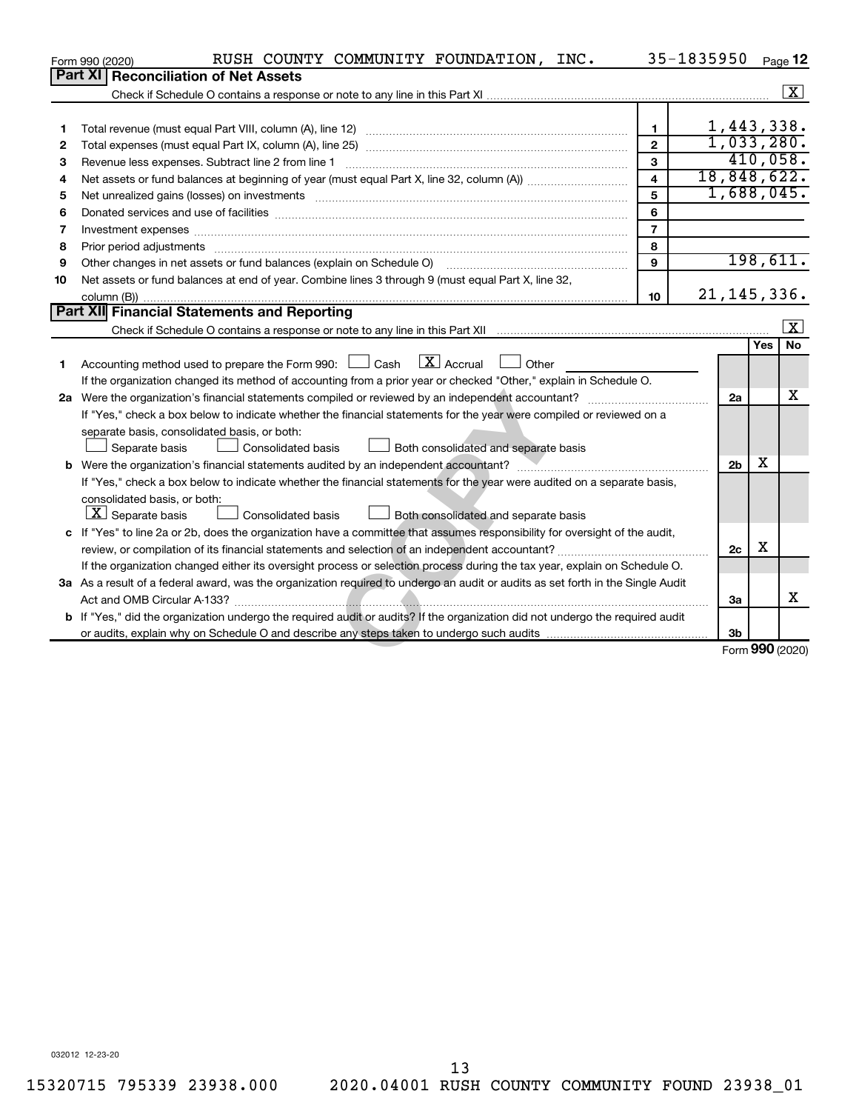|    | RUSH COUNTY COMMUNITY FOUNDATION, INC.<br>Form 990 (2020)                                                                                                                                                                      |                         | 35-1835950 |                |     | Page 12                 |
|----|--------------------------------------------------------------------------------------------------------------------------------------------------------------------------------------------------------------------------------|-------------------------|------------|----------------|-----|-------------------------|
|    | Part XI   Reconciliation of Net Assets                                                                                                                                                                                         |                         |            |                |     |                         |
|    |                                                                                                                                                                                                                                |                         |            |                |     | $\boxed{\textbf{X}}$    |
|    |                                                                                                                                                                                                                                |                         |            |                |     |                         |
| 1  |                                                                                                                                                                                                                                | $\mathbf{1}$            |            | 1,443,338.     |     |                         |
| 2  |                                                                                                                                                                                                                                | $\overline{2}$          |            | 1,033,280.     |     |                         |
| 3  | Revenue less expenses. Subtract line 2 from line 1                                                                                                                                                                             | 3                       |            |                |     | 410,058.                |
| 4  |                                                                                                                                                                                                                                | $\overline{\mathbf{A}}$ |            |                |     | 18,848,622.             |
| 5  | Net unrealized gains (losses) on investments [11] matter contracts and the state of the state of the state of the state of the state of the state of the state of the state of the state of the state of the state of the stat | 5                       |            |                |     | 1,688,045.              |
| 6  |                                                                                                                                                                                                                                | 6                       |            |                |     |                         |
| 7  |                                                                                                                                                                                                                                | $\overline{7}$          |            |                |     |                         |
| 8  | Prior period adjustments www.communication.communication.com/news/communication.com/news/communication.com/news/                                                                                                               | 8                       |            |                |     |                         |
| 9  | Other changes in net assets or fund balances (explain on Schedule O)                                                                                                                                                           | 9                       |            |                |     | 198,611.                |
| 10 | Net assets or fund balances at end of year. Combine lines 3 through 9 (must equal Part X, line 32,                                                                                                                             |                         |            |                |     |                         |
|    |                                                                                                                                                                                                                                | 10                      |            | 21, 145, 336.  |     |                         |
|    | Part XII Financial Statements and Reporting                                                                                                                                                                                    |                         |            |                |     |                         |
|    |                                                                                                                                                                                                                                |                         |            |                |     | $\overline{\mathbf{x}}$ |
|    |                                                                                                                                                                                                                                |                         |            |                | Yes | <b>No</b>               |
| 1  | $\boxed{\text{X}}$ Accrual<br>Accounting method used to prepare the Form 990: $\Box$ Cash<br>Other                                                                                                                             |                         |            |                |     |                         |
|    | If the organization changed its method of accounting from a prior year or checked "Other," explain in Schedule O.                                                                                                              |                         |            |                |     |                         |
|    |                                                                                                                                                                                                                                |                         |            | 2a             |     | x                       |
|    | If "Yes," check a box below to indicate whether the financial statements for the year were compiled or reviewed on a                                                                                                           |                         |            |                |     |                         |
|    | separate basis, consolidated basis, or both:                                                                                                                                                                                   |                         |            |                |     |                         |
|    | Separate basis<br>Consolidated basis<br><b>Both consolidated and separate basis</b>                                                                                                                                            |                         |            |                |     |                         |
|    | b Were the organization's financial statements audited by an independent accountant?                                                                                                                                           |                         |            | 2 <sub>b</sub> | x   |                         |
|    | If "Yes," check a box below to indicate whether the financial statements for the year were audited on a separate basis,                                                                                                        |                         |            |                |     |                         |
|    | consolidated basis, or both:                                                                                                                                                                                                   |                         |            |                |     |                         |
|    | $\boxed{\textbf{X}}$ Separate basis<br>Consolidated basis<br>Both consolidated and separate basis                                                                                                                              |                         |            |                |     |                         |
|    | c If "Yes" to line 2a or 2b, does the organization have a committee that assumes responsibility for oversight of the audit,                                                                                                    |                         |            |                | х   |                         |
|    |                                                                                                                                                                                                                                |                         |            | 2c             |     |                         |
|    | If the organization changed either its oversight process or selection process during the tax year, explain on Schedule O.                                                                                                      |                         |            |                |     |                         |
|    | 3a As a result of a federal award, was the organization required to undergo an audit or audits as set forth in the Single Audit                                                                                                |                         |            |                |     | x                       |
|    |                                                                                                                                                                                                                                |                         |            | 3a             |     |                         |
|    | b If "Yes," did the organization undergo the required audit or audits? If the organization did not undergo the required audit                                                                                                  |                         |            |                |     |                         |
|    |                                                                                                                                                                                                                                |                         |            | 3 <sub>b</sub> |     | Form 990 (2020)         |
|    |                                                                                                                                                                                                                                |                         |            |                |     |                         |

032012 12-23-20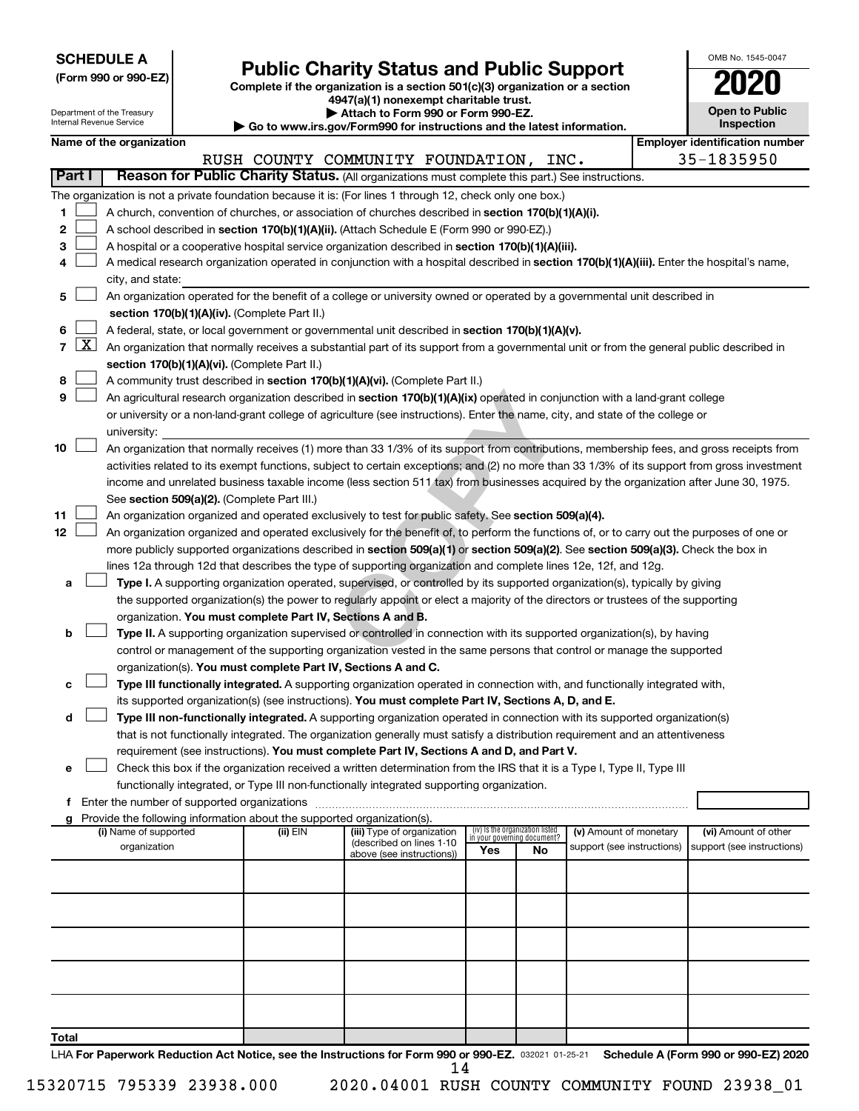| <b>SCHEDULE A</b> |  |
|-------------------|--|
|-------------------|--|

Department of the Treasury a mon<br>sel Der

|  |  | (Form 990 or 990-EZ) |
|--|--|----------------------|
|  |  |                      |

Form 990 or 990-EZ) **Public Charity Status and Public Support**<br>
Complete if the organization is a section 501(c)(3) organization or a section<br> **2020** 

**4947(a)(1) nonexempt charitable trust. | Attach to Form 990 or Form 990-EZ.** 

| to www.irs.gov/Form990 for instructions and the latest information |  |
|--------------------------------------------------------------------|--|

| OMB No 1545-0047                    |
|-------------------------------------|
| 020                                 |
| <b>Open to Public</b><br>Inspection |

|                |                     | internal Revenue Service                                                                                                                                                                   |  |                                                                        | $\blacktriangleright$ Go to www.irs.gov/Form990 for instructions and the latest information.                                                 |     |                                                                |                                                      |  | <b>Inspection</b>                                  |  |  |  |  |  |
|----------------|---------------------|--------------------------------------------------------------------------------------------------------------------------------------------------------------------------------------------|--|------------------------------------------------------------------------|----------------------------------------------------------------------------------------------------------------------------------------------|-----|----------------------------------------------------------------|------------------------------------------------------|--|----------------------------------------------------|--|--|--|--|--|
|                |                     | Name of the organization                                                                                                                                                                   |  |                                                                        |                                                                                                                                              |     |                                                                |                                                      |  | <b>Employer identification number</b>              |  |  |  |  |  |
|                | <b>Part I</b>       |                                                                                                                                                                                            |  |                                                                        | RUSH COUNTY COMMUNITY FOUNDATION, INC.<br>Reason for Public Charity Status. (All organizations must complete this part.) See instructions.   |     |                                                                |                                                      |  | 35-1835950                                         |  |  |  |  |  |
|                |                     |                                                                                                                                                                                            |  |                                                                        | The organization is not a private foundation because it is: (For lines 1 through 12, check only one box.)                                    |     |                                                                |                                                      |  |                                                    |  |  |  |  |  |
| 1              |                     |                                                                                                                                                                                            |  |                                                                        | A church, convention of churches, or association of churches described in section 170(b)(1)(A)(i).                                           |     |                                                                |                                                      |  |                                                    |  |  |  |  |  |
| 2              |                     |                                                                                                                                                                                            |  |                                                                        | A school described in section 170(b)(1)(A)(ii). (Attach Schedule E (Form 990 or 990-EZ).)                                                    |     |                                                                |                                                      |  |                                                    |  |  |  |  |  |
| 3              |                     |                                                                                                                                                                                            |  |                                                                        | A hospital or a cooperative hospital service organization described in section 170(b)(1)(A)(iii).                                            |     |                                                                |                                                      |  |                                                    |  |  |  |  |  |
| 4              |                     |                                                                                                                                                                                            |  |                                                                        | A medical research organization operated in conjunction with a hospital described in section 170(b)(1)(A)(iii). Enter the hospital's name,   |     |                                                                |                                                      |  |                                                    |  |  |  |  |  |
|                |                     | city, and state:                                                                                                                                                                           |  |                                                                        |                                                                                                                                              |     |                                                                |                                                      |  |                                                    |  |  |  |  |  |
| 5              |                     |                                                                                                                                                                                            |  |                                                                        | An organization operated for the benefit of a college or university owned or operated by a governmental unit described in                    |     |                                                                |                                                      |  |                                                    |  |  |  |  |  |
|                |                     |                                                                                                                                                                                            |  | section 170(b)(1)(A)(iv). (Complete Part II.)                          |                                                                                                                                              |     |                                                                |                                                      |  |                                                    |  |  |  |  |  |
| 6              |                     |                                                                                                                                                                                            |  |                                                                        | A federal, state, or local government or governmental unit described in section 170(b)(1)(A)(v).                                             |     |                                                                |                                                      |  |                                                    |  |  |  |  |  |
| $\overline{7}$ | $\lfloor x \rfloor$ |                                                                                                                                                                                            |  |                                                                        |                                                                                                                                              |     |                                                                |                                                      |  |                                                    |  |  |  |  |  |
|                |                     | An organization that normally receives a substantial part of its support from a governmental unit or from the general public described in<br>section 170(b)(1)(A)(vi). (Complete Part II.) |  |                                                                        |                                                                                                                                              |     |                                                                |                                                      |  |                                                    |  |  |  |  |  |
| 8              |                     | A community trust described in section 170(b)(1)(A)(vi). (Complete Part II.)                                                                                                               |  |                                                                        |                                                                                                                                              |     |                                                                |                                                      |  |                                                    |  |  |  |  |  |
| 9              |                     | An agricultural research organization described in section 170(b)(1)(A)(ix) operated in conjunction with a land-grant college                                                              |  |                                                                        |                                                                                                                                              |     |                                                                |                                                      |  |                                                    |  |  |  |  |  |
|                |                     | or university or a non-land-grant college of agriculture (see instructions). Enter the name, city, and state of the college or                                                             |  |                                                                        |                                                                                                                                              |     |                                                                |                                                      |  |                                                    |  |  |  |  |  |
|                |                     | university:                                                                                                                                                                                |  |                                                                        |                                                                                                                                              |     |                                                                |                                                      |  |                                                    |  |  |  |  |  |
| 10             |                     |                                                                                                                                                                                            |  |                                                                        | An organization that normally receives (1) more than 33 1/3% of its support from contributions, membership fees, and gross receipts from     |     |                                                                |                                                      |  |                                                    |  |  |  |  |  |
|                |                     |                                                                                                                                                                                            |  |                                                                        | activities related to its exempt functions, subject to certain exceptions; and (2) no more than 33 1/3% of its support from gross investment |     |                                                                |                                                      |  |                                                    |  |  |  |  |  |
|                |                     |                                                                                                                                                                                            |  |                                                                        | income and unrelated business taxable income (less section 511 tax) from businesses acquired by the organization after June 30, 1975.        |     |                                                                |                                                      |  |                                                    |  |  |  |  |  |
|                |                     |                                                                                                                                                                                            |  | See section 509(a)(2). (Complete Part III.)                            |                                                                                                                                              |     |                                                                |                                                      |  |                                                    |  |  |  |  |  |
| 11             |                     |                                                                                                                                                                                            |  |                                                                        | An organization organized and operated exclusively to test for public safety. See section 509(a)(4).                                         |     |                                                                |                                                      |  |                                                    |  |  |  |  |  |
| 12             |                     |                                                                                                                                                                                            |  |                                                                        | An organization organized and operated exclusively for the benefit of, to perform the functions of, or to carry out the purposes of one or   |     |                                                                |                                                      |  |                                                    |  |  |  |  |  |
|                |                     |                                                                                                                                                                                            |  |                                                                        | more publicly supported organizations described in section 509(a)(1) or section 509(a)(2). See section 509(a)(3). Check the box in           |     |                                                                |                                                      |  |                                                    |  |  |  |  |  |
|                |                     |                                                                                                                                                                                            |  |                                                                        | lines 12a through 12d that describes the type of supporting organization and complete lines 12e, 12f, and 12g.                               |     |                                                                |                                                      |  |                                                    |  |  |  |  |  |
| а              |                     |                                                                                                                                                                                            |  |                                                                        | Type I. A supporting organization operated, supervised, or controlled by its supported organization(s), typically by giving                  |     |                                                                |                                                      |  |                                                    |  |  |  |  |  |
|                |                     |                                                                                                                                                                                            |  |                                                                        | the supported organization(s) the power to regularly appoint or elect a majority of the directors or trustees of the supporting              |     |                                                                |                                                      |  |                                                    |  |  |  |  |  |
|                |                     |                                                                                                                                                                                            |  | organization. You must complete Part IV, Sections A and B.             |                                                                                                                                              |     |                                                                |                                                      |  |                                                    |  |  |  |  |  |
| b              |                     |                                                                                                                                                                                            |  |                                                                        | Type II. A supporting organization supervised or controlled in connection with its supported organization(s), by having                      |     |                                                                |                                                      |  |                                                    |  |  |  |  |  |
|                |                     |                                                                                                                                                                                            |  |                                                                        | control or management of the supporting organization vested in the same persons that control or manage the supported                         |     |                                                                |                                                      |  |                                                    |  |  |  |  |  |
|                |                     |                                                                                                                                                                                            |  | organization(s). You must complete Part IV, Sections A and C.          | Type III functionally integrated. A supporting organization operated in connection with, and functionally integrated with,                   |     |                                                                |                                                      |  |                                                    |  |  |  |  |  |
| с              |                     |                                                                                                                                                                                            |  |                                                                        | its supported organization(s) (see instructions). You must complete Part IV, Sections A, D, and E.                                           |     |                                                                |                                                      |  |                                                    |  |  |  |  |  |
| d              |                     |                                                                                                                                                                                            |  |                                                                        | Type III non-functionally integrated. A supporting organization operated in connection with its supported organization(s)                    |     |                                                                |                                                      |  |                                                    |  |  |  |  |  |
|                |                     |                                                                                                                                                                                            |  |                                                                        | that is not functionally integrated. The organization generally must satisfy a distribution requirement and an attentiveness                 |     |                                                                |                                                      |  |                                                    |  |  |  |  |  |
|                |                     |                                                                                                                                                                                            |  |                                                                        | requirement (see instructions). You must complete Part IV, Sections A and D, and Part V.                                                     |     |                                                                |                                                      |  |                                                    |  |  |  |  |  |
| е              |                     |                                                                                                                                                                                            |  |                                                                        | Check this box if the organization received a written determination from the IRS that it is a Type I, Type II, Type III                      |     |                                                                |                                                      |  |                                                    |  |  |  |  |  |
|                |                     |                                                                                                                                                                                            |  |                                                                        | functionally integrated, or Type III non-functionally integrated supporting organization.                                                    |     |                                                                |                                                      |  |                                                    |  |  |  |  |  |
| f              |                     |                                                                                                                                                                                            |  |                                                                        |                                                                                                                                              |     |                                                                |                                                      |  |                                                    |  |  |  |  |  |
| a              |                     |                                                                                                                                                                                            |  | Provide the following information about the supported organization(s). |                                                                                                                                              |     |                                                                |                                                      |  |                                                    |  |  |  |  |  |
|                |                     | (i) Name of supported<br>organization                                                                                                                                                      |  | $(ii)$ EIN                                                             | (iii) Type of organization<br>(described on lines 1-10                                                                                       |     | (iv) Is the organization listed<br>in your governing document? | (v) Amount of monetary<br>support (see instructions) |  | (vi) Amount of other<br>support (see instructions) |  |  |  |  |  |
|                |                     |                                                                                                                                                                                            |  |                                                                        | above (see instructions))                                                                                                                    | Yes | No                                                             |                                                      |  |                                                    |  |  |  |  |  |
|                |                     |                                                                                                                                                                                            |  |                                                                        |                                                                                                                                              |     |                                                                |                                                      |  |                                                    |  |  |  |  |  |
|                |                     |                                                                                                                                                                                            |  |                                                                        |                                                                                                                                              |     |                                                                |                                                      |  |                                                    |  |  |  |  |  |
|                |                     |                                                                                                                                                                                            |  |                                                                        |                                                                                                                                              |     |                                                                |                                                      |  |                                                    |  |  |  |  |  |
|                |                     |                                                                                                                                                                                            |  |                                                                        |                                                                                                                                              |     |                                                                |                                                      |  |                                                    |  |  |  |  |  |
|                |                     |                                                                                                                                                                                            |  |                                                                        |                                                                                                                                              |     |                                                                |                                                      |  |                                                    |  |  |  |  |  |
|                |                     |                                                                                                                                                                                            |  |                                                                        |                                                                                                                                              |     |                                                                |                                                      |  |                                                    |  |  |  |  |  |
|                |                     |                                                                                                                                                                                            |  |                                                                        |                                                                                                                                              |     |                                                                |                                                      |  |                                                    |  |  |  |  |  |
|                |                     |                                                                                                                                                                                            |  |                                                                        |                                                                                                                                              |     |                                                                |                                                      |  |                                                    |  |  |  |  |  |
|                |                     |                                                                                                                                                                                            |  |                                                                        |                                                                                                                                              |     |                                                                |                                                      |  |                                                    |  |  |  |  |  |
| Total          |                     |                                                                                                                                                                                            |  |                                                                        |                                                                                                                                              |     |                                                                |                                                      |  |                                                    |  |  |  |  |  |

LHA For Paperwork Reduction Act Notice, see the Instructions for Form 990 or 990-EZ. 032021 01-25-21 Schedule A (Form 990 or 990-EZ) 2020 14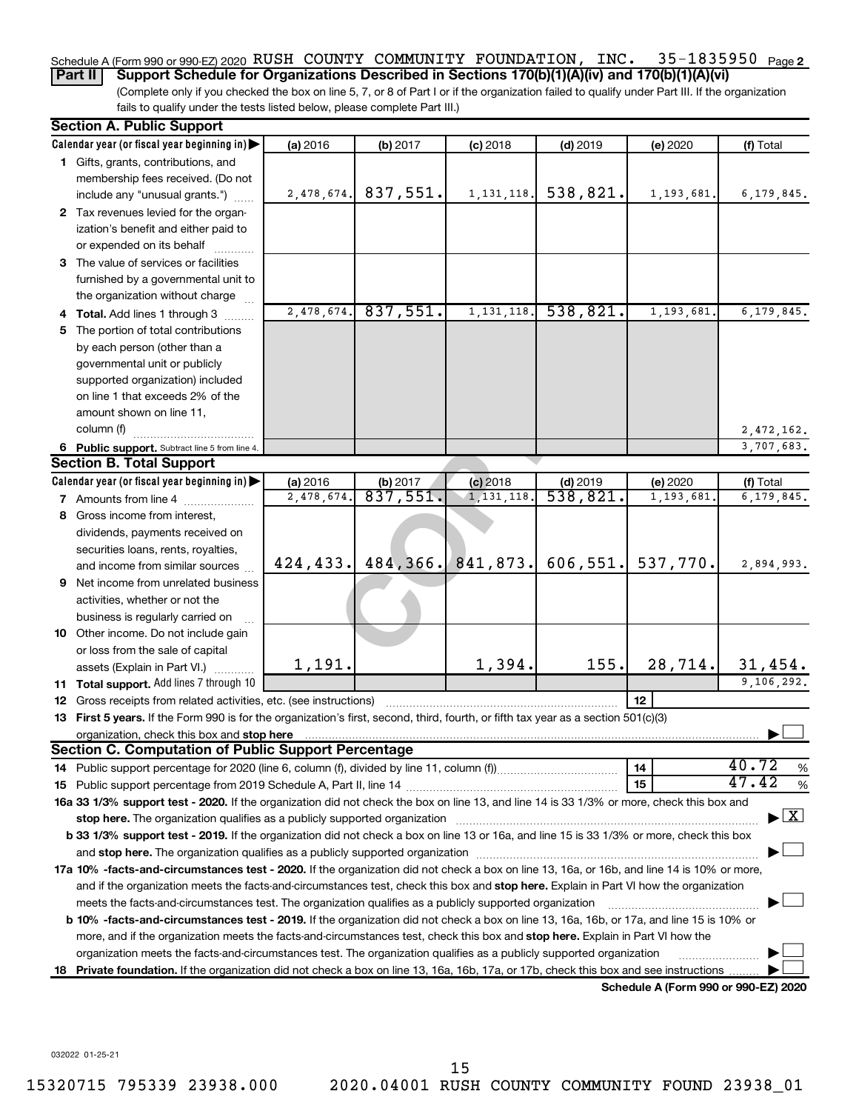### 35-1835950 Page 2 Schedule A (Form 990 or 990-EZ) 2020  $\,$  RUSH  $\,$  COUNTY  $\,$  COMMUNITY  $\,$  FOUNDATION ,  $\,$  INC  $\,$   $\,$   $\,$  35–1835950  $\,$   $_{\rm Page}$

(Complete only if you checked the box on line 5, 7, or 8 of Part I or if the organization failed to qualify under Part III. If the organization fails to qualify under the tests listed below, please complete Part III.) **Part II Support Schedule for Organizations Described in Sections 170(b)(1)(A)(iv) and 170(b)(1)(A)(vi)**

| <b>Section A. Public Support</b>                                                                                                                                                                                                                       |            |                       |              |            |                                      |                                    |
|--------------------------------------------------------------------------------------------------------------------------------------------------------------------------------------------------------------------------------------------------------|------------|-----------------------|--------------|------------|--------------------------------------|------------------------------------|
| Calendar year (or fiscal year beginning in)                                                                                                                                                                                                            | (a) 2016   | (b) 2017              | $(c)$ 2018   | $(d)$ 2019 | (e) 2020                             | (f) Total                          |
| 1 Gifts, grants, contributions, and                                                                                                                                                                                                                    |            |                       |              |            |                                      |                                    |
| membership fees received. (Do not                                                                                                                                                                                                                      |            |                       |              |            |                                      |                                    |
| include any "unusual grants.")                                                                                                                                                                                                                         | 2,478,674. | 837,551.              | 1, 131, 118. | 538,821.   | 1,193,681.                           | 6,179,845.                         |
| 2 Tax revenues levied for the organ-                                                                                                                                                                                                                   |            |                       |              |            |                                      |                                    |
| ization's benefit and either paid to                                                                                                                                                                                                                   |            |                       |              |            |                                      |                                    |
| or expended on its behalf                                                                                                                                                                                                                              |            |                       |              |            |                                      |                                    |
| 3 The value of services or facilities                                                                                                                                                                                                                  |            |                       |              |            |                                      |                                    |
| furnished by a governmental unit to                                                                                                                                                                                                                    |            |                       |              |            |                                      |                                    |
| the organization without charge                                                                                                                                                                                                                        |            |                       |              |            |                                      |                                    |
| 4 Total. Add lines 1 through 3                                                                                                                                                                                                                         | 2,478,674. | 837,551.              | 1, 131, 118. | 538,821.   | $\overline{1,193,681}$               | 6, 179, 845.                       |
| 5 The portion of total contributions                                                                                                                                                                                                                   |            |                       |              |            |                                      |                                    |
| by each person (other than a                                                                                                                                                                                                                           |            |                       |              |            |                                      |                                    |
| governmental unit or publicly                                                                                                                                                                                                                          |            |                       |              |            |                                      |                                    |
| supported organization) included                                                                                                                                                                                                                       |            |                       |              |            |                                      |                                    |
| on line 1 that exceeds 2% of the                                                                                                                                                                                                                       |            |                       |              |            |                                      |                                    |
| amount shown on line 11,                                                                                                                                                                                                                               |            |                       |              |            |                                      |                                    |
| column (f)                                                                                                                                                                                                                                             |            |                       |              |            |                                      | 2,472,162.                         |
| 6 Public support. Subtract line 5 from line 4.                                                                                                                                                                                                         |            |                       |              |            |                                      | 3,707,683.                         |
| <b>Section B. Total Support</b>                                                                                                                                                                                                                        |            |                       |              |            |                                      |                                    |
| Calendar year (or fiscal year beginning in)                                                                                                                                                                                                            | (a) 2016   | (b) 2017              | $(c)$ 2018   | $(d)$ 2019 | (e) 2020                             | (f) Total                          |
| <b>7</b> Amounts from line 4                                                                                                                                                                                                                           | 2,478,674. | $\overline{837,551.}$ | 1, 131, 118  | 538,821.   | 1,193,681                            | 6,179,845.                         |
| 8 Gross income from interest,                                                                                                                                                                                                                          |            |                       |              |            |                                      |                                    |
| dividends, payments received on                                                                                                                                                                                                                        |            |                       |              |            |                                      |                                    |
| securities loans, rents, royalties,                                                                                                                                                                                                                    |            |                       |              |            |                                      |                                    |
| and income from similar sources                                                                                                                                                                                                                        | 424, 433.  | 484, 366.             | 841,873.     | 606, 551.  | 537,770.                             | 2,894,993.                         |
| 9 Net income from unrelated business                                                                                                                                                                                                                   |            |                       |              |            |                                      |                                    |
| activities, whether or not the                                                                                                                                                                                                                         |            |                       |              |            |                                      |                                    |
| business is regularly carried on                                                                                                                                                                                                                       |            |                       |              |            |                                      |                                    |
| 10 Other income. Do not include gain                                                                                                                                                                                                                   |            |                       |              |            |                                      |                                    |
| or loss from the sale of capital                                                                                                                                                                                                                       |            |                       |              |            |                                      |                                    |
| assets (Explain in Part VI.)                                                                                                                                                                                                                           | 1,191.     |                       | 1,394.       | 155.       | 28, 714.                             | 31,454.                            |
| 11 Total support. Add lines 7 through 10                                                                                                                                                                                                               |            |                       |              |            |                                      | 9,106,292.                         |
| 12 Gross receipts from related activities, etc. (see instructions)                                                                                                                                                                                     |            |                       |              |            | 12                                   |                                    |
| 13 First 5 years. If the Form 990 is for the organization's first, second, third, fourth, or fifth tax year as a section 501(c)(3)                                                                                                                     |            |                       |              |            |                                      |                                    |
| organization, check this box and stop here www.communication.communication.com/                                                                                                                                                                        |            |                       |              |            |                                      |                                    |
| <b>Section C. Computation of Public Support Percentage</b>                                                                                                                                                                                             |            |                       |              |            |                                      | 40.72                              |
|                                                                                                                                                                                                                                                        |            |                       |              |            | 14                                   | %<br>47.42                         |
| 16a 33 1/3% support test - 2020. If the organization did not check the box on line 13, and line 14 is 33 1/3% or more, check this box and                                                                                                              |            |                       |              |            | 15                                   | %                                  |
|                                                                                                                                                                                                                                                        |            |                       |              |            |                                      | $\blacktriangleright$ $\mathbf{X}$ |
| stop here. The organization qualifies as a publicly supported organization manufactured content and the organization manufactured or an analyzing the stress of the stress of the stress of the stress of the stress of the st                         |            |                       |              |            |                                      |                                    |
| b 33 1/3% support test - 2019. If the organization did not check a box on line 13 or 16a, and line 15 is 33 1/3% or more, check this box                                                                                                               |            |                       |              |            |                                      |                                    |
|                                                                                                                                                                                                                                                        |            |                       |              |            |                                      |                                    |
| 17a 10% -facts-and-circumstances test - 2020. If the organization did not check a box on line 13, 16a, or 16b, and line 14 is 10% or more,                                                                                                             |            |                       |              |            |                                      |                                    |
| and if the organization meets the facts-and-circumstances test, check this box and stop here. Explain in Part VI how the organization                                                                                                                  |            |                       |              |            |                                      |                                    |
| meets the facts-and-circumstances test. The organization qualifies as a publicly supported organization                                                                                                                                                |            |                       |              |            |                                      |                                    |
| <b>b 10%</b> -facts-and-circumstances test - 2019. If the organization did not check a box on line 13, 16a, 16b, or 17a, and line 15 is 10% or                                                                                                         |            |                       |              |            |                                      |                                    |
| more, and if the organization meets the facts-and-circumstances test, check this box and stop here. Explain in Part VI how the<br>organization meets the facts-and-circumstances test. The organization qualifies as a publicly supported organization |            |                       |              |            |                                      |                                    |
| 18 Private foundation. If the organization did not check a box on line 13, 16a, 16b, 17a, or 17b, check this box and see instructions.                                                                                                                 |            |                       |              |            |                                      |                                    |
|                                                                                                                                                                                                                                                        |            |                       |              |            | Schedule A (Form 990 or 990-F7) 2020 |                                    |

**Schedule A (Form 990 or 990-EZ) 2020**

032022 01-25-21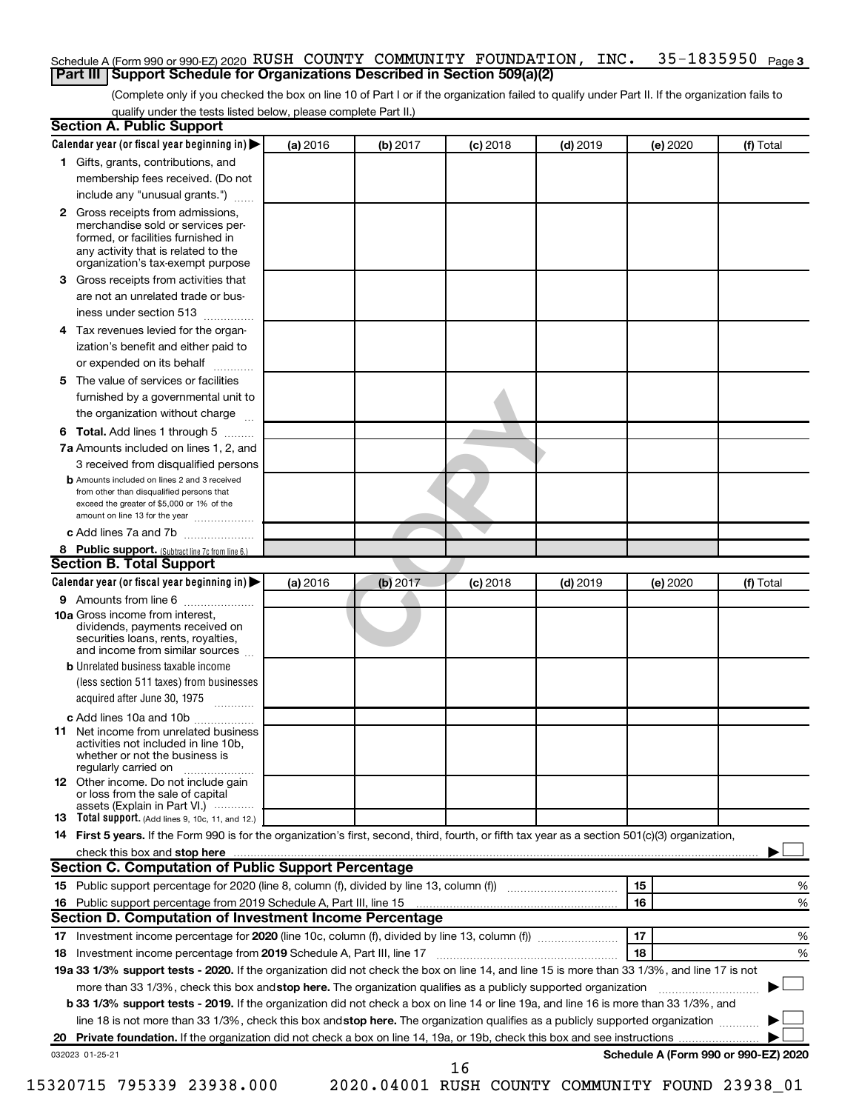### 35-1835950 Page 3 Schedule A (Form 990 or 990-EZ) 2020  $\,$  RUSH  $\,$  COUNTY  $\,$  COMMUNITY  $\,$  FOUNDATION ,  $\,$  INC  $\,$   $\,$   $\,$  35–1835950  $\,$   $_{\rm Page}$ **Part III Support Schedule for Organizations Described in Section 509(a)(2)**

(Complete only if you checked the box on line 10 of Part I or if the organization failed to qualify under Part II. If the organization fails to qualify under the tests listed below, please complete Part II.)

|     | <b>Section A. Public Support</b>                                                                                                                                                 |          |          |            |            |          |                                      |
|-----|----------------------------------------------------------------------------------------------------------------------------------------------------------------------------------|----------|----------|------------|------------|----------|--------------------------------------|
|     | Calendar year (or fiscal year beginning in)                                                                                                                                      | (a) 2016 | (b) 2017 | $(c)$ 2018 | $(d)$ 2019 | (e) 2020 | (f) Total                            |
|     | 1 Gifts, grants, contributions, and                                                                                                                                              |          |          |            |            |          |                                      |
|     | membership fees received. (Do not                                                                                                                                                |          |          |            |            |          |                                      |
|     | include any "unusual grants.")                                                                                                                                                   |          |          |            |            |          |                                      |
|     | 2 Gross receipts from admissions,<br>merchandise sold or services per-<br>formed, or facilities furnished in                                                                     |          |          |            |            |          |                                      |
|     | any activity that is related to the<br>organization's tax-exempt purpose                                                                                                         |          |          |            |            |          |                                      |
|     | 3 Gross receipts from activities that                                                                                                                                            |          |          |            |            |          |                                      |
|     | are not an unrelated trade or bus-                                                                                                                                               |          |          |            |            |          |                                      |
|     | iness under section 513                                                                                                                                                          |          |          |            |            |          |                                      |
|     | 4 Tax revenues levied for the organ-<br>ization's benefit and either paid to                                                                                                     |          |          |            |            |          |                                      |
|     | or expended on its behalf                                                                                                                                                        |          |          |            |            |          |                                      |
|     |                                                                                                                                                                                  |          |          |            |            |          |                                      |
|     | 5 The value of services or facilities                                                                                                                                            |          |          |            |            |          |                                      |
|     | furnished by a governmental unit to                                                                                                                                              |          |          |            |            |          |                                      |
|     | the organization without charge                                                                                                                                                  |          |          |            |            |          |                                      |
|     | <b>6 Total.</b> Add lines 1 through 5                                                                                                                                            |          |          |            |            |          |                                      |
|     | 7a Amounts included on lines 1, 2, and                                                                                                                                           |          |          |            |            |          |                                      |
|     | 3 received from disqualified persons                                                                                                                                             |          |          |            |            |          |                                      |
|     | <b>b</b> Amounts included on lines 2 and 3 received<br>from other than disqualified persons that<br>exceed the greater of \$5,000 or 1% of the<br>amount on line 13 for the year |          |          |            |            |          |                                      |
|     | c Add lines 7a and 7b                                                                                                                                                            |          |          |            |            |          |                                      |
|     | 8 Public support. (Subtract line 7c from line 6.)                                                                                                                                |          |          |            |            |          |                                      |
|     | <b>Section B. Total Support</b>                                                                                                                                                  |          |          |            |            |          |                                      |
|     | Calendar year (or fiscal year beginning in)                                                                                                                                      | (a) 2016 | (b) 2017 | $(c)$ 2018 | $(d)$ 2019 | (e) 2020 | (f) Total                            |
|     | <b>9</b> Amounts from line 6                                                                                                                                                     |          |          |            |            |          |                                      |
|     | <b>10a</b> Gross income from interest,<br>dividends, payments received on<br>securities loans, rents, royalties,<br>and income from similar sources                              |          |          |            |            |          |                                      |
|     | <b>b</b> Unrelated business taxable income                                                                                                                                       |          |          |            |            |          |                                      |
|     | (less section 511 taxes) from businesses<br>acquired after June 30, 1975                                                                                                         |          |          |            |            |          |                                      |
|     |                                                                                                                                                                                  |          |          |            |            |          |                                      |
| 11. | c Add lines 10a and 10b<br>Net income from unrelated business<br>activities not included in line 10b.<br>whether or not the business is                                          |          |          |            |            |          |                                      |
|     | regularly carried on<br><b>12</b> Other income. Do not include gain                                                                                                              |          |          |            |            |          |                                      |
|     | or loss from the sale of capital<br>assets (Explain in Part VI.)                                                                                                                 |          |          |            |            |          |                                      |
|     | <b>13</b> Total support. (Add lines 9, 10c, 11, and 12.)                                                                                                                         |          |          |            |            |          |                                      |
|     | 14 First 5 years. If the Form 990 is for the organization's first, second, third, fourth, or fifth tax year as a section 501(c)(3) organization,                                 |          |          |            |            |          |                                      |
|     | check this box and stop here                                                                                                                                                     |          |          |            |            |          |                                      |
|     | <b>Section C. Computation of Public Support Percentage</b>                                                                                                                       |          |          |            |            |          |                                      |
|     | 15 Public support percentage for 2020 (line 8, column (f), divided by line 13, column (f) <i></i>                                                                                |          |          |            |            | 15       | ℅                                    |
|     | 16 Public support percentage from 2019 Schedule A, Part III, line 15                                                                                                             |          |          |            |            | 16       | %                                    |
|     | Section D. Computation of Investment Income Percentage                                                                                                                           |          |          |            |            |          |                                      |
|     |                                                                                                                                                                                  |          |          |            |            | 17       | %                                    |
|     | 18 Investment income percentage from 2019 Schedule A, Part III, line 17                                                                                                          |          |          |            |            | 18       | %                                    |
|     | 19a 33 1/3% support tests - 2020. If the organization did not check the box on line 14, and line 15 is more than 33 1/3%, and line 17 is not                                     |          |          |            |            |          |                                      |
|     | more than 33 1/3%, check this box and stop here. The organization qualifies as a publicly supported organization                                                                 |          |          |            |            |          |                                      |
|     | b 33 1/3% support tests - 2019. If the organization did not check a box on line 14 or line 19a, and line 16 is more than 33 1/3%, and                                            |          |          |            |            |          |                                      |
|     | line 18 is not more than 33 1/3%, check this box and stop here. The organization qualifies as a publicly supported organization                                                  |          |          |            |            |          |                                      |
|     |                                                                                                                                                                                  |          |          |            |            |          |                                      |
|     | 032023 01-25-21                                                                                                                                                                  |          |          |            |            |          | Schedule A (Form 990 or 990-EZ) 2020 |
|     |                                                                                                                                                                                  |          |          | 16         |            |          |                                      |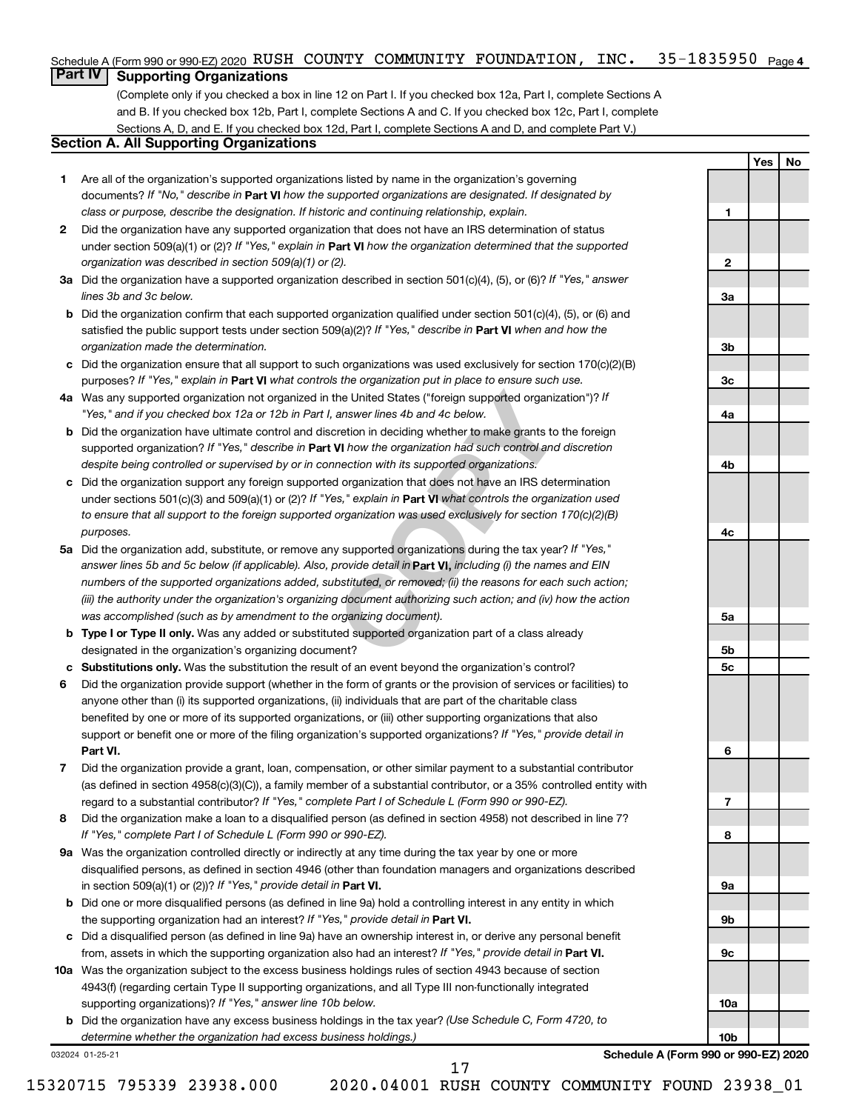### 35-1835950 <sub>Page 4</sub> Schedule A (Form 990 or 990-EZ) 2020  $\,$  RUSH  $\,$  COUNTY  $\,$  COMMUNITY  $\,$  FOUNDATION ,  $\,$  INC  $\,$   $\,$   $\,$  35–1835950  $\,$   $_{\rm Page}$

## **Part IV Supporting Organizations**

(Complete only if you checked a box in line 12 on Part I. If you checked box 12a, Part I, complete Sections A and B. If you checked box 12b, Part I, complete Sections A and C. If you checked box 12c, Part I, complete Sections A, D, and E. If you checked box 12d, Part I, complete Sections A and D, and complete Part V.)

## **Section A. All Supporting Organizations**

- **1** Are all of the organization's supported organizations listed by name in the organization's governing documents? If "No," describe in Part VI how the supported organizations are designated. If designated by *class or purpose, describe the designation. If historic and continuing relationship, explain.*
- **2** Did the organization have any supported organization that does not have an IRS determination of status under section 509(a)(1) or (2)? If "Yes," explain in Part **VI** how the organization determined that the supported *organization was described in section 509(a)(1) or (2).*
- **3a** Did the organization have a supported organization described in section 501(c)(4), (5), or (6)? If "Yes," answer *lines 3b and 3c below.*
- **b** Did the organization confirm that each supported organization qualified under section 501(c)(4), (5), or (6) and satisfied the public support tests under section 509(a)(2)? If "Yes," describe in Part VI when and how the *organization made the determination.*
- **c** Did the organization ensure that all support to such organizations was used exclusively for section 170(c)(2)(B) purposes? If "Yes," explain in Part VI what controls the organization put in place to ensure such use.
- **4 a** *If* Was any supported organization not organized in the United States ("foreign supported organization")? *"Yes," and if you checked box 12a or 12b in Part I, answer lines 4b and 4c below.*
- **b** Did the organization have ultimate control and discretion in deciding whether to make grants to the foreign supported organization? If "Yes," describe in Part VI how the organization had such control and discretion *despite being controlled or supervised by or in connection with its supported organizations.*
- **c** Did the organization support any foreign supported organization that does not have an IRS determination under sections 501(c)(3) and 509(a)(1) or (2)? If "Yes," explain in Part VI what controls the organization used *to ensure that all support to the foreign supported organization was used exclusively for section 170(c)(2)(B) purposes.*
- the United States ("foreign supported organization")? *l*<br>answer lines 4b and 4c below.<br>Consider the foreign supported organization")? *l*<br>answer lines 4b and 4c below.<br>**VI** how the organization had such control and discre **5a** Did the organization add, substitute, or remove any supported organizations during the tax year? If "Yes," answer lines 5b and 5c below (if applicable). Also, provide detail in **Part VI,** including (i) the names and EIN *numbers of the supported organizations added, substituted, or removed; (ii) the reasons for each such action; (iii) the authority under the organization's organizing document authorizing such action; and (iv) how the action was accomplished (such as by amendment to the organizing document).*
- **b** Type I or Type II only. Was any added or substituted supported organization part of a class already designated in the organization's organizing document?
- **c Substitutions only.**  Was the substitution the result of an event beyond the organization's control?
- **6** Did the organization provide support (whether in the form of grants or the provision of services or facilities) to **Part VI.** support or benefit one or more of the filing organization's supported organizations? If "Yes," provide detail in anyone other than (i) its supported organizations, (ii) individuals that are part of the charitable class benefited by one or more of its supported organizations, or (iii) other supporting organizations that also
- **7** Did the organization provide a grant, loan, compensation, or other similar payment to a substantial contributor regard to a substantial contributor? If "Yes," complete Part I of Schedule L (Form 990 or 990-EZ). (as defined in section 4958(c)(3)(C)), a family member of a substantial contributor, or a 35% controlled entity with
- **8** Did the organization make a loan to a disqualified person (as defined in section 4958) not described in line 7? *If "Yes," complete Part I of Schedule L (Form 990 or 990-EZ).*
- **9 a** Was the organization controlled directly or indirectly at any time during the tax year by one or more in section 509(a)(1) or (2))? If "Yes," provide detail in **Part VI.** disqualified persons, as defined in section 4946 (other than foundation managers and organizations described
- **b** Did one or more disqualified persons (as defined in line 9a) hold a controlling interest in any entity in which the supporting organization had an interest? If "Yes," provide detail in Part VI.
- **c** Did a disqualified person (as defined in line 9a) have an ownership interest in, or derive any personal benefit from, assets in which the supporting organization also had an interest? If "Yes," provide detail in Part VI.
- **10 a** Was the organization subject to the excess business holdings rules of section 4943 because of section supporting organizations)? If "Yes," answer line 10b below. 4943(f) (regarding certain Type II supporting organizations, and all Type III non-functionally integrated
	- **b** Did the organization have any excess business holdings in the tax year? (Use Schedule C, Form 4720, to *determine whether the organization had excess business holdings.)*

032024 01-25-21

**Schedule A (Form 990 or 990-EZ) 2020**

**Yes No**

**1**

**2**

**3a**

**3b**

**3c**

**4a**

**4b**

**4c**

**5a**

**5b 5c**

**6**

**7**

**8**

**9a**

**9b**

**9c**

**10a**

**10b**

17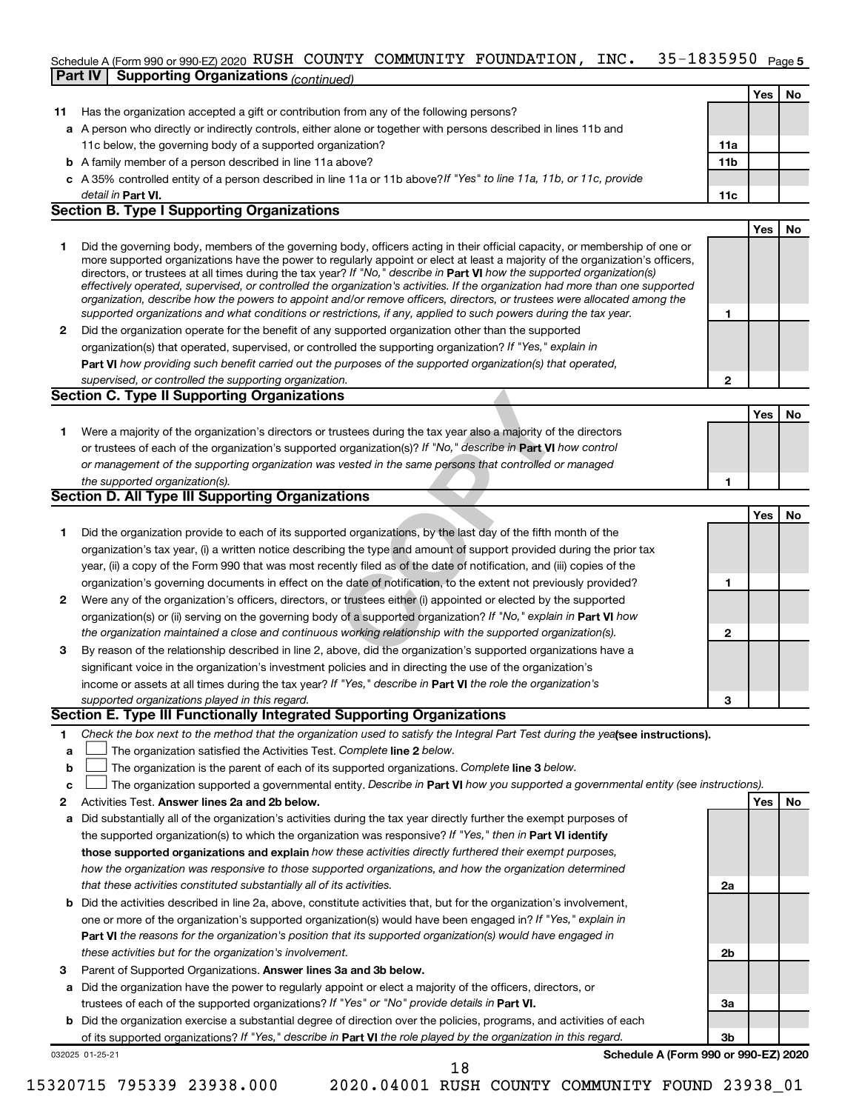### 35-1835950 Page 5 Schedule A (Form 990 or 990-EZ) 2020 RUSH COUNTY COMMUNITY FOUNDATION, INC。 35-1835950 Page **Part IV Supporting Organizations** *(continued)* RUSH COUNTY COMMUNITY FOUNDATION, INC. 35-1835950

|    | Part IV   Supporting Organizations $_{(continued)}$                                                                                                                                                                                                                                                                                                                                    |     |     |    |
|----|----------------------------------------------------------------------------------------------------------------------------------------------------------------------------------------------------------------------------------------------------------------------------------------------------------------------------------------------------------------------------------------|-----|-----|----|
|    |                                                                                                                                                                                                                                                                                                                                                                                        |     | Yes | No |
| 11 | Has the organization accepted a gift or contribution from any of the following persons?                                                                                                                                                                                                                                                                                                |     |     |    |
|    | a A person who directly or indirectly controls, either alone or together with persons described in lines 11b and                                                                                                                                                                                                                                                                       |     |     |    |
|    | 11c below, the governing body of a supported organization?                                                                                                                                                                                                                                                                                                                             | 11a |     |    |
|    | <b>b</b> A family member of a person described in line 11a above?                                                                                                                                                                                                                                                                                                                      | 11b |     |    |
|    | c A 35% controlled entity of a person described in line 11a or 11b above?If "Yes" to line 11a, 11b, or 11c, provide                                                                                                                                                                                                                                                                    |     |     |    |
|    | detail in Part VI.                                                                                                                                                                                                                                                                                                                                                                     | 11c |     |    |
|    | <b>Section B. Type I Supporting Organizations</b>                                                                                                                                                                                                                                                                                                                                      |     |     |    |
|    |                                                                                                                                                                                                                                                                                                                                                                                        |     | Yes | No |
| 1  | Did the governing body, members of the governing body, officers acting in their official capacity, or membership of one or<br>more supported organizations have the power to regularly appoint or elect at least a majority of the organization's officers,<br>directors, or trustees at all times during the tax year? If "No," describe in Part VI how the supported organization(s) |     |     |    |
|    | effectively operated, supervised, or controlled the organization's activities. If the organization had more than one supported<br>organization, describe how the powers to appoint and/or remove officers, directors, or trustees were allocated among the                                                                                                                             |     |     |    |
|    | supported organizations and what conditions or restrictions, if any, applied to such powers during the tax year.                                                                                                                                                                                                                                                                       | 1   |     |    |
| 2  | Did the organization operate for the benefit of any supported organization other than the supported                                                                                                                                                                                                                                                                                    |     |     |    |
|    | organization(s) that operated, supervised, or controlled the supporting organization? If "Yes," explain in                                                                                                                                                                                                                                                                             |     |     |    |
|    | Part VI how providing such benefit carried out the purposes of the supported organization(s) that operated,                                                                                                                                                                                                                                                                            |     |     |    |
|    | supervised, or controlled the supporting organization.                                                                                                                                                                                                                                                                                                                                 | 2   |     |    |
|    | <b>Section C. Type II Supporting Organizations</b>                                                                                                                                                                                                                                                                                                                                     |     |     |    |
|    |                                                                                                                                                                                                                                                                                                                                                                                        |     | Yes | No |
| 1. | Were a majority of the organization's directors or trustees during the tax year also a majority of the directors                                                                                                                                                                                                                                                                       |     |     |    |
|    | or trustees of each of the organization's supported organization(s)? If "No," describe in Part VI how control                                                                                                                                                                                                                                                                          |     |     |    |
|    | or management of the supporting organization was vested in the same persons that controlled or managed                                                                                                                                                                                                                                                                                 |     |     |    |
|    | the supported organization(s).                                                                                                                                                                                                                                                                                                                                                         | 1   |     |    |
|    | <b>Section D. All Type III Supporting Organizations</b>                                                                                                                                                                                                                                                                                                                                |     |     |    |
|    |                                                                                                                                                                                                                                                                                                                                                                                        |     | Yes | No |
| 1  | Did the organization provide to each of its supported organizations, by the last day of the fifth month of the                                                                                                                                                                                                                                                                         |     |     |    |
|    | organization's tax year, (i) a written notice describing the type and amount of support provided during the prior tax                                                                                                                                                                                                                                                                  |     |     |    |
|    | year, (ii) a copy of the Form 990 that was most recently filed as of the date of notification, and (iii) copies of the                                                                                                                                                                                                                                                                 |     |     |    |
|    | organization's governing documents in effect on the date of notification, to the extent not previously provided?                                                                                                                                                                                                                                                                       | 1   |     |    |
| 2  | Were any of the organization's officers, directors, or trustees either (i) appointed or elected by the supported                                                                                                                                                                                                                                                                       |     |     |    |
|    | organization(s) or (ii) serving on the governing body of a supported organization? If "No," explain in Part VI how                                                                                                                                                                                                                                                                     |     |     |    |
|    | the organization maintained a close and continuous working relationship with the supported organization(s).                                                                                                                                                                                                                                                                            | 2   |     |    |
| 3  | By reason of the relationship described in line 2, above, did the organization's supported organizations have a                                                                                                                                                                                                                                                                        |     |     |    |
|    | significant voice in the organization's investment policies and in directing the use of the organization's                                                                                                                                                                                                                                                                             |     |     |    |
|    | income or assets at all times during the tax year? If "Yes," describe in Part VI the role the organization's                                                                                                                                                                                                                                                                           |     |     |    |
|    | supported organizations played in this regard.                                                                                                                                                                                                                                                                                                                                         | 3   |     |    |
|    | Section E. Type III Functionally Integrated Supporting Organizations                                                                                                                                                                                                                                                                                                                   |     |     |    |
| 1  | Check the box next to the method that the organization used to satisfy the Integral Part Test during the yealsee instructions).                                                                                                                                                                                                                                                        |     |     |    |
| a  | The organization satisfied the Activities Test. Complete line 2 below.                                                                                                                                                                                                                                                                                                                 |     |     |    |
| b  | The organization is the parent of each of its supported organizations. Complete line 3 below.                                                                                                                                                                                                                                                                                          |     |     |    |
| с  | The organization supported a governmental entity. Describe in Part VI how you supported a governmental entity (see instructions).                                                                                                                                                                                                                                                      |     |     |    |
| 2  | Activities Test. Answer lines 2a and 2b below.                                                                                                                                                                                                                                                                                                                                         |     | Yes | No |
| а  | Did substantially all of the organization's activities during the tax year directly further the exempt purposes of                                                                                                                                                                                                                                                                     |     |     |    |
|    | the supported organization(s) to which the organization was responsive? If "Yes," then in Part VI identify                                                                                                                                                                                                                                                                             |     |     |    |
|    | those supported organizations and explain how these activities directly furthered their exempt purposes,                                                                                                                                                                                                                                                                               |     |     |    |
|    | how the organization was responsive to those supported organizations, and how the organization determined                                                                                                                                                                                                                                                                              |     |     |    |
|    | that these activities constituted substantially all of its activities.                                                                                                                                                                                                                                                                                                                 | 2a  |     |    |
|    | <b>b</b> Did the activities described in line 2a, above, constitute activities that, but for the organization's involvement,                                                                                                                                                                                                                                                           |     |     |    |
|    | one or more of the organization's supported organization(s) would have been engaged in? If "Yes," explain in                                                                                                                                                                                                                                                                           |     |     |    |
|    | Part VI the reasons for the organization's position that its supported organization(s) would have engaged in                                                                                                                                                                                                                                                                           |     |     |    |
|    | these activities but for the organization's involvement.                                                                                                                                                                                                                                                                                                                               | 2b  |     |    |
| з  | Parent of Supported Organizations. Answer lines 3a and 3b below.                                                                                                                                                                                                                                                                                                                       |     |     |    |
| а  | Did the organization have the power to regularly appoint or elect a majority of the officers, directors, or                                                                                                                                                                                                                                                                            |     |     |    |
|    | trustees of each of the supported organizations? If "Yes" or "No" provide details in Part VI.                                                                                                                                                                                                                                                                                          | За  |     |    |
|    |                                                                                                                                                                                                                                                                                                                                                                                        |     |     |    |

**b** Did the organization exercise a substantial degree of direction over the policies, programs, and activities of each of its supported organizations? If "Yes," describe in Part VI the role played by the organization in this regard.

032025 01-25-21

**Schedule A (Form 990 or 990-EZ) 2020**

**3b**

18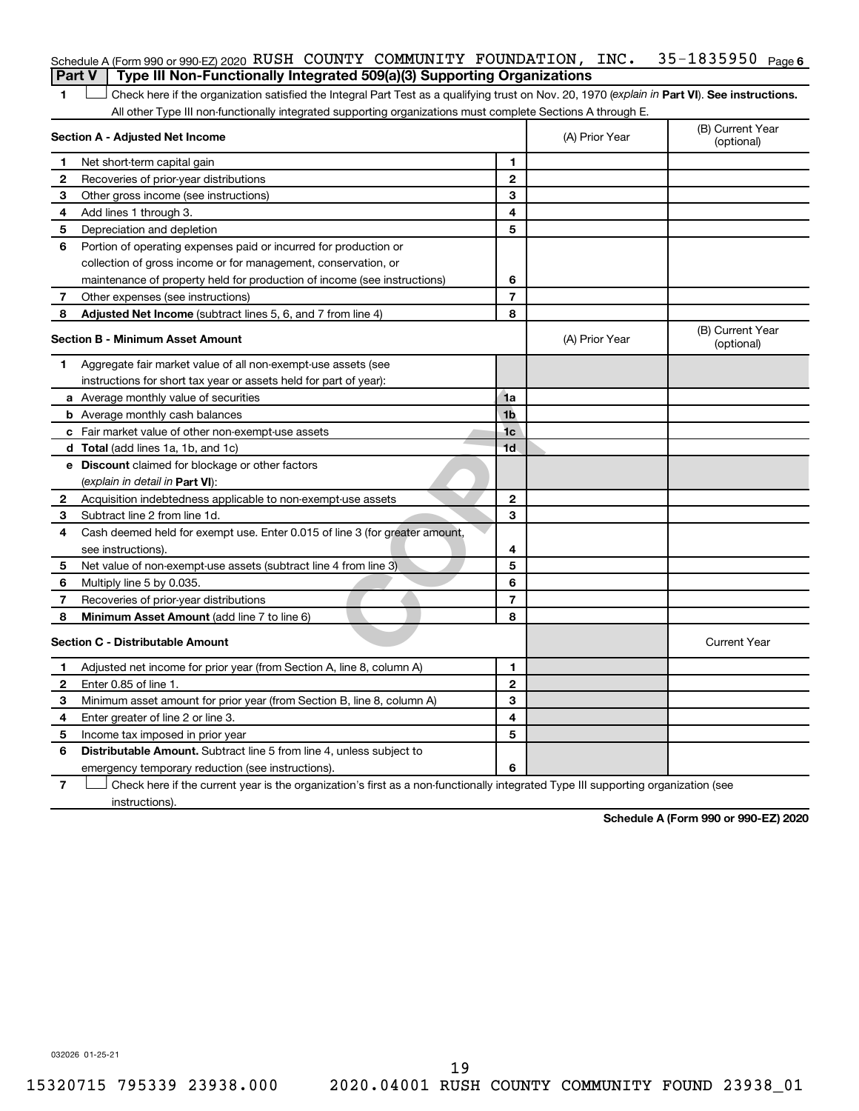|                                                                                          | Schedule A (Form 990 or 990-EZ) 2020 RUSH COUNTY COMMUNITY FOUNDATION, INC.                                                                    |  |                |                                | 35-1835950 | Page 6 |  |  |
|------------------------------------------------------------------------------------------|------------------------------------------------------------------------------------------------------------------------------------------------|--|----------------|--------------------------------|------------|--------|--|--|
| Type III Non-Functionally Integrated 509(a)(3) Supporting Organizations<br><b>Part V</b> |                                                                                                                                                |  |                |                                |            |        |  |  |
|                                                                                          | Check here if the organization satisfied the Integral Part Test as a qualifying trust on Nov. 20, 1970 (explain in Part VI). See instructions. |  |                |                                |            |        |  |  |
|                                                                                          | All other Type III non-functionally integrated supporting organizations must complete Sections A through E.                                    |  |                |                                |            |        |  |  |
|                                                                                          | Section A - Adjusted Net Income                                                                                                                |  | (A) Prior Year | (B) Current Year<br>(optional) |            |        |  |  |
|                                                                                          | Net short-term capital gain                                                                                                                    |  |                |                                |            |        |  |  |

| 1           | Net short-term capital gain                                                 | 1              |                |                                |
|-------------|-----------------------------------------------------------------------------|----------------|----------------|--------------------------------|
| 2           | Recoveries of prior-year distributions                                      | $\mathbf{2}$   |                |                                |
| 3           | Other gross income (see instructions)                                       | 3              |                |                                |
| 4           | Add lines 1 through 3.                                                      | 4              |                |                                |
| 5           | Depreciation and depletion                                                  | 5              |                |                                |
| 6           | Portion of operating expenses paid or incurred for production or            |                |                |                                |
|             | collection of gross income or for management, conservation, or              |                |                |                                |
|             | maintenance of property held for production of income (see instructions)    | 6              |                |                                |
| $7^{\circ}$ | Other expenses (see instructions)                                           | $\overline{7}$ |                |                                |
| 8           | Adjusted Net Income (subtract lines 5, 6, and 7 from line 4)                | 8              |                |                                |
|             | <b>Section B - Minimum Asset Amount</b>                                     |                | (A) Prior Year | (B) Current Year<br>(optional) |
| 1           | Aggregate fair market value of all non-exempt-use assets (see               |                |                |                                |
|             | instructions for short tax year or assets held for part of year):           |                |                |                                |
|             | <b>a</b> Average monthly value of securities                                | 1a             |                |                                |
|             | <b>b</b> Average monthly cash balances                                      | 1 <sub>b</sub> |                |                                |
|             | c Fair market value of other non-exempt-use assets                          | 1 <sub>c</sub> |                |                                |
|             | d Total (add lines 1a, 1b, and 1c)                                          | 1 <sub>d</sub> |                |                                |
|             | e Discount claimed for blockage or other factors                            |                |                |                                |
|             | (explain in detail in Part VI):                                             |                |                |                                |
| 2           | Acquisition indebtedness applicable to non-exempt-use assets                | $\mathbf{2}$   |                |                                |
| З           | Subtract line 2 from line 1d.                                               | 3              |                |                                |
| 4           | Cash deemed held for exempt use. Enter 0.015 of line 3 (for greater amount, |                |                |                                |
|             | see instructions).                                                          | 4              |                |                                |
| 5           | Net value of non-exempt-use assets (subtract line 4 from line 3)            | 5              |                |                                |
| 6           | Multiply line 5 by 0.035.                                                   | 6              |                |                                |
| 7           | Recoveries of prior-year distributions                                      | $\overline{7}$ |                |                                |
| 8           | Minimum Asset Amount (add line 7 to line 6)                                 | 8              |                |                                |
|             | <b>Section C - Distributable Amount</b>                                     |                |                | <b>Current Year</b>            |
| 1           | Adjusted net income for prior year (from Section A, line 8, column A)       | 1              |                |                                |
| 2           | Enter 0.85 of line 1.                                                       | $\mathbf{2}$   |                |                                |
| 3           | Minimum asset amount for prior year (from Section B, line 8, column A)      | 3              |                |                                |
| 4           | Enter greater of line 2 or line 3.                                          | 4              |                |                                |
| 5           | Income tax imposed in prior year                                            | 5              |                |                                |
| 6           | Distributable Amount. Subtract line 5 from line 4, unless subject to        |                |                |                                |
|             | emergency temporary reduction (see instructions).                           | 6              |                |                                |
|             |                                                                             |                |                |                                |

**7** Let Check here if the current year is the organization's first as a non-functionally integrated Type III supporting organization (see instructions).

**Schedule A (Form 990 or 990-EZ) 2020**

032026 01-25-21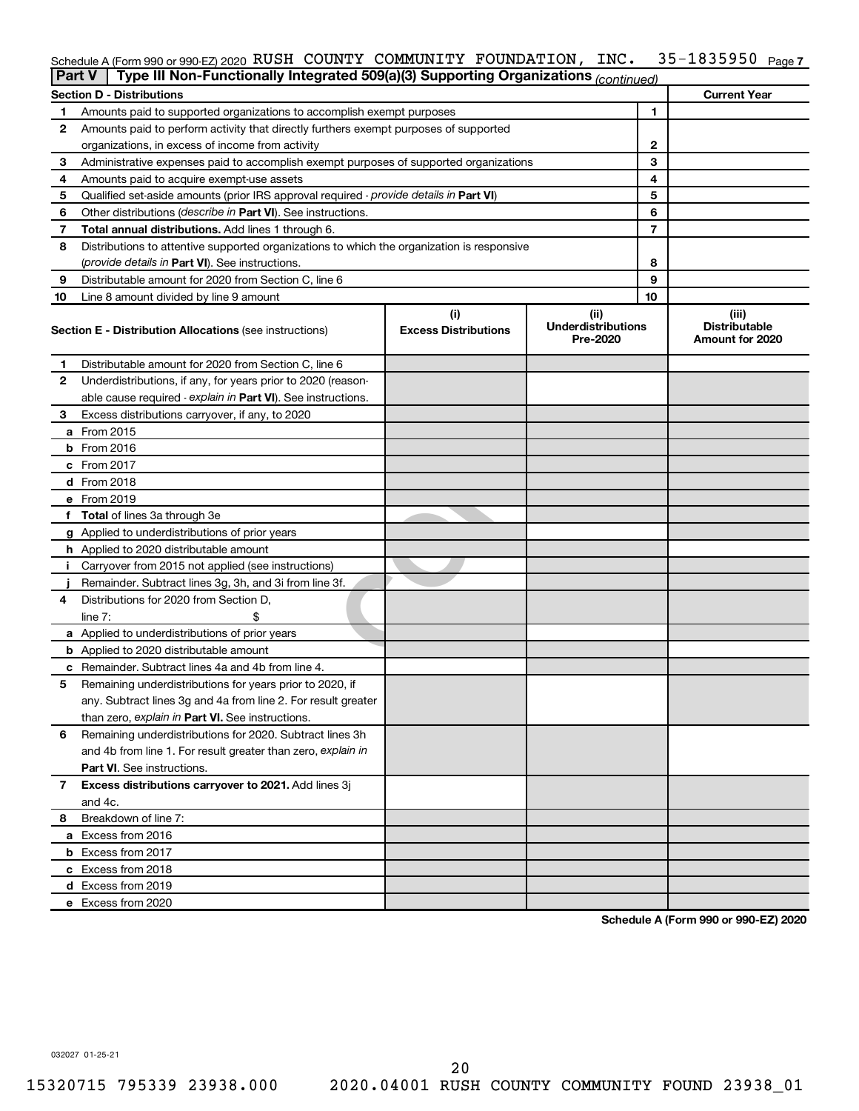## Schedule A (Form 990 or 990-EZ) 2020 <code>RUSH COUNTY COMMUNITY FOUNDATION</code> , <code>INC. 35–1835950</code> <code>Page 7</code>

| <b>Part V</b> | Type III Non-Functionally Integrated 509(a)(3) Supporting Organizations (continued)        |                             |                                       |    |                                         |
|---------------|--------------------------------------------------------------------------------------------|-----------------------------|---------------------------------------|----|-----------------------------------------|
|               | <b>Section D - Distributions</b>                                                           |                             |                                       |    | <b>Current Year</b>                     |
| 1             | Amounts paid to supported organizations to accomplish exempt purposes                      |                             | 1                                     |    |                                         |
| 2             | Amounts paid to perform activity that directly furthers exempt purposes of supported       |                             |                                       |    |                                         |
|               | organizations, in excess of income from activity                                           | 2                           |                                       |    |                                         |
| 3             | Administrative expenses paid to accomplish exempt purposes of supported organizations      |                             |                                       | 3  |                                         |
| 4             | Amounts paid to acquire exempt-use assets                                                  |                             |                                       | 4  |                                         |
| 5             | Qualified set-aside amounts (prior IRS approval required - provide details in Part VI)     |                             |                                       | 5  |                                         |
| 6             | Other distributions ( <i>describe in Part VI</i> ). See instructions.                      |                             |                                       | 6  |                                         |
| 7             | Total annual distributions. Add lines 1 through 6.                                         |                             |                                       | 7  |                                         |
| 8             | Distributions to attentive supported organizations to which the organization is responsive |                             |                                       |    |                                         |
|               | (provide details in Part VI). See instructions.                                            |                             |                                       | 8  |                                         |
| 9             | Distributable amount for 2020 from Section C, line 6                                       |                             |                                       | 9  |                                         |
| 10            | Line 8 amount divided by line 9 amount                                                     |                             |                                       | 10 |                                         |
|               |                                                                                            | (i)                         | (ii)                                  |    | (iii)                                   |
|               | <b>Section E - Distribution Allocations (see instructions)</b>                             | <b>Excess Distributions</b> | <b>Underdistributions</b><br>Pre-2020 |    | <b>Distributable</b><br>Amount for 2020 |
| 1             | Distributable amount for 2020 from Section C, line 6                                       |                             |                                       |    |                                         |
| 2             | Underdistributions, if any, for years prior to 2020 (reason-                               |                             |                                       |    |                                         |
|               | able cause required - explain in Part VI). See instructions.                               |                             |                                       |    |                                         |
| 3             | Excess distributions carryover, if any, to 2020                                            |                             |                                       |    |                                         |
|               | a From 2015                                                                                |                             |                                       |    |                                         |
|               | $b$ From 2016                                                                              |                             |                                       |    |                                         |
|               | c From 2017                                                                                |                             |                                       |    |                                         |
|               | <b>d</b> From 2018                                                                         |                             |                                       |    |                                         |
|               | e From 2019                                                                                |                             |                                       |    |                                         |
|               | f Total of lines 3a through 3e                                                             |                             |                                       |    |                                         |
|               | g Applied to underdistributions of prior years                                             |                             |                                       |    |                                         |
|               | <b>h</b> Applied to 2020 distributable amount                                              |                             |                                       |    |                                         |
| Ť.            | Carryover from 2015 not applied (see instructions)                                         |                             |                                       |    |                                         |
|               | Remainder. Subtract lines 3g, 3h, and 3i from line 3f.                                     |                             |                                       |    |                                         |
| 4             | Distributions for 2020 from Section D,                                                     |                             |                                       |    |                                         |
|               | line 7:                                                                                    |                             |                                       |    |                                         |
|               | a Applied to underdistributions of prior years                                             |                             |                                       |    |                                         |
|               | <b>b</b> Applied to 2020 distributable amount                                              |                             |                                       |    |                                         |
|               | c Remainder. Subtract lines 4a and 4b from line 4.                                         |                             |                                       |    |                                         |
| 5             | Remaining underdistributions for years prior to 2020, if                                   |                             |                                       |    |                                         |
|               | any. Subtract lines 3g and 4a from line 2. For result greater                              |                             |                                       |    |                                         |
|               | than zero, explain in Part VI. See instructions.                                           |                             |                                       |    |                                         |
| 6             | Remaining underdistributions for 2020. Subtract lines 3h                                   |                             |                                       |    |                                         |
|               | and 4b from line 1. For result greater than zero, explain in                               |                             |                                       |    |                                         |
|               | <b>Part VI.</b> See instructions.                                                          |                             |                                       |    |                                         |
| 7             | Excess distributions carryover to 2021. Add lines 3j                                       |                             |                                       |    |                                         |
|               | and 4c.                                                                                    |                             |                                       |    |                                         |
| 8             | Breakdown of line 7:                                                                       |                             |                                       |    |                                         |
|               | a Excess from 2016                                                                         |                             |                                       |    |                                         |
|               | <b>b</b> Excess from 2017                                                                  |                             |                                       |    |                                         |
|               | c Excess from 2018                                                                         |                             |                                       |    |                                         |
|               | d Excess from 2019                                                                         |                             |                                       |    |                                         |
|               | e Excess from 2020                                                                         |                             |                                       |    |                                         |
|               |                                                                                            |                             |                                       |    |                                         |

**Schedule A (Form 990 or 990-EZ) 2020**

032027 01-25-21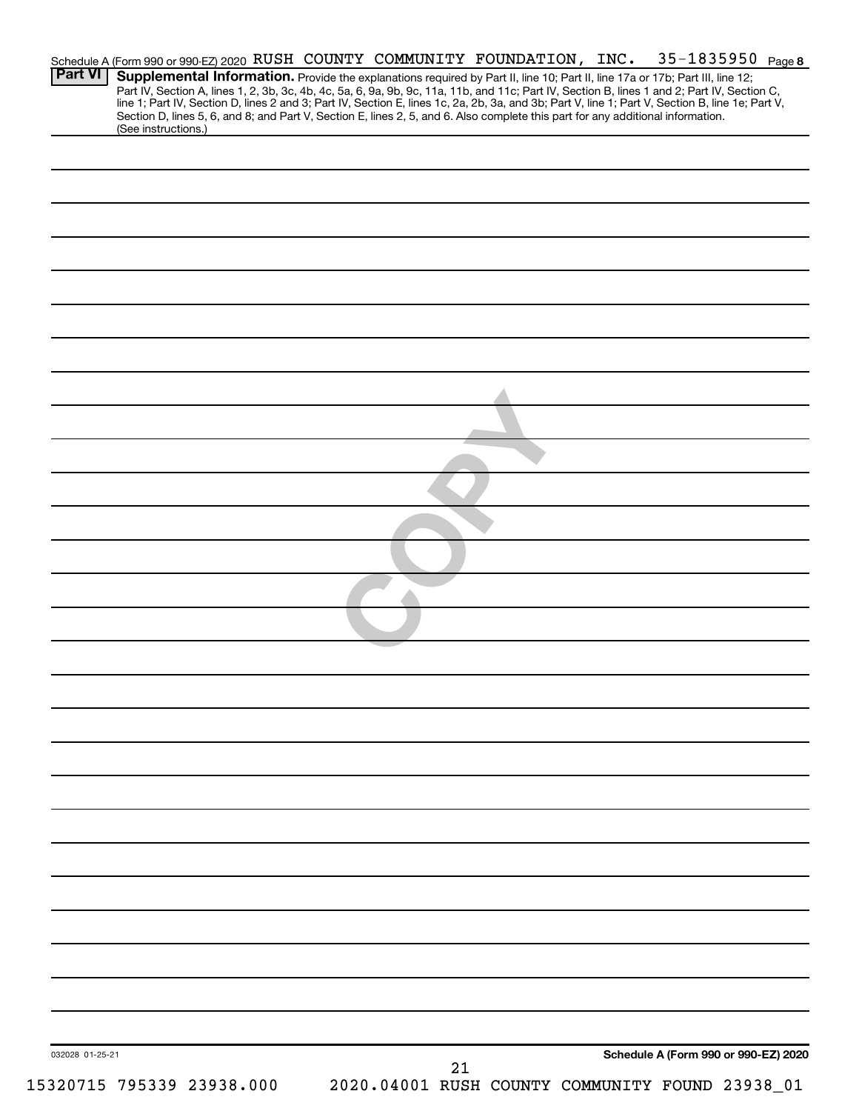|                 |                     |                           |  | Schedule A (Form 990 or 990-EZ) 2020 RUSH COUNTY COMMUNITY FOUNDATION, INC.                                                     |  | $35 - 1835950$ Page 8                                                                                                                                                                                                                                                                                                                                                                                                             |
|-----------------|---------------------|---------------------------|--|---------------------------------------------------------------------------------------------------------------------------------|--|-----------------------------------------------------------------------------------------------------------------------------------------------------------------------------------------------------------------------------------------------------------------------------------------------------------------------------------------------------------------------------------------------------------------------------------|
| Part VI         |                     |                           |  | Section D, lines 5, 6, and 8; and Part V, Section E, lines 2, 5, and 6. Also complete this part for any additional information. |  | Supplemental Information. Provide the explanations required by Part II, line 10; Part II, line 17a or 17b; Part III, line 12;<br>Part IV, Section A, lines 1, 2, 3b, 3c, 4b, 4c, 5a, 6, 9a, 9b, 9c, 11a, 11b, and 11c; Part IV, Section B, lines 1 and 2; Part IV, Section C,<br>line 1; Part IV, Section D, lines 2 and 3; Part IV, Section E, lines 1c, 2a, 2b, 3a, and 3b; Part V, line 1; Part V, Section B, line 1e; Part V, |
|                 | (See instructions.) |                           |  |                                                                                                                                 |  |                                                                                                                                                                                                                                                                                                                                                                                                                                   |
|                 |                     |                           |  |                                                                                                                                 |  |                                                                                                                                                                                                                                                                                                                                                                                                                                   |
|                 |                     |                           |  |                                                                                                                                 |  |                                                                                                                                                                                                                                                                                                                                                                                                                                   |
|                 |                     |                           |  |                                                                                                                                 |  |                                                                                                                                                                                                                                                                                                                                                                                                                                   |
|                 |                     |                           |  |                                                                                                                                 |  |                                                                                                                                                                                                                                                                                                                                                                                                                                   |
|                 |                     |                           |  |                                                                                                                                 |  |                                                                                                                                                                                                                                                                                                                                                                                                                                   |
|                 |                     |                           |  |                                                                                                                                 |  |                                                                                                                                                                                                                                                                                                                                                                                                                                   |
|                 |                     |                           |  |                                                                                                                                 |  |                                                                                                                                                                                                                                                                                                                                                                                                                                   |
|                 |                     |                           |  |                                                                                                                                 |  |                                                                                                                                                                                                                                                                                                                                                                                                                                   |
|                 |                     |                           |  |                                                                                                                                 |  |                                                                                                                                                                                                                                                                                                                                                                                                                                   |
|                 |                     |                           |  |                                                                                                                                 |  |                                                                                                                                                                                                                                                                                                                                                                                                                                   |
|                 |                     |                           |  |                                                                                                                                 |  |                                                                                                                                                                                                                                                                                                                                                                                                                                   |
|                 |                     |                           |  |                                                                                                                                 |  |                                                                                                                                                                                                                                                                                                                                                                                                                                   |
|                 |                     |                           |  |                                                                                                                                 |  |                                                                                                                                                                                                                                                                                                                                                                                                                                   |
|                 |                     |                           |  |                                                                                                                                 |  |                                                                                                                                                                                                                                                                                                                                                                                                                                   |
|                 |                     |                           |  |                                                                                                                                 |  |                                                                                                                                                                                                                                                                                                                                                                                                                                   |
|                 |                     |                           |  |                                                                                                                                 |  |                                                                                                                                                                                                                                                                                                                                                                                                                                   |
|                 |                     |                           |  |                                                                                                                                 |  |                                                                                                                                                                                                                                                                                                                                                                                                                                   |
|                 |                     |                           |  |                                                                                                                                 |  |                                                                                                                                                                                                                                                                                                                                                                                                                                   |
|                 |                     |                           |  |                                                                                                                                 |  |                                                                                                                                                                                                                                                                                                                                                                                                                                   |
|                 |                     |                           |  |                                                                                                                                 |  |                                                                                                                                                                                                                                                                                                                                                                                                                                   |
|                 |                     |                           |  |                                                                                                                                 |  |                                                                                                                                                                                                                                                                                                                                                                                                                                   |
|                 |                     |                           |  |                                                                                                                                 |  |                                                                                                                                                                                                                                                                                                                                                                                                                                   |
|                 |                     |                           |  |                                                                                                                                 |  |                                                                                                                                                                                                                                                                                                                                                                                                                                   |
|                 |                     |                           |  |                                                                                                                                 |  |                                                                                                                                                                                                                                                                                                                                                                                                                                   |
|                 |                     |                           |  |                                                                                                                                 |  |                                                                                                                                                                                                                                                                                                                                                                                                                                   |
|                 |                     |                           |  |                                                                                                                                 |  |                                                                                                                                                                                                                                                                                                                                                                                                                                   |
|                 |                     |                           |  |                                                                                                                                 |  |                                                                                                                                                                                                                                                                                                                                                                                                                                   |
|                 |                     |                           |  |                                                                                                                                 |  |                                                                                                                                                                                                                                                                                                                                                                                                                                   |
|                 |                     |                           |  |                                                                                                                                 |  |                                                                                                                                                                                                                                                                                                                                                                                                                                   |
|                 |                     |                           |  |                                                                                                                                 |  |                                                                                                                                                                                                                                                                                                                                                                                                                                   |
|                 |                     |                           |  |                                                                                                                                 |  |                                                                                                                                                                                                                                                                                                                                                                                                                                   |
|                 |                     |                           |  |                                                                                                                                 |  |                                                                                                                                                                                                                                                                                                                                                                                                                                   |
|                 |                     |                           |  |                                                                                                                                 |  |                                                                                                                                                                                                                                                                                                                                                                                                                                   |
|                 |                     |                           |  |                                                                                                                                 |  |                                                                                                                                                                                                                                                                                                                                                                                                                                   |
|                 |                     |                           |  |                                                                                                                                 |  |                                                                                                                                                                                                                                                                                                                                                                                                                                   |
|                 |                     |                           |  |                                                                                                                                 |  |                                                                                                                                                                                                                                                                                                                                                                                                                                   |
|                 |                     |                           |  |                                                                                                                                 |  |                                                                                                                                                                                                                                                                                                                                                                                                                                   |
|                 |                     |                           |  |                                                                                                                                 |  |                                                                                                                                                                                                                                                                                                                                                                                                                                   |
|                 |                     |                           |  |                                                                                                                                 |  |                                                                                                                                                                                                                                                                                                                                                                                                                                   |
|                 |                     |                           |  |                                                                                                                                 |  |                                                                                                                                                                                                                                                                                                                                                                                                                                   |
|                 |                     |                           |  |                                                                                                                                 |  |                                                                                                                                                                                                                                                                                                                                                                                                                                   |
|                 |                     |                           |  |                                                                                                                                 |  |                                                                                                                                                                                                                                                                                                                                                                                                                                   |
| 032028 01-25-21 |                     |                           |  | 21                                                                                                                              |  | Schedule A (Form 990 or 990-EZ) 2020                                                                                                                                                                                                                                                                                                                                                                                              |
|                 |                     | 15320715 795339 23938.000 |  |                                                                                                                                 |  | 2020.04001 RUSH COUNTY COMMUNITY FOUND 23938_01                                                                                                                                                                                                                                                                                                                                                                                   |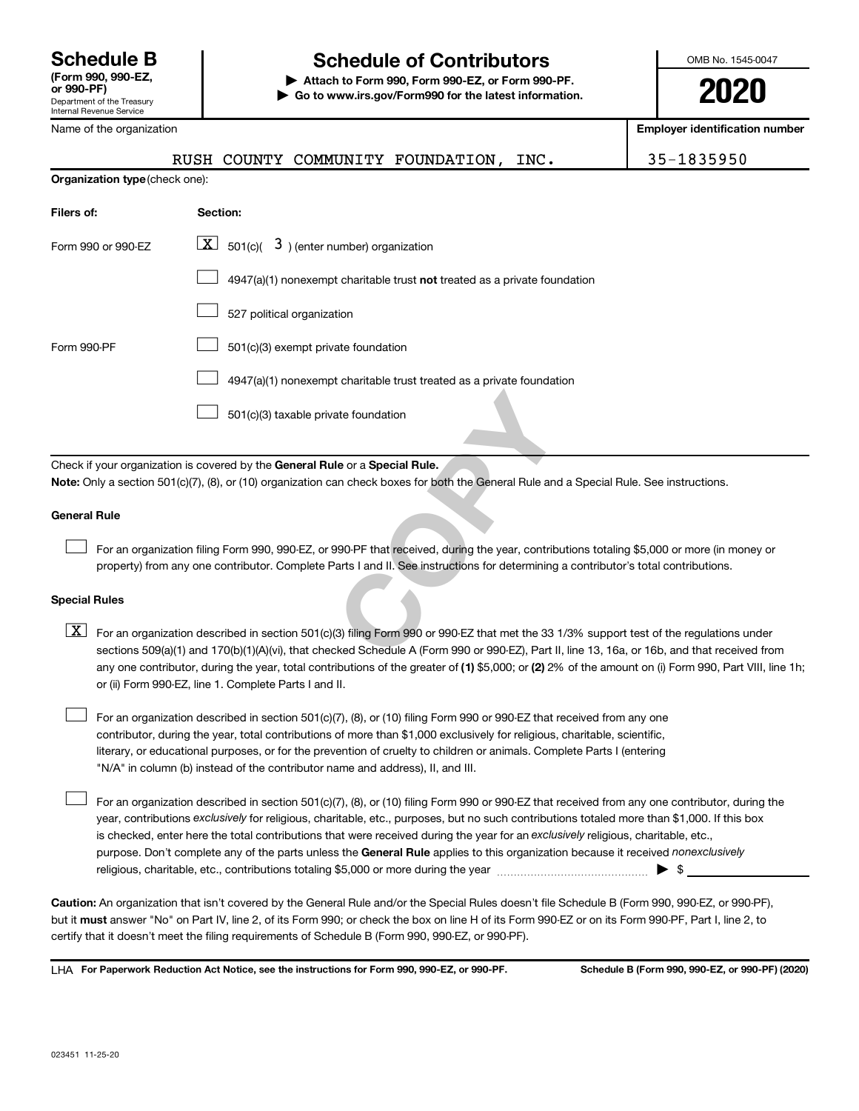## **Schedule B Schedule of Contributors**

**or 990-PF) | Attach to Form 990, Form 990-EZ, or Form 990-PF. | Go to www.irs.gov/Form990 for the latest information.** OMB No. 1545-0047

|                                                                                                                                                                                                                                                                                                                                                                                                                                                                                                                                                                                                                                                                                                                                                                                                                                                                                                                                                                                                   | Name of the organization                                                     |          |                                           |                                                                           |                                                                                                                                           | <b>Employer identification number</b>                                                                                                      |
|---------------------------------------------------------------------------------------------------------------------------------------------------------------------------------------------------------------------------------------------------------------------------------------------------------------------------------------------------------------------------------------------------------------------------------------------------------------------------------------------------------------------------------------------------------------------------------------------------------------------------------------------------------------------------------------------------------------------------------------------------------------------------------------------------------------------------------------------------------------------------------------------------------------------------------------------------------------------------------------------------|------------------------------------------------------------------------------|----------|-------------------------------------------|---------------------------------------------------------------------------|-------------------------------------------------------------------------------------------------------------------------------------------|--------------------------------------------------------------------------------------------------------------------------------------------|
|                                                                                                                                                                                                                                                                                                                                                                                                                                                                                                                                                                                                                                                                                                                                                                                                                                                                                                                                                                                                   | RUSH                                                                         |          |                                           | COUNTY COMMUNITY FOUNDATION,                                              | INC.                                                                                                                                      | 35-1835950                                                                                                                                 |
|                                                                                                                                                                                                                                                                                                                                                                                                                                                                                                                                                                                                                                                                                                                                                                                                                                                                                                                                                                                                   | Organization type (check one):                                               |          |                                           |                                                                           |                                                                                                                                           |                                                                                                                                            |
| Filers of:                                                                                                                                                                                                                                                                                                                                                                                                                                                                                                                                                                                                                                                                                                                                                                                                                                                                                                                                                                                        |                                                                              | Section: |                                           |                                                                           |                                                                                                                                           |                                                                                                                                            |
| Form 990 or 990-EZ                                                                                                                                                                                                                                                                                                                                                                                                                                                                                                                                                                                                                                                                                                                                                                                                                                                                                                                                                                                | $\boxed{\text{X}}$                                                           |          | 501(c)( $3$ ) (enter number) organization |                                                                           |                                                                                                                                           |                                                                                                                                            |
|                                                                                                                                                                                                                                                                                                                                                                                                                                                                                                                                                                                                                                                                                                                                                                                                                                                                                                                                                                                                   |                                                                              |          |                                           | 4947(a)(1) nonexempt charitable trust not treated as a private foundation |                                                                                                                                           |                                                                                                                                            |
|                                                                                                                                                                                                                                                                                                                                                                                                                                                                                                                                                                                                                                                                                                                                                                                                                                                                                                                                                                                                   |                                                                              |          | 527 political organization                |                                                                           |                                                                                                                                           |                                                                                                                                            |
| Form 990-PF                                                                                                                                                                                                                                                                                                                                                                                                                                                                                                                                                                                                                                                                                                                                                                                                                                                                                                                                                                                       |                                                                              |          | 501(c)(3) exempt private foundation       |                                                                           |                                                                                                                                           |                                                                                                                                            |
|                                                                                                                                                                                                                                                                                                                                                                                                                                                                                                                                                                                                                                                                                                                                                                                                                                                                                                                                                                                                   |                                                                              |          |                                           | 4947(a)(1) nonexempt charitable trust treated as a private foundation     |                                                                                                                                           |                                                                                                                                            |
|                                                                                                                                                                                                                                                                                                                                                                                                                                                                                                                                                                                                                                                                                                                                                                                                                                                                                                                                                                                                   |                                                                              |          | 501(c)(3) taxable private foundation      |                                                                           |                                                                                                                                           |                                                                                                                                            |
|                                                                                                                                                                                                                                                                                                                                                                                                                                                                                                                                                                                                                                                                                                                                                                                                                                                                                                                                                                                                   | Check if your organization is covered by the General Rule or a Special Rule. |          |                                           |                                                                           |                                                                                                                                           |                                                                                                                                            |
|                                                                                                                                                                                                                                                                                                                                                                                                                                                                                                                                                                                                                                                                                                                                                                                                                                                                                                                                                                                                   |                                                                              |          |                                           |                                                                           | Note: Only a section 501(c)(7), (8), or (10) organization can check boxes for both the General Rule and a Special Rule. See instructions. |                                                                                                                                            |
| <b>General Rule</b>                                                                                                                                                                                                                                                                                                                                                                                                                                                                                                                                                                                                                                                                                                                                                                                                                                                                                                                                                                               |                                                                              |          |                                           |                                                                           |                                                                                                                                           |                                                                                                                                            |
|                                                                                                                                                                                                                                                                                                                                                                                                                                                                                                                                                                                                                                                                                                                                                                                                                                                                                                                                                                                                   |                                                                              |          |                                           |                                                                           | property) from any one contributor. Complete Parts I and II. See instructions for determining a contributor's total contributions.        | For an organization filing Form 990, 990-EZ, or 990-PF that received, during the year, contributions totaling \$5,000 or more (in money or |
| <b>Special Rules</b>                                                                                                                                                                                                                                                                                                                                                                                                                                                                                                                                                                                                                                                                                                                                                                                                                                                                                                                                                                              |                                                                              |          |                                           |                                                                           |                                                                                                                                           |                                                                                                                                            |
| $\boxed{\text{X}}$<br>For an organization described in section 501(c)(3) filing Form 990 or 990-EZ that met the 33 1/3% support test of the regulations under<br>sections 509(a)(1) and 170(b)(1)(A)(vi), that checked Schedule A (Form 990 or 990-EZ), Part II, line 13, 16a, or 16b, and that received from<br>any one contributor, during the year, total contributions of the greater of (1) \$5,000; or (2) 2% of the amount on (i) Form 990, Part VIII, line 1h;<br>or (ii) Form 990-EZ, line 1. Complete Parts I and II.<br>For an organization described in section 501(c)(7), (8), or (10) filing Form 990 or 990-EZ that received from any one<br>contributor, during the year, total contributions of more than \$1,000 exclusively for religious, charitable, scientific,<br>literary, or educational purposes, or for the prevention of cruelty to children or animals. Complete Parts I (entering<br>"N/A" in column (b) instead of the contributor name and address), II, and III. |                                                                              |          |                                           |                                                                           |                                                                                                                                           |                                                                                                                                            |

purpose. Don't complete any of the parts unless the General Rule applies to this organization because it received nonexclusively year, contributions exclusively for religious, charitable, etc., purposes, but no such contributions totaled more than \$1,000. If this box is checked, enter here the total contributions that were received during the year for an exclusively religious, charitable, etc., For an organization described in section 501(c)(7), (8), or (10) filing Form 990 or 990-EZ that received from any one contributor, during the religious, charitable, etc., contributions totaling \$5,000 or more during the year  $~\ldots$  $~$   $\ldots$  $\ldots$  $\ldots$  $\ldots$  $\ldots$  $\Box$ 

**Caution:**  An organization that isn't covered by the General Rule and/or the Special Rules doesn't file Schedule B (Form 990, 990-EZ, or 990-PF),  **must** but it answer "No" on Part IV, line 2, of its Form 990; or check the box on line H of its Form 990-EZ or on its Form 990-PF, Part I, line 2, to certify that it doesn't meet the filing requirements of Schedule B (Form 990, 990-EZ, or 990-PF).

**For Paperwork Reduction Act Notice, see the instructions for Form 990, 990-EZ, or 990-PF. Schedule B (Form 990, 990-EZ, or 990-PF) (2020)** LHA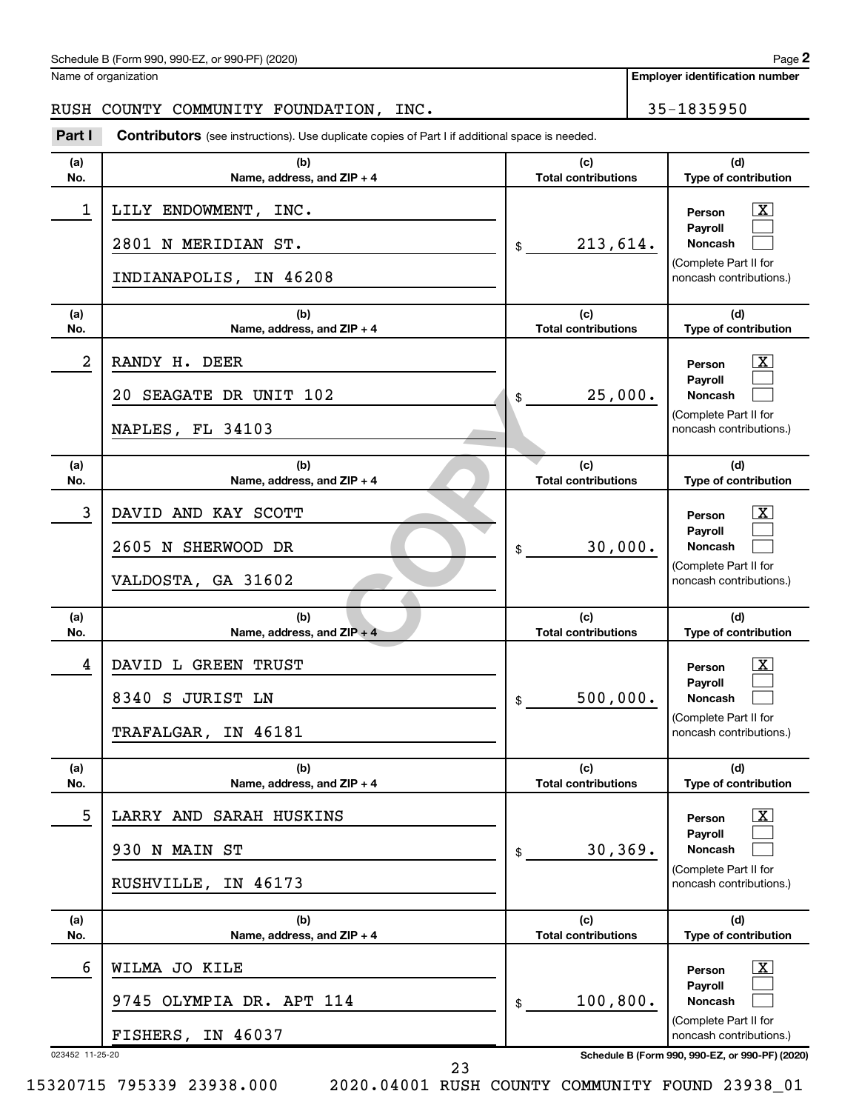### Schedule B (Form 990, 990-EZ, or 990-PF) (2020)

Name of organization

## RUSH COUNTY COMMUNITY FOUNDATION, INC. 455-1835950

**Part I** Contributors (see instructions). Use duplicate copies of Part I if additional space is needed.

| (a)<br>No.           | (b)<br>Name, address, and ZIP + 4                                     | (c)<br><b>Total contributions</b> | (d)<br>Type of contribution                                                                                                                                |
|----------------------|-----------------------------------------------------------------------|-----------------------------------|------------------------------------------------------------------------------------------------------------------------------------------------------------|
| 1                    | LILY ENDOWMENT, INC.<br>2801 N MERIDIAN ST.<br>INDIANAPOLIS, IN 46208 | \$<br>213,614.                    | x<br>Person<br>Payroll<br>Noncash<br>(Complete Part II for<br>noncash contributions.)                                                                      |
| (a)<br>No.           | (b)<br>Name, address, and ZIP + 4                                     | (c)<br><b>Total contributions</b> | (d)<br>Type of contribution                                                                                                                                |
| 2                    | RANDY H. DEER<br>20 SEAGATE DR UNIT 102<br>NAPLES, FL 34103           | \$<br>25,000.                     | x<br>Person<br>Payroll<br>Noncash<br>(Complete Part II for<br>noncash contributions.)                                                                      |
| (a)<br>No.           | (b)<br>Name, address, and ZIP + 4                                     | (c)<br><b>Total contributions</b> | (d)<br>Type of contribution                                                                                                                                |
| 3                    | DAVID AND KAY SCOTT<br>2605 N SHERWOOD DR<br>VALDOSTA, GA 31602       | \$<br>30,000.                     | x<br>Person<br>Payroll<br>Noncash<br>(Complete Part II for<br>noncash contributions.)                                                                      |
| (a)<br>No.           | (b)<br>Name, address, and $ZIP + 4$                                   | (c)<br><b>Total contributions</b> | (d)<br>Type of contribution                                                                                                                                |
| 4                    | DAVID L GREEN TRUST<br>8340 S JURIST LN<br>TRAFALGAR, IN 46181        | \$<br>500,000.                    | X.<br>Person<br>Payroll<br>Noncash<br>(Complete Part II for<br>noncash contributions.)                                                                     |
| (a)<br>No.           | (b)<br>Name, address, and ZIP + 4                                     | (c)<br><b>Total contributions</b> | (d)<br>Type of contribution                                                                                                                                |
| 5                    | LARRY AND SARAH HUSKINS<br>930 N MAIN ST<br>RUSHVILLE, IN 46173       | \$<br>30, 369.                    | $\mathbf{X}$<br>Person<br>Payroll<br>Noncash<br>(Complete Part II for<br>noncash contributions.)                                                           |
| (a)<br>No.           | (b)<br>Name, address, and ZIP + 4                                     | (c)<br><b>Total contributions</b> | (d)<br>Type of contribution                                                                                                                                |
| 6<br>023452 11-25-20 | WILMA JO KILE<br>9745 OLYMPIA DR. APT 114<br>FISHERS, IN 46037        | \$<br>100, 800.                   | $\lfloor x \rfloor$<br>Person<br>Payroll<br>Noncash<br>(Complete Part II for<br>noncash contributions.)<br>Schedule B (Form 990, 990-EZ, or 990-PF) (2020) |

23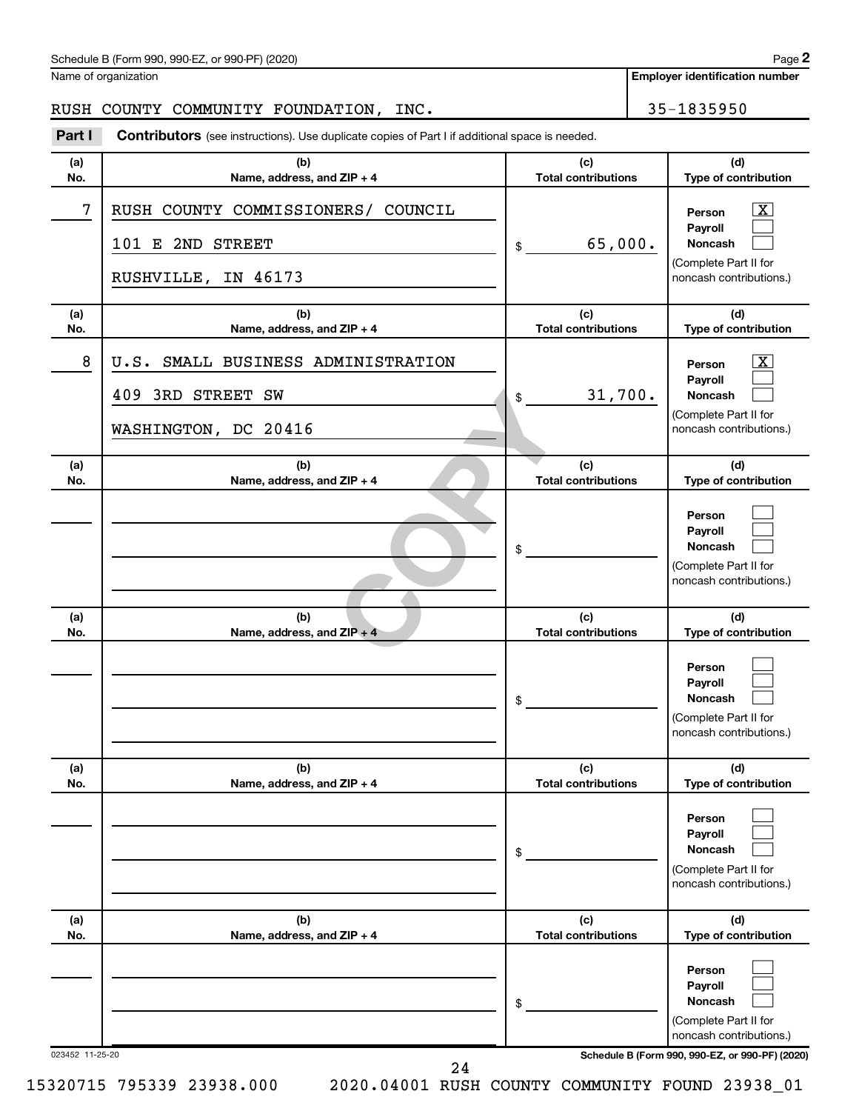| Schedule B (Form 990, 990-EZ, or 990-PF) (2020)<br>. The state of the state $\mathcal{L}$ is the state of the state of the state of the state of the state of the state of the state of the state of the state of the state of the state of the state of the state of the state of th | Page |
|---------------------------------------------------------------------------------------------------------------------------------------------------------------------------------------------------------------------------------------------------------------------------------------|------|
|---------------------------------------------------------------------------------------------------------------------------------------------------------------------------------------------------------------------------------------------------------------------------------------|------|

Name of organization

**Employer identification number**

## RUSH COUNTY COMMUNITY FOUNDATION, INC. 25-1835950

| Part I          | <b>Contributors</b> (see instructions). Use duplicate copies of Part I if additional space is needed. |                                   |                                                                                                             |
|-----------------|-------------------------------------------------------------------------------------------------------|-----------------------------------|-------------------------------------------------------------------------------------------------------------|
| (a)<br>No.      | (b)<br>Name, address, and ZIP + 4                                                                     | (c)<br><b>Total contributions</b> | (d)<br>Type of contribution                                                                                 |
| 7               | RUSH COUNTY COMMISSIONERS/<br>COUNCIL<br>101 E 2ND STREET<br>IN 46173<br>RUSHVILLE,                   | 65,000.<br>\$                     | $\overline{\mathbf{X}}$<br>Person<br>Payroll<br>Noncash<br>(Complete Part II for<br>noncash contributions.) |
| (a)<br>No.      | (b)<br>Name, address, and ZIP + 4                                                                     | (c)<br><b>Total contributions</b> | (d)<br>Type of contribution                                                                                 |
| 8               | SMALL BUSINESS ADMINISTRATION<br>U.S.<br>409 3RD STREET SW<br>WASHINGTON, DC 20416                    | 31,700.<br>\$                     | $\overline{\mathbf{X}}$<br>Person<br>Payroll<br>Noncash<br>(Complete Part II for<br>noncash contributions.) |
| (a)<br>No.      | (b)<br>Name, address, and ZIP + 4                                                                     | (c)<br><b>Total contributions</b> | (d)<br>Type of contribution                                                                                 |
|                 |                                                                                                       | \$                                | Person<br>Payroll<br>Noncash<br>(Complete Part II for<br>noncash contributions.)                            |
| (a)<br>No.      | (b)<br>Name, address, and ZIP + 4                                                                     | (c)<br><b>Total contributions</b> | (d)<br>Type of contribution                                                                                 |
|                 |                                                                                                       | \$                                | Person<br>Payroll<br>Noncash<br>(Complete Part II for<br>noncash contributions.)                            |
| (a)<br>No.      | (b)<br>Name, address, and ZIP + 4                                                                     | (c)<br><b>Total contributions</b> | (d)<br>Type of contribution                                                                                 |
|                 |                                                                                                       | \$                                | Person<br>Payroll<br><b>Noncash</b><br>(Complete Part II for<br>noncash contributions.)                     |
| (a)<br>No.      | (b)<br>Name, address, and ZIP + 4                                                                     | (c)<br><b>Total contributions</b> | (d)<br>Type of contribution                                                                                 |
|                 |                                                                                                       | \$                                | Person<br>Payroll<br>Noncash<br>(Complete Part II for<br>noncash contributions.)                            |
| 023452 11-25-20 |                                                                                                       |                                   | Schedule B (Form 990, 990-EZ, or 990-PF) (2020)                                                             |

24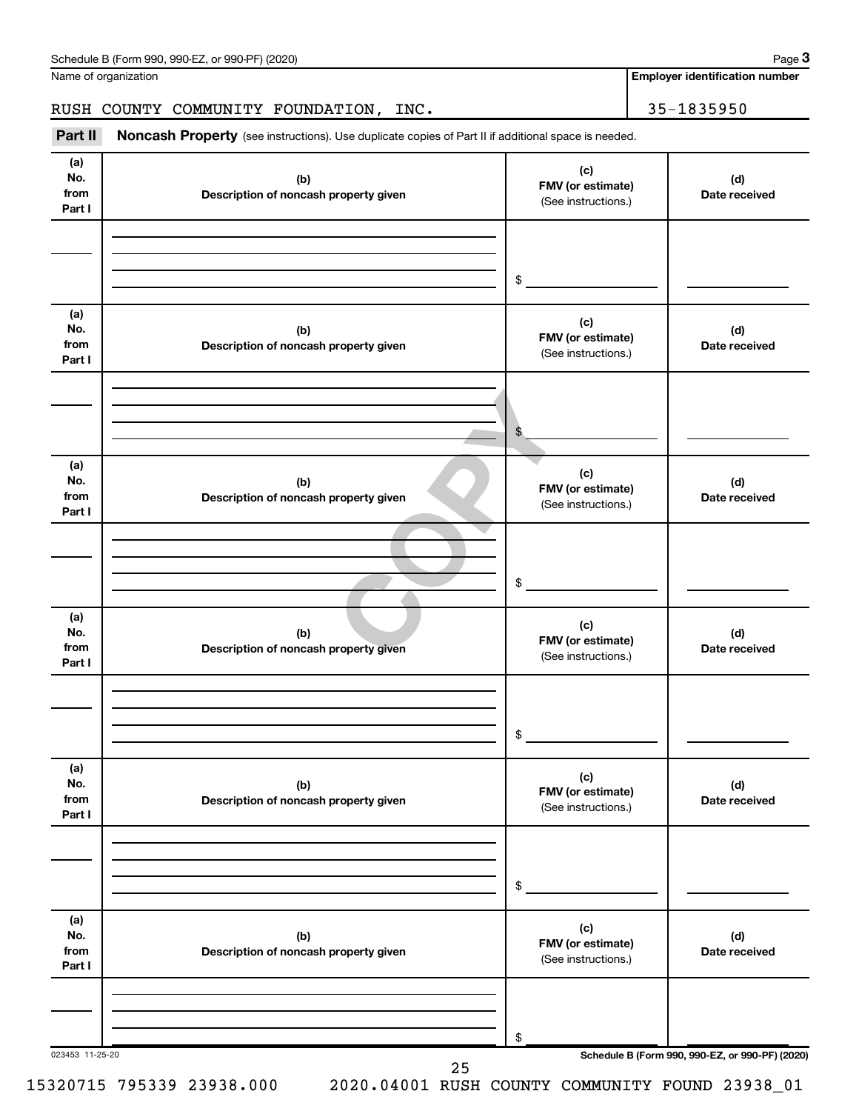| Schedule B (Form 990, 990-EZ, or 990-PF) (2020) | Page |
|-------------------------------------------------|------|
|-------------------------------------------------|------|

Name of organization

**Employer identification number**

## RUSH COUNTY COMMUNITY FOUNDATION, INC. 455-1835950

Part II Noncash Property (see instructions). Use duplicate copies of Part II if additional space is needed.

| (b)<br>Description of noncash property given<br>(b)<br>Description of noncash property given | (c)<br>FMV (or estimate)<br>(See instructions.)<br>\$<br>(c)<br>FMV (or estimate)<br>(See instructions.) | (d)<br>Date received<br>(d)<br>Date received          |
|----------------------------------------------------------------------------------------------|----------------------------------------------------------------------------------------------------------|-------------------------------------------------------|
|                                                                                              |                                                                                                          |                                                       |
|                                                                                              |                                                                                                          |                                                       |
|                                                                                              |                                                                                                          |                                                       |
|                                                                                              | \$                                                                                                       |                                                       |
| (b)<br>Description of noncash property given                                                 | (c)<br>FMV (or estimate)<br>(See instructions.)                                                          | (d)<br>Date received                                  |
|                                                                                              | \$                                                                                                       |                                                       |
| (b)<br>Description of noncash property given                                                 | (c)<br>FMV (or estimate)<br>(See instructions.)                                                          | (d)<br>Date received                                  |
|                                                                                              | \$                                                                                                       |                                                       |
| (b)<br>Description of noncash property given                                                 | (c)<br>FMV (or estimate)<br>(See instructions.)                                                          | (d)<br>Date received                                  |
|                                                                                              | \$                                                                                                       |                                                       |
| (b)<br>Description of noncash property given                                                 | (c)<br>FMV (or estimate)<br>(See instructions.)                                                          | (d)<br>Date received                                  |
|                                                                                              | \$                                                                                                       |                                                       |
|                                                                                              |                                                                                                          | Schedule B (Form 990, 990-EZ, or 990-PF) (2020)<br>25 |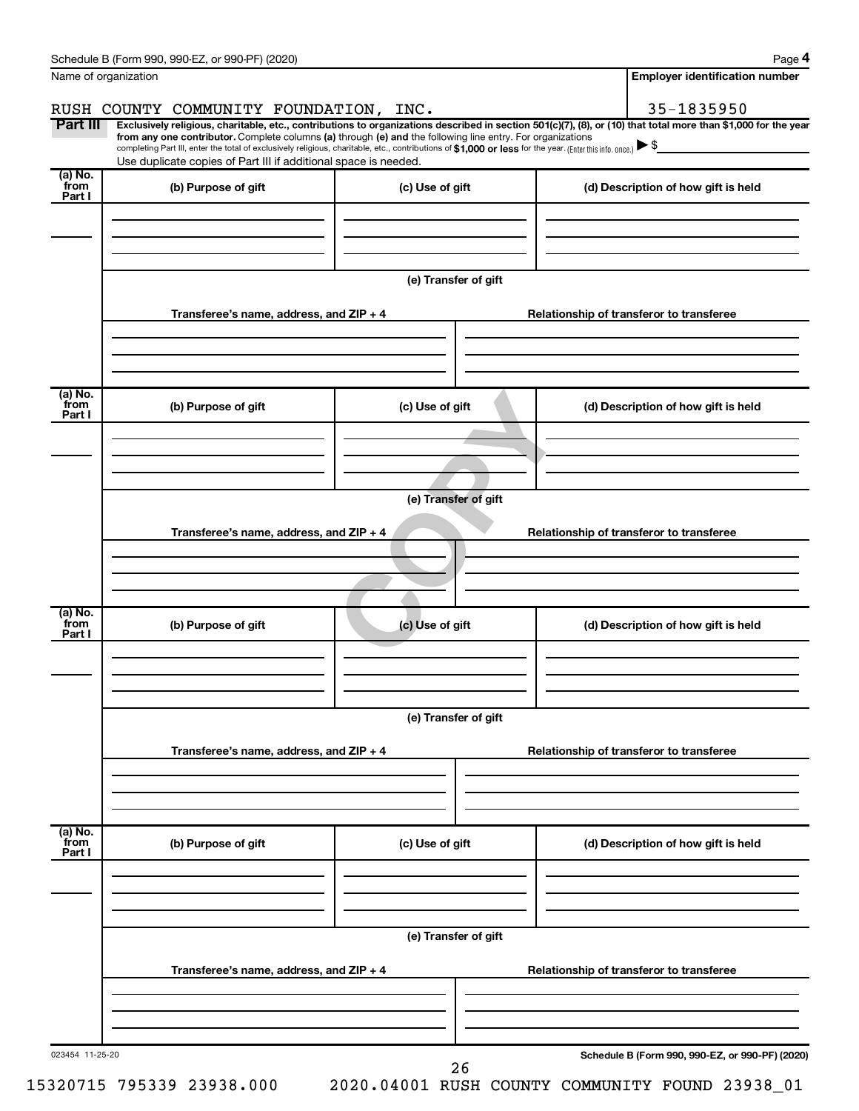|                            |                                                                                                                                                                                                                                                                                                                                           |                      | <b>Employer identification number</b>                                                                                                                          |
|----------------------------|-------------------------------------------------------------------------------------------------------------------------------------------------------------------------------------------------------------------------------------------------------------------------------------------------------------------------------------------|----------------------|----------------------------------------------------------------------------------------------------------------------------------------------------------------|
|                            | RUSH COUNTY COMMUNITY FOUNDATION, INC.                                                                                                                                                                                                                                                                                                    |                      | 35-1835950                                                                                                                                                     |
| Part III                   | from any one contributor. Complete columns (a) through (e) and the following line entry. For organizations<br>completing Part III, enter the total of exclusively religious, charitable, etc., contributions of \$1,000 or less for the year. (Enter this info. once.)<br>Use duplicate copies of Part III if additional space is needed. |                      | Exclusively religious, charitable, etc., contributions to organizations described in section 501(c)(7), (8), or (10) that total more than \$1,000 for the year |
| (a) No.<br>`from<br>Part I | (b) Purpose of gift                                                                                                                                                                                                                                                                                                                       | (c) Use of gift      | (d) Description of how gift is held                                                                                                                            |
|                            |                                                                                                                                                                                                                                                                                                                                           | (e) Transfer of gift |                                                                                                                                                                |
|                            | Transferee's name, address, and ZIP + 4                                                                                                                                                                                                                                                                                                   |                      | Relationship of transferor to transferee                                                                                                                       |
| (a) No.<br>`from<br>Part I | (b) Purpose of gift                                                                                                                                                                                                                                                                                                                       | (c) Use of gift      | (d) Description of how gift is held                                                                                                                            |
|                            |                                                                                                                                                                                                                                                                                                                                           | (e) Transfer of gift |                                                                                                                                                                |
|                            | Transferee's name, address, and ZIP + 4                                                                                                                                                                                                                                                                                                   |                      | Relationship of transferor to transferee                                                                                                                       |
| (a) No.<br>from<br>Part I  | (b) Purpose of gift                                                                                                                                                                                                                                                                                                                       | (c) Use of gift      | (d) Description of how gift is held                                                                                                                            |
|                            |                                                                                                                                                                                                                                                                                                                                           | (e) Transfer of gift |                                                                                                                                                                |
|                            | Transferee's name, address, and ZIP + 4                                                                                                                                                                                                                                                                                                   |                      | Relationship of transferor to transferee                                                                                                                       |
| (a) No.<br>from<br>Part I  | (b) Purpose of gift                                                                                                                                                                                                                                                                                                                       | (c) Use of gift      | (d) Description of how gift is held                                                                                                                            |
|                            |                                                                                                                                                                                                                                                                                                                                           | (e) Transfer of gift |                                                                                                                                                                |
|                            | Transferee's name, address, and ZIP + 4                                                                                                                                                                                                                                                                                                   |                      | Relationship of transferor to transferee                                                                                                                       |
| 023454 11-25-20            |                                                                                                                                                                                                                                                                                                                                           | 26                   | Schedule B (Form 990, 990-EZ, or 990-PF) (2020)                                                                                                                |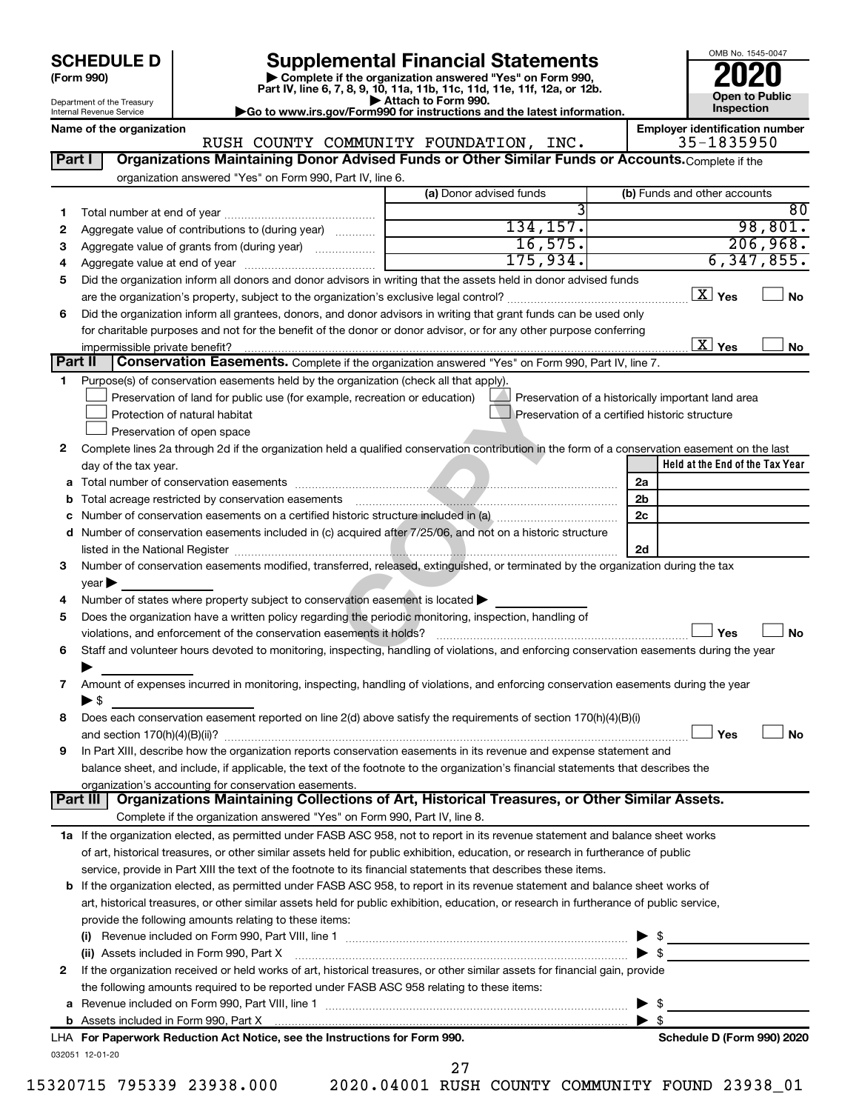| <b>SCHEDULE D</b> |  |
|-------------------|--|
|-------------------|--|

# **SCHEDULE D Supplemental Financial Statements**<br> **Form 990 2020**<br> **Part IV** line 6.7.8.9.10, 11a, 11b, 11d, 11d, 11d, 11d, 11d, 12a, 0r, 12b

**(Form 990) | Complete if the organization answered "Yes" on Form 990, Part IV, line 6, 7, 8, 9, 10, 11a, 11b, 11c, 11d, 11e, 11f, 12a, or 12b.**

**| Attach to Form 990. |Go to www.irs.gov/Form990 for instructions and the latest information.**

RUSH COUNTY COMMUNITY FOUNDATION, INC.



Department of the Treasury Internal Revenue Service

Name of the organization<br>**RUSH COUNTY COMMUNITY FOUNDATION, INC. Employer identification number**<br>35–1835950

|                            | organization answered "Yes" on Form 990, Part IV, line 6.                                                                                                                                                                                                            | (a) Donor advised funds                        |                         | (b) Funds and other accounts                       |
|----------------------------|----------------------------------------------------------------------------------------------------------------------------------------------------------------------------------------------------------------------------------------------------------------------|------------------------------------------------|-------------------------|----------------------------------------------------|
|                            |                                                                                                                                                                                                                                                                      |                                                |                         | 80                                                 |
| 1                          | Aggregate value of contributions to (during year)                                                                                                                                                                                                                    | 134, 157.                                      |                         | 98,801.                                            |
| 2                          |                                                                                                                                                                                                                                                                      | 16,575.                                        |                         | 206,968.                                           |
| 3                          | Aggregate value of grants from (during year)                                                                                                                                                                                                                         | 175,934.                                       |                         | 6, 347, 855.                                       |
| 4<br>5                     | Did the organization inform all donors and donor advisors in writing that the assets held in donor advised funds                                                                                                                                                     |                                                |                         |                                                    |
|                            |                                                                                                                                                                                                                                                                      |                                                |                         | $X$ Yes<br>No                                      |
| 6                          | Did the organization inform all grantees, donors, and donor advisors in writing that grant funds can be used only                                                                                                                                                    |                                                |                         |                                                    |
|                            | for charitable purposes and not for the benefit of the donor or donor advisor, or for any other purpose conferring                                                                                                                                                   |                                                |                         |                                                    |
|                            |                                                                                                                                                                                                                                                                      |                                                |                         | $\boxed{\text{X}}$ Yes<br>No                       |
| Part II                    | Conservation Easements. Complete if the organization answered "Yes" on Form 990, Part IV, line 7.                                                                                                                                                                    |                                                |                         |                                                    |
| 1                          | Purpose(s) of conservation easements held by the organization (check all that apply).                                                                                                                                                                                |                                                |                         |                                                    |
|                            | Preservation of land for public use (for example, recreation or education)                                                                                                                                                                                           |                                                |                         | Preservation of a historically important land area |
|                            | Protection of natural habitat                                                                                                                                                                                                                                        | Preservation of a certified historic structure |                         |                                                    |
|                            | Preservation of open space                                                                                                                                                                                                                                           |                                                |                         |                                                    |
| 2                          | Complete lines 2a through 2d if the organization held a qualified conservation contribution in the form of a conservation easement on the last                                                                                                                       |                                                |                         |                                                    |
|                            | day of the tax year.                                                                                                                                                                                                                                                 |                                                |                         | Held at the End of the Tax Year                    |
|                            |                                                                                                                                                                                                                                                                      |                                                | 2a                      |                                                    |
|                            |                                                                                                                                                                                                                                                                      |                                                | 2 <sub>b</sub>          |                                                    |
|                            |                                                                                                                                                                                                                                                                      |                                                | 2c                      |                                                    |
| d                          | Number of conservation easements included in (c) acquired after 7/25/06, and not on a historic structure                                                                                                                                                             |                                                |                         |                                                    |
|                            |                                                                                                                                                                                                                                                                      |                                                | 2d                      |                                                    |
| з                          | Number of conservation easements modified, transferred, released, extinguished, or terminated by the organization during the tax                                                                                                                                     |                                                |                         |                                                    |
|                            |                                                                                                                                                                                                                                                                      |                                                |                         |                                                    |
|                            |                                                                                                                                                                                                                                                                      |                                                |                         |                                                    |
|                            | $year \triangleright$                                                                                                                                                                                                                                                |                                                |                         |                                                    |
|                            | Number of states where property subject to conservation easement is located >                                                                                                                                                                                        |                                                |                         |                                                    |
|                            | Does the organization have a written policy regarding the periodic monitoring, inspection, handling of                                                                                                                                                               |                                                |                         |                                                    |
|                            | violations, and enforcement of the conservation easements it holds?                                                                                                                                                                                                  |                                                |                         | Yes<br>No                                          |
|                            | Staff and volunteer hours devoted to monitoring, inspecting, handling of violations, and enforcing conservation easements during the year                                                                                                                            |                                                |                         |                                                    |
|                            |                                                                                                                                                                                                                                                                      |                                                |                         |                                                    |
| 4<br>7                     | Amount of expenses incurred in monitoring, inspecting, handling of violations, and enforcing conservation easements during the year                                                                                                                                  |                                                |                         |                                                    |
|                            | ▶ \$                                                                                                                                                                                                                                                                 |                                                |                         |                                                    |
|                            | Does each conservation easement reported on line 2(d) above satisfy the requirements of section 170(h)(4)(B)(i)                                                                                                                                                      |                                                |                         | Yes<br>No                                          |
|                            |                                                                                                                                                                                                                                                                      |                                                |                         |                                                    |
|                            | In Part XIII, describe how the organization reports conservation easements in its revenue and expense statement and                                                                                                                                                  |                                                |                         |                                                    |
|                            | balance sheet, and include, if applicable, the text of the footnote to the organization's financial statements that describes the                                                                                                                                    |                                                |                         |                                                    |
|                            | organization's accounting for conservation easements.<br>Organizations Maintaining Collections of Art, Historical Treasures, or Other Similar Assets.<br>Part III                                                                                                    |                                                |                         |                                                    |
|                            | Complete if the organization answered "Yes" on Form 990, Part IV, line 8.                                                                                                                                                                                            |                                                |                         |                                                    |
|                            |                                                                                                                                                                                                                                                                      |                                                |                         |                                                    |
|                            | 1a If the organization elected, as permitted under FASB ASC 958, not to report in its revenue statement and balance sheet works<br>of art, historical treasures, or other similar assets held for public exhibition, education, or research in furtherance of public |                                                |                         |                                                    |
|                            |                                                                                                                                                                                                                                                                      |                                                |                         |                                                    |
|                            | service, provide in Part XIII the text of the footnote to its financial statements that describes these items.                                                                                                                                                       |                                                |                         |                                                    |
|                            | <b>b</b> If the organization elected, as permitted under FASB ASC 958, to report in its revenue statement and balance sheet works of                                                                                                                                 |                                                |                         |                                                    |
|                            | art, historical treasures, or other similar assets held for public exhibition, education, or research in furtherance of public service,<br>provide the following amounts relating to these items:                                                                    |                                                |                         |                                                    |
|                            |                                                                                                                                                                                                                                                                      |                                                |                         |                                                    |
|                            | (ii) Assets included in Form 990, Part X                                                                                                                                                                                                                             |                                                |                         |                                                    |
|                            |                                                                                                                                                                                                                                                                      |                                                |                         | $\blacktriangleright$ \$                           |
|                            | If the organization received or held works of art, historical treasures, or other similar assets for financial gain, provide<br>the following amounts required to be reported under FASB ASC 958 relating to these items:                                            |                                                |                         |                                                    |
| 5<br>6<br>8<br>9<br>2<br>a |                                                                                                                                                                                                                                                                      |                                                | ▶                       | - \$                                               |
|                            |                                                                                                                                                                                                                                                                      |                                                | $\blacktriangleright$ s |                                                    |
|                            | LHA For Paperwork Reduction Act Notice, see the Instructions for Form 990.                                                                                                                                                                                           |                                                |                         | Schedule D (Form 990) 2020                         |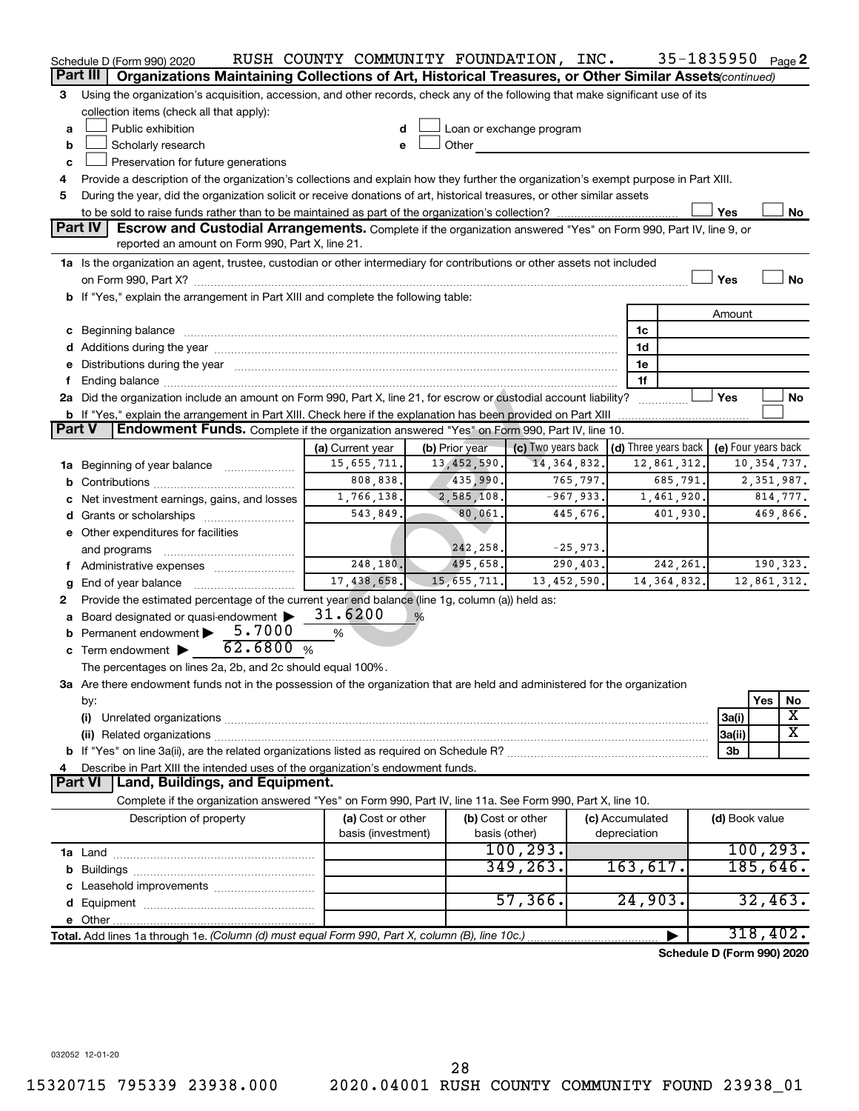|               | Schedule D (Form 990) 2020                                                                                                                                                                                                     | RUSH COUNTY COMMUNITY FOUNDATION, INC. |                |                          |            |                 | 35-1835950 Page 2          |                     |               |                         |
|---------------|--------------------------------------------------------------------------------------------------------------------------------------------------------------------------------------------------------------------------------|----------------------------------------|----------------|--------------------------|------------|-----------------|----------------------------|---------------------|---------------|-------------------------|
|               | Organizations Maintaining Collections of Art, Historical Treasures, or Other Similar Assets (continued)<br>Part III                                                                                                            |                                        |                |                          |            |                 |                            |                     |               |                         |
| З             | Using the organization's acquisition, accession, and other records, check any of the following that make significant use of its                                                                                                |                                        |                |                          |            |                 |                            |                     |               |                         |
|               | collection items (check all that apply):                                                                                                                                                                                       |                                        |                |                          |            |                 |                            |                     |               |                         |
| a             | Public exhibition                                                                                                                                                                                                              |                                        |                | Loan or exchange program |            |                 |                            |                     |               |                         |
| b             | Scholarly research                                                                                                                                                                                                             | e                                      | Other          |                          |            |                 |                            |                     |               |                         |
| c             | Preservation for future generations                                                                                                                                                                                            |                                        |                |                          |            |                 |                            |                     |               |                         |
| 4             | Provide a description of the organization's collections and explain how they further the organization's exempt purpose in Part XIII.                                                                                           |                                        |                |                          |            |                 |                            |                     |               |                         |
| 5             | During the year, did the organization solicit or receive donations of art, historical treasures, or other similar assets                                                                                                       |                                        |                |                          |            |                 |                            |                     |               |                         |
|               |                                                                                                                                                                                                                                |                                        |                |                          |            |                 |                            | Yes                 |               | No                      |
|               | <b>Part IV</b><br><b>Escrow and Custodial Arrangements.</b> Complete if the organization answered "Yes" on Form 990, Part IV, line 9, or<br>reported an amount on Form 990, Part X, line 21.                                   |                                        |                |                          |            |                 |                            |                     |               |                         |
|               | 1a Is the organization an agent, trustee, custodian or other intermediary for contributions or other assets not included                                                                                                       |                                        |                |                          |            |                 |                            |                     |               |                         |
|               |                                                                                                                                                                                                                                |                                        |                |                          |            |                 |                            | Yes                 |               | <b>No</b>               |
|               | b If "Yes," explain the arrangement in Part XIII and complete the following table:                                                                                                                                             |                                        |                |                          |            |                 |                            |                     |               |                         |
|               |                                                                                                                                                                                                                                |                                        |                |                          |            |                 |                            | Amount              |               |                         |
|               |                                                                                                                                                                                                                                |                                        |                |                          |            | 1c              |                            |                     |               |                         |
|               |                                                                                                                                                                                                                                |                                        |                |                          |            | 1d              |                            |                     |               |                         |
|               | e Distributions during the year manufactured and continuum and contact the year manufactured and contact the year manufactured and contact the year manufactured and contact the year manufactured and contact the year manufa |                                        |                |                          |            | 1е              |                            |                     |               |                         |
|               | Ending balance manufactured and contract the contract of the contract of the contract of the contract of the contract of the contract of the contract of the contract of the contract of the contract of the contract of the c |                                        |                |                          |            | 1f              |                            |                     |               |                         |
|               | 2a Did the organization include an amount on Form 990, Part X, line 21, for escrow or custodial account liability?                                                                                                             |                                        |                |                          |            |                 |                            | Yes                 |               | No                      |
|               | <b>b</b> If "Yes," explain the arrangement in Part XIII. Check here if the explanation has been provided on Part XIII                                                                                                          |                                        |                |                          |            |                 | . <u>.</u>                 |                     |               |                         |
| <b>Part V</b> | Endowment Funds. Complete if the organization answered "Yes" on Form 990, Part IV, line 10.                                                                                                                                    |                                        |                |                          |            |                 |                            |                     |               |                         |
|               |                                                                                                                                                                                                                                | (a) Current year                       | (b) Prior year | (c) Two years back       |            |                 | (d) Three years back       | (e) Four years back |               |                         |
|               | 1a Beginning of year balance                                                                                                                                                                                                   | 15,655,711.                            | 13,452,590.    | 14, 364, 832.            |            |                 | 12,861,312.                |                     | 10, 354, 737. |                         |
|               |                                                                                                                                                                                                                                | 808,838.                               | 435,990.       |                          | 765,797.   |                 | 685,791                    |                     | 2,351,987.    |                         |
|               | Net investment earnings, gains, and losses                                                                                                                                                                                     | 1,766,138.                             | 2,585,108.     | $-967,933.$              |            |                 | 1,461,920                  |                     |               | 814,777.                |
|               |                                                                                                                                                                                                                                | 543,849.                               | 80,061.        |                          | 445,676.   |                 | 401,930                    |                     |               | 469,866.                |
|               | e Other expenditures for facilities                                                                                                                                                                                            |                                        |                |                          |            |                 |                            |                     |               |                         |
|               | and programs                                                                                                                                                                                                                   |                                        | 242,258.       |                          | $-25,973.$ |                 |                            |                     |               |                         |
|               | f Administrative expenses                                                                                                                                                                                                      | 248, 180.                              | 495,658.       |                          | 290, 403.  |                 | 242,261.                   |                     | 190,323.      |                         |
| g             | End of year balance                                                                                                                                                                                                            | 17,438,658.                            | 15, 655, 711.  | 13,452,590.              |            |                 | 14, 364, 832.              |                     | 12,861,312.   |                         |
| 2             | Provide the estimated percentage of the current year end balance (line 1g, column (a)) held as:                                                                                                                                |                                        |                |                          |            |                 |                            |                     |               |                         |
|               | Board designated or quasi-endowment                                                                                                                                                                                            | 31.6200                                | %              |                          |            |                 |                            |                     |               |                         |
|               | Permanent endowment > 5.7000<br>62.6800                                                                                                                                                                                        | $\%$                                   |                |                          |            |                 |                            |                     |               |                         |
|               | c Term endowment $\blacktriangleright$                                                                                                                                                                                         | %                                      |                |                          |            |                 |                            |                     |               |                         |
|               | The percentages on lines 2a, 2b, and 2c should equal 100%.                                                                                                                                                                     |                                        |                |                          |            |                 |                            |                     |               |                         |
|               | 3a Are there endowment funds not in the possession of the organization that are held and administered for the organization                                                                                                     |                                        |                |                          |            |                 |                            |                     |               |                         |
|               | by:                                                                                                                                                                                                                            |                                        |                |                          |            |                 |                            |                     | Yes           | No<br>X                 |
|               | (i)                                                                                                                                                                                                                            |                                        |                |                          |            |                 |                            | 3a(i)               |               | $\overline{\textbf{X}}$ |
|               |                                                                                                                                                                                                                                |                                        |                |                          |            |                 |                            | 3a(ii)<br>3b        |               |                         |
|               | Describe in Part XIII the intended uses of the organization's endowment funds.                                                                                                                                                 |                                        |                |                          |            |                 |                            |                     |               |                         |
|               | Land, Buildings, and Equipment.<br><b>Part VI</b>                                                                                                                                                                              |                                        |                |                          |            |                 |                            |                     |               |                         |
|               | Complete if the organization answered "Yes" on Form 990, Part IV, line 11a. See Form 990, Part X, line 10.                                                                                                                     |                                        |                |                          |            |                 |                            |                     |               |                         |
|               | Description of property                                                                                                                                                                                                        | (a) Cost or other                      |                | (b) Cost or other        |            | (c) Accumulated |                            | (d) Book value      |               |                         |
|               |                                                                                                                                                                                                                                | basis (investment)                     |                | basis (other)            |            | depreciation    |                            |                     |               |                         |
|               |                                                                                                                                                                                                                                |                                        |                | 100, 293.                |            |                 |                            |                     | 100, 293.     |                         |
|               |                                                                                                                                                                                                                                |                                        |                | 349,263.                 |            | 163,617.        |                            |                     | 185,646.      |                         |
|               |                                                                                                                                                                                                                                |                                        |                |                          |            |                 |                            |                     |               |                         |
|               |                                                                                                                                                                                                                                |                                        |                | 57, 366.                 |            | 24,903.         |                            |                     | 32,463.       |                         |
|               |                                                                                                                                                                                                                                |                                        |                |                          |            |                 |                            |                     |               |                         |
|               | Total. Add lines 1a through 1e. (Column (d) must equal Form 990, Part X, column (B), line 10c.)                                                                                                                                |                                        |                |                          |            |                 |                            |                     | 318,402.      |                         |
|               |                                                                                                                                                                                                                                |                                        |                |                          |            |                 | Schedule D (Form 990) 2020 |                     |               |                         |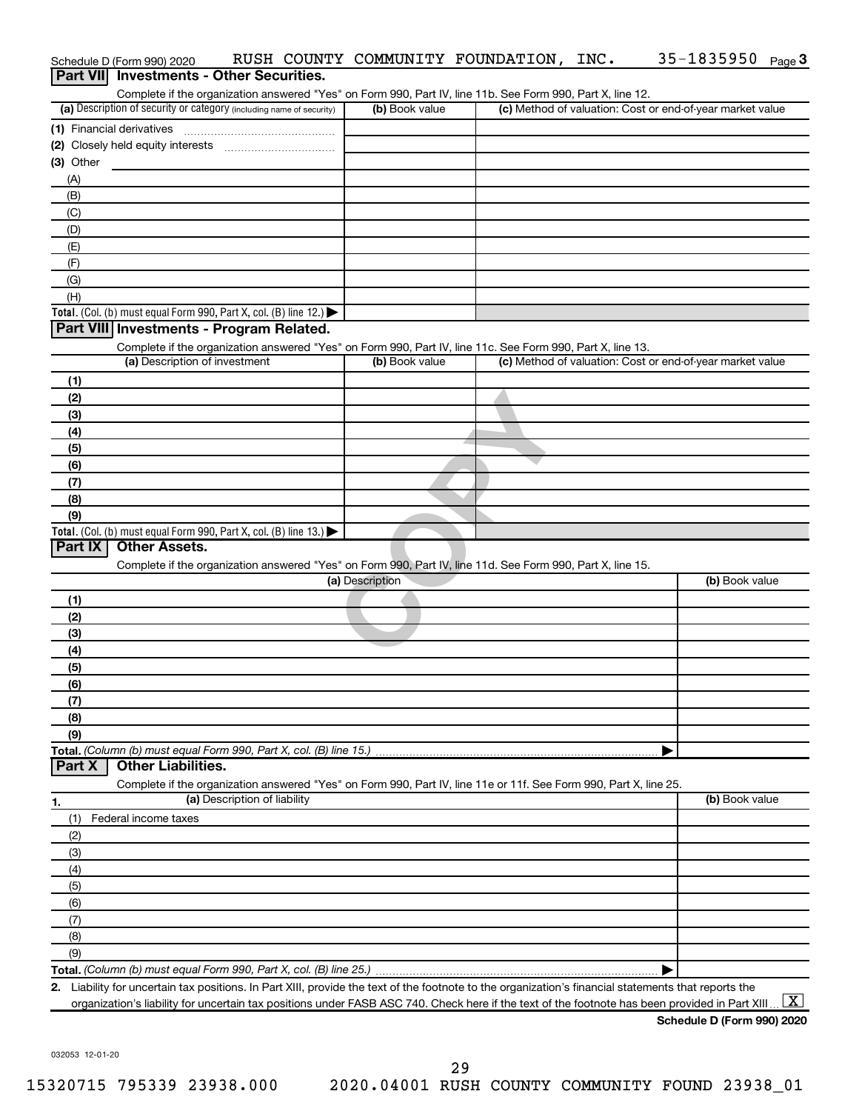| Schedule D (Form 990) 2020                                                                                                                           |                 | RUSH COUNTY COMMUNITY FOUNDATION, INC. | 35-1835950 Page 3                                         |
|------------------------------------------------------------------------------------------------------------------------------------------------------|-----------------|----------------------------------------|-----------------------------------------------------------|
| <b>Investments - Other Securities.</b><br><b>Part VIII</b>                                                                                           |                 |                                        |                                                           |
| Complete if the organization answered "Yes" on Form 990, Part IV, line 11b. See Form 990, Part X, line 12.                                           |                 |                                        |                                                           |
| (a) Description of security or category (including name of security)                                                                                 | (b) Book value  |                                        | (c) Method of valuation: Cost or end-of-year market value |
| (1) Financial derivatives                                                                                                                            |                 |                                        |                                                           |
|                                                                                                                                                      |                 |                                        |                                                           |
| (3) Other                                                                                                                                            |                 |                                        |                                                           |
| (A)                                                                                                                                                  |                 |                                        |                                                           |
| (B)                                                                                                                                                  |                 |                                        |                                                           |
| (C)                                                                                                                                                  |                 |                                        |                                                           |
| (D)                                                                                                                                                  |                 |                                        |                                                           |
| (E)                                                                                                                                                  |                 |                                        |                                                           |
| (F)                                                                                                                                                  |                 |                                        |                                                           |
| (G)                                                                                                                                                  |                 |                                        |                                                           |
| (H)                                                                                                                                                  |                 |                                        |                                                           |
| Total. (Col. (b) must equal Form 990, Part X, col. (B) line 12.) $\blacktriangleright$                                                               |                 |                                        |                                                           |
| Part VIII Investments - Program Related.                                                                                                             |                 |                                        |                                                           |
| Complete if the organization answered "Yes" on Form 990, Part IV, line 11c. See Form 990, Part X, line 13.<br>(a) Description of investment          | (b) Book value  |                                        | (c) Method of valuation: Cost or end-of-year market value |
|                                                                                                                                                      |                 |                                        |                                                           |
| (1)                                                                                                                                                  |                 |                                        |                                                           |
| (2)                                                                                                                                                  |                 |                                        |                                                           |
| (3)                                                                                                                                                  |                 |                                        |                                                           |
| (4)                                                                                                                                                  |                 |                                        |                                                           |
| (5)                                                                                                                                                  |                 |                                        |                                                           |
| (6)                                                                                                                                                  |                 |                                        |                                                           |
| (7)                                                                                                                                                  |                 |                                        |                                                           |
| (8)                                                                                                                                                  |                 |                                        |                                                           |
| (9)<br>Total. (Col. (b) must equal Form 990, Part X, col. (B) line $13.$ )                                                                           |                 |                                        |                                                           |
| Part IX<br><b>Other Assets.</b>                                                                                                                      |                 |                                        |                                                           |
| Complete if the organization answered "Yes" on Form 990, Part IV, line 11d. See Form 990, Part X, line 15.                                           |                 |                                        |                                                           |
|                                                                                                                                                      | (a) Description |                                        | (b) Book value                                            |
| (1)                                                                                                                                                  |                 |                                        |                                                           |
| (2)                                                                                                                                                  |                 |                                        |                                                           |
| (3)                                                                                                                                                  |                 |                                        |                                                           |
| (4)                                                                                                                                                  |                 |                                        |                                                           |
| (5)                                                                                                                                                  |                 |                                        |                                                           |
| (6)                                                                                                                                                  |                 |                                        |                                                           |
| (7)                                                                                                                                                  |                 |                                        |                                                           |
| (8)                                                                                                                                                  |                 |                                        |                                                           |
| (9)                                                                                                                                                  |                 |                                        |                                                           |
| Total. (Column (b) must equal Form 990, Part X, col. (B) line 15.)                                                                                   |                 |                                        |                                                           |
| <b>Other Liabilities.</b><br>Part X                                                                                                                  |                 |                                        |                                                           |
| Complete if the organization answered "Yes" on Form 990, Part IV, line 11e or 11f. See Form 990, Part X, line 25.                                    |                 |                                        |                                                           |
| (a) Description of liability<br>1.                                                                                                                   |                 |                                        | (b) Book value                                            |
| (1)<br>Federal income taxes                                                                                                                          |                 |                                        |                                                           |
| (2)                                                                                                                                                  |                 |                                        |                                                           |
| (3)                                                                                                                                                  |                 |                                        |                                                           |
| (4)                                                                                                                                                  |                 |                                        |                                                           |
| (5)                                                                                                                                                  |                 |                                        |                                                           |
| (6)                                                                                                                                                  |                 |                                        |                                                           |
| (7)                                                                                                                                                  |                 |                                        |                                                           |
| (8)                                                                                                                                                  |                 |                                        |                                                           |
| (9)                                                                                                                                                  |                 |                                        |                                                           |
|                                                                                                                                                      |                 |                                        |                                                           |
| 2. Liability for uncertain tax positions. In Part XIII, provide the text of the footnote to the organization's financial statements that reports the |                 |                                        |                                                           |
| organization's liability for uncertain tax positions under FASB ASC 740. Check here if the text of the footnote has been provided in Part XIII.      |                 |                                        | $\boxed{\text{X}}$                                        |

**Schedule D (Form 990) 2020**

032053 12-01-20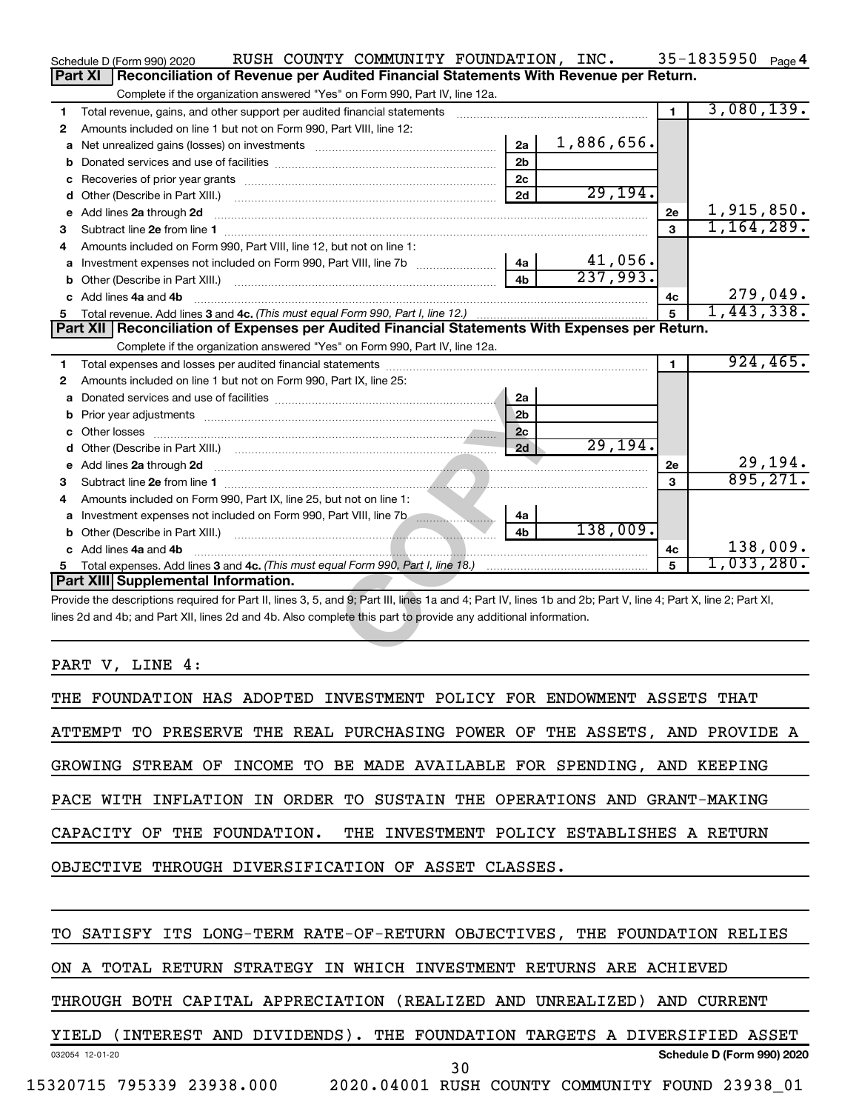|   | RUSH COUNTY COMMUNITY FOUNDATION, INC.<br>Schedule D (Form 990) 2020                                                                                                                                                                             |            |              | 35-1835950 Page 4   |
|---|--------------------------------------------------------------------------------------------------------------------------------------------------------------------------------------------------------------------------------------------------|------------|--------------|---------------------|
|   | Reconciliation of Revenue per Audited Financial Statements With Revenue per Return.<br>Part XI                                                                                                                                                   |            |              |                     |
|   | Complete if the organization answered "Yes" on Form 990, Part IV, line 12a.                                                                                                                                                                      |            |              |                     |
| 1 | Total revenue, gains, and other support per audited financial statements                                                                                                                                                                         |            | $\mathbf 1$  | 3,080,139.          |
| 2 | Amounts included on line 1 but not on Form 990, Part VIII, line 12:                                                                                                                                                                              |            |              |                     |
| a | 2a                                                                                                                                                                                                                                               | 1,886,656. |              |                     |
| b | 2 <sub>b</sub>                                                                                                                                                                                                                                   |            |              |                     |
| c | 2c                                                                                                                                                                                                                                               |            |              |                     |
| d | 2d                                                                                                                                                                                                                                               | 29, 194.   |              |                     |
| е | Add lines 2a through 2d                                                                                                                                                                                                                          |            | 2е           | 1,915,850.          |
| 3 |                                                                                                                                                                                                                                                  |            | $\mathbf{a}$ | 1, 164, 289.        |
| 4 | Amounts included on Form 990, Part VIII, line 12, but not on line 1:                                                                                                                                                                             |            |              |                     |
| a | 4a                                                                                                                                                                                                                                               | 41,056.    |              |                     |
| b | 4 <sub>b</sub><br>Other (Describe in Part XIII.) [1001] [2010] [2010] [2010] [3010] [3010] [3010] [3010] [3010] [3010] [3010] [3010] [3010] [3010] [3010] [3010] [3010] [3010] [3010] [3010] [3010] [3010] [3010] [3010] [3010] [3010] [3010] [3 | 237,993.   |              |                     |
|   | Add lines 4a and 4b                                                                                                                                                                                                                              |            | 4с           | 279,049.            |
|   |                                                                                                                                                                                                                                                  |            | 5            | 1,443,338.          |
|   | Part XII   Reconciliation of Expenses per Audited Financial Statements With Expenses per Return.                                                                                                                                                 |            |              |                     |
|   | Complete if the organization answered "Yes" on Form 990, Part IV, line 12a.                                                                                                                                                                      |            |              |                     |
| 1 |                                                                                                                                                                                                                                                  |            | $\mathbf 1$  | 924, 465.           |
| 2 | Amounts included on line 1 but not on Form 990, Part IX, line 25:                                                                                                                                                                                |            |              |                     |
| a | 2a                                                                                                                                                                                                                                               |            |              |                     |
| b | 2b                                                                                                                                                                                                                                               |            |              |                     |
| c | 2c                                                                                                                                                                                                                                               |            |              |                     |
|   | 2d                                                                                                                                                                                                                                               | 29, 194.   |              |                     |
| е | Add lines 2a through 2d                                                                                                                                                                                                                          |            | <b>2e</b>    | 29,194.<br>895,271. |
| З |                                                                                                                                                                                                                                                  |            | 3            |                     |
| 4 | Amounts included on Form 990, Part IX, line 25, but not on line 1:                                                                                                                                                                               |            |              |                     |
| a | Investment expenses not included on Form 990, Part VIII, line 7b [1000111111111111111111111111111111<br>4a                                                                                                                                       |            |              |                     |
|   | 4 <sub>h</sub>                                                                                                                                                                                                                                   | 138,009.   |              |                     |
|   | c Add lines 4a and 4b                                                                                                                                                                                                                            |            | 4c           | 138,009.            |
| 5 |                                                                                                                                                                                                                                                  |            | 5            | 1,033,280.          |
|   | Part XIII Supplemental Information.                                                                                                                                                                                                              |            |              |                     |
|   | Provide the descriptions required for Part II, lines 3, 5, and 9; Part III, lines 1a and 4; Part IV, lines 1b and 2b; Part V, line 4; Part X, line 2; Part XI,                                                                                   |            |              |                     |
|   | lines 2d and 4b; and Part XII, lines 2d and 4b. Also complete this part to provide any additional information.                                                                                                                                   |            |              |                     |
|   |                                                                                                                                                                                                                                                  |            |              |                     |
|   |                                                                                                                                                                                                                                                  |            |              |                     |

PART V, LINE 4:

THE FOUNDATION HAS ADOPTED INVESTMENT POLICY FOR ENDOWMENT ASSETS THAT ATTEMPT TO PRESERVE THE REAL PURCHASING POWER OF THE ASSETS, AND PROVIDE A GROWING STREAM OF INCOME TO BE MADE AVAILABLE FOR SPENDING, AND KEEPING PACE WITH INFLATION IN ORDER TO SUSTAIN THE OPERATIONS AND GRANT-MAKING CAPACITY OF THE FOUNDATION. THE INVESTMENT POLICY ESTABLISHES A RETURN OBJECTIVE THROUGH DIVERSIFICATION OF ASSET CLASSES.

032054 12-01-20 **Schedule D (Form 990) 2020** TO SATISFY ITS LONG-TERM RATE-OF-RETURN OBJECTIVES, THE FOUNDATION RELIES ON A TOTAL RETURN STRATEGY IN WHICH INVESTMENT RETURNS ARE ACHIEVED THROUGH BOTH CAPITAL APPRECIATION (REALIZED AND UNREALIZED) AND CURRENT YIELD (INTEREST AND DIVIDENDS). THE FOUNDATION TARGETS A DIVERSIFIED ASSET 15320715 795339 23938.000 2020.04001 RUSH COUNTY COMMUNITY FOUND 23938\_01 30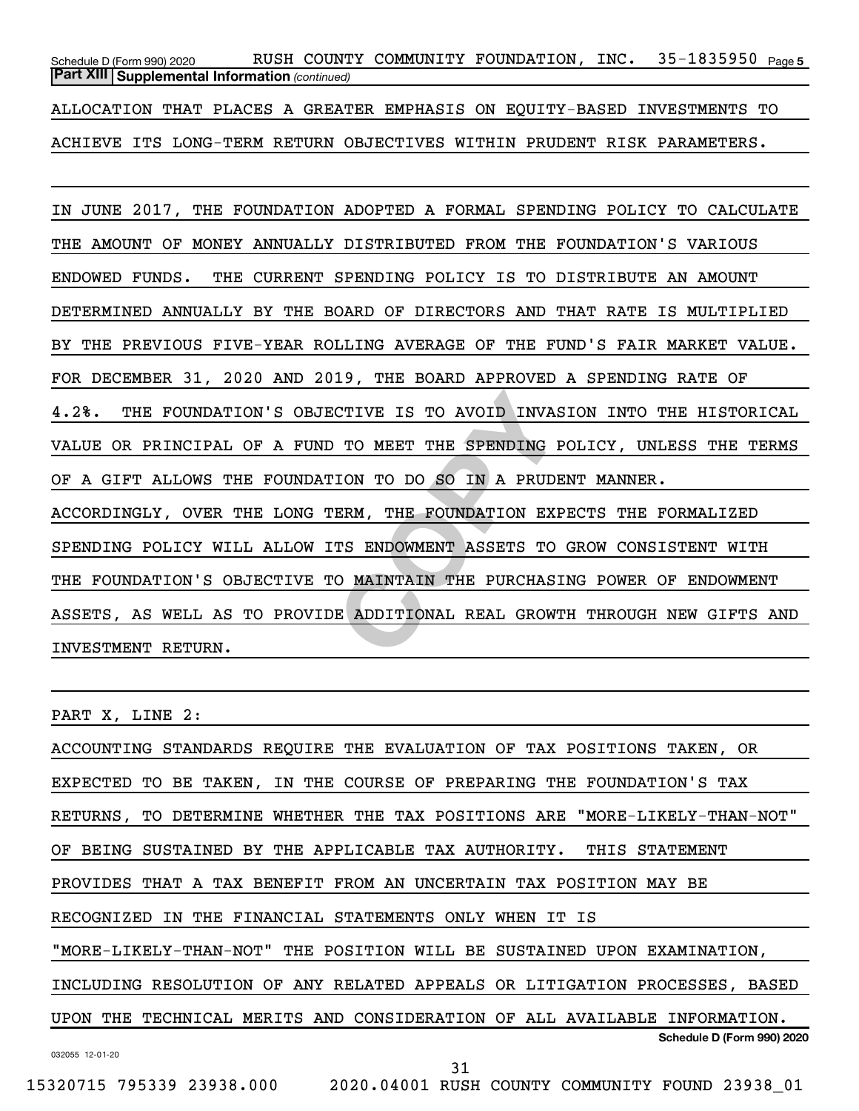35-1835950 Page 5 *(continued)* **Part XIII Supplemental Information**  Schedule D (Form 990) 2020 RUSH COUNTY COMMUNITY FOUNDATION , INC 35-1835950 <sub>Page</sub> ALLOCATION THAT PLACES A GREATER EMPHASIS ON EQUITY-BASED INVESTMENTS TO

ACHIEVE ITS LONG-TERM RETURN OBJECTIVES WITHIN PRUDENT RISK PARAMETERS.

CTIVE IS TO AVOID INVASION<br>TO MEET THE SPENDING POLIC<br>ION TO DO SO IN A PRUDENT M<br>ERM, THE FOUNDATION EXPECTS<br>TS ENDOWMENT ASSETS TO GROW<br>O MAINTAIN THE PURCHASING P<br>E ADDITIONAL REAL GROWTH TH IN JUNE 2017, THE FOUNDATION ADOPTED A FORMAL SPENDING POLICY TO CALCULATE THE AMOUNT OF MONEY ANNUALLY DISTRIBUTED FROM THE FOUNDATION'S VARIOUS ENDOWED FUNDS. THE CURRENT SPENDING POLICY IS TO DISTRIBUTE AN AMOUNT DETERMINED ANNUALLY BY THE BOARD OF DIRECTORS AND THAT RATE IS MULTIPLIED BY THE PREVIOUS FIVE-YEAR ROLLING AVERAGE OF THE FUND'S FAIR MARKET VALUE. FOR DECEMBER 31, 2020 AND 2019, THE BOARD APPROVED A SPENDING RATE OF 4.2%. THE FOUNDATION'S OBJECTIVE IS TO AVOID INVASION INTO THE HISTORICAL VALUE OR PRINCIPAL OF A FUND TO MEET THE SPENDING POLICY, UNLESS THE TERMS OF A GIFT ALLOWS THE FOUNDATION TO DO SO IN A PRUDENT MANNER. ACCORDINGLY, OVER THE LONG TERM, THE FOUNDATION EXPECTS THE FORMALIZED SPENDING POLICY WILL ALLOW ITS ENDOWMENT ASSETS TO GROW CONSISTENT WITH THE FOUNDATION'S OBJECTIVE TO MAINTAIN THE PURCHASING POWER OF ENDOWMENT ASSETS, AS WELL AS TO PROVIDE ADDITIONAL REAL GROWTH THROUGH NEW GIFTS AND INVESTMENT RETURN.

PART X, LINE 2:

032055 12-01-20 **Schedule D (Form 990) 2020** ACCOUNTING STANDARDS REQUIRE THE EVALUATION OF TAX POSITIONS TAKEN, OR EXPECTED TO BE TAKEN, IN THE COURSE OF PREPARING THE FOUNDATION'S TAX RETURNS, TO DETERMINE WHETHER THE TAX POSITIONS ARE "MORE-LIKELY-THAN-NOT" OF BEING SUSTAINED BY THE APPLICABLE TAX AUTHORITY. THIS STATEMENT PROVIDES THAT A TAX BENEFIT FROM AN UNCERTAIN TAX POSITION MAY BE RECOGNIZED IN THE FINANCIAL STATEMENTS ONLY WHEN IT IS "MORE-LIKELY-THAN-NOT" THE POSITION WILL BE SUSTAINED UPON EXAMINATION, INCLUDING RESOLUTION OF ANY RELATED APPEALS OR LITIGATION PROCESSES, BASED UPON THE TECHNICAL MERITS AND CONSIDERATION OF ALL AVAILABLE INFORMATION.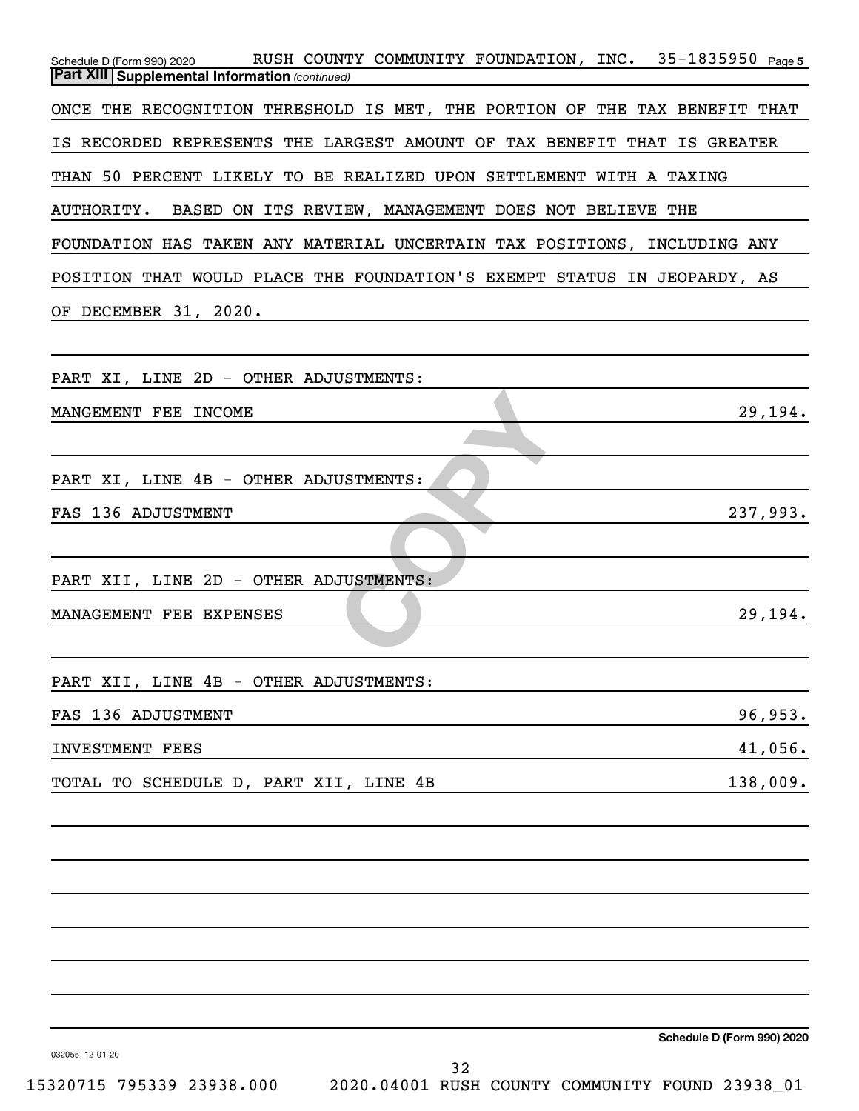| RUSH COUNTY COMMUNITY FOUNDATION, INC. 35-1835950 Page 5<br>Schedule D (Form 990) 2020<br><b>Part XIII Supplemental Information (continued)</b> |
|-------------------------------------------------------------------------------------------------------------------------------------------------|
| ONCE THE RECOGNITION THRESHOLD IS MET, THE PORTION OF THE TAX BENEFIT THAT                                                                      |
| IS RECORDED REPRESENTS THE LARGEST AMOUNT OF TAX BENEFIT THAT IS GREATER                                                                        |
| THAN 50 PERCENT LIKELY TO BE REALIZED UPON SETTLEMENT WITH A TAXING                                                                             |
| <b>AUTHORITY.</b><br>BASED ON ITS REVIEW, MANAGEMENT DOES NOT BELIEVE THE                                                                       |
| FOUNDATION HAS TAKEN ANY MATERIAL UNCERTAIN TAX POSITIONS, INCLUDING ANY                                                                        |
| POSITION THAT WOULD PLACE THE FOUNDATION'S EXEMPT STATUS IN JEOPARDY, AS                                                                        |
| OF DECEMBER 31, 2020.                                                                                                                           |
|                                                                                                                                                 |
| PART XI, LINE 2D - OTHER ADJUSTMENTS:                                                                                                           |
| 29,194.<br>MANGEMENT FEE INCOME                                                                                                                 |
|                                                                                                                                                 |
| PART XI, LINE 4B - OTHER ADJUSTMENTS:                                                                                                           |
| 237,993.<br>FAS 136 ADJUSTMENT                                                                                                                  |
|                                                                                                                                                 |
| PART XII, LINE 2D - OTHER ADJUSTMENTS:                                                                                                          |
| 29,194.<br>MANAGEMENT FEE EXPENSES                                                                                                              |
|                                                                                                                                                 |
| PART XII, LINE 4B - OTHER ADJUSTMENTS:                                                                                                          |
| 96,953.<br>FAS 136 ADJUSTMENT<br>41,056.                                                                                                        |
| INVESTMENT FEES<br>138,009.<br>TOTAL TO SCHEDULE D, PART XII, LINE 4B                                                                           |
|                                                                                                                                                 |
|                                                                                                                                                 |
|                                                                                                                                                 |
|                                                                                                                                                 |
|                                                                                                                                                 |
|                                                                                                                                                 |
|                                                                                                                                                 |
| Schedule D (Form 990) 2020<br>032055 12-01-20                                                                                                   |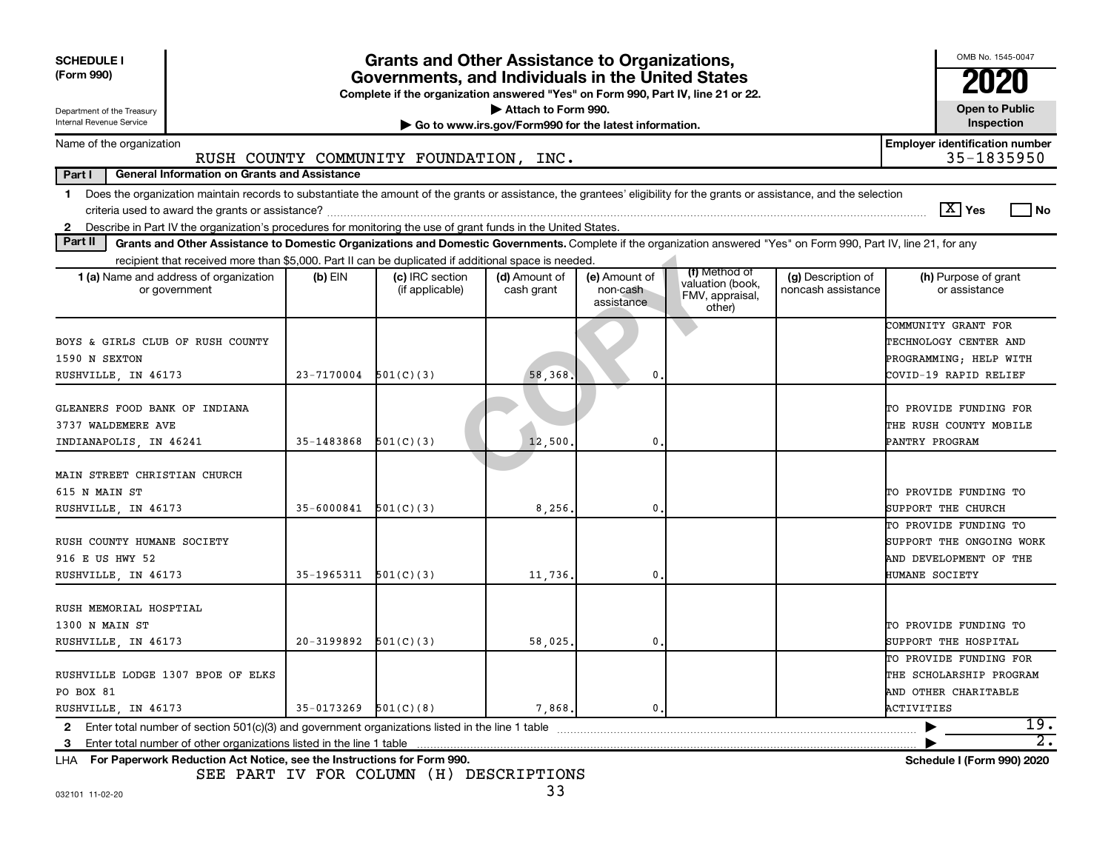| <b>SCHEDULE I</b><br>(Form 990)<br>Department of the Treasury<br>Internal Revenue Service                                                                                                                                                                                                                                | OMB No. 1545-0047<br>2020<br><b>Open to Public</b><br>Inspection |                                    |                             |                                         |                                                                |                                          |                                                                                                 |  |  |
|--------------------------------------------------------------------------------------------------------------------------------------------------------------------------------------------------------------------------------------------------------------------------------------------------------------------------|------------------------------------------------------------------|------------------------------------|-----------------------------|-----------------------------------------|----------------------------------------------------------------|------------------------------------------|-------------------------------------------------------------------------------------------------|--|--|
| <b>Employer identification number</b><br>Name of the organization                                                                                                                                                                                                                                                        |                                                                  |                                    |                             |                                         |                                                                |                                          |                                                                                                 |  |  |
| 35-1835950<br>RUSH COUNTY COMMUNITY FOUNDATION, INC.<br>Part I<br><b>General Information on Grants and Assistance</b>                                                                                                                                                                                                    |                                                                  |                                    |                             |                                         |                                                                |                                          |                                                                                                 |  |  |
| Does the organization maintain records to substantiate the amount of the grants or assistance, the grantees' eligibility for the grants or assistance, and the selection<br>$\mathbf 1$<br>Describe in Part IV the organization's procedures for monitoring the use of grant funds in the United States.<br>$\mathbf{2}$ |                                                                  |                                    |                             |                                         |                                                                |                                          | $\boxed{\text{X}}$ Yes<br>l No                                                                  |  |  |
| Part II<br>Grants and Other Assistance to Domestic Organizations and Domestic Governments. Complete if the organization answered "Yes" on Form 990, Part IV, line 21, for any                                                                                                                                            |                                                                  |                                    |                             |                                         |                                                                |                                          |                                                                                                 |  |  |
| recipient that received more than \$5,000. Part II can be duplicated if additional space is needed.                                                                                                                                                                                                                      |                                                                  |                                    |                             |                                         |                                                                |                                          |                                                                                                 |  |  |
| <b>1 (a)</b> Name and address of organization<br>or government                                                                                                                                                                                                                                                           | $(b)$ EIN                                                        | (c) IRC section<br>(if applicable) | (d) Amount of<br>cash grant | (e) Amount of<br>non-cash<br>assistance | (f) Method of<br>valuation (book,<br>FMV, appraisal,<br>other) | (g) Description of<br>noncash assistance | (h) Purpose of grant<br>or assistance                                                           |  |  |
| BOYS & GIRLS CLUB OF RUSH COUNTY<br>1590 N SEXTON<br>RUSHVILLE, IN 46173                                                                                                                                                                                                                                                 | 23-7170004                                                       | 501(C)(3)                          | 58,368                      | 0                                       |                                                                |                                          | COMMUNITY GRANT FOR<br>TECHNOLOGY CENTER AND<br>PROGRAMMING; HELP WITH<br>COVID-19 RAPID RELIEF |  |  |
| GLEANERS FOOD BANK OF INDIANA<br>3737 WALDEMERE AVE<br>INDIANAPOLIS, IN 46241                                                                                                                                                                                                                                            | 35-1483868                                                       | 501(C)(3)                          | 12,500                      | 0                                       |                                                                |                                          | TO PROVIDE FUNDING FOR<br>THE RUSH COUNTY MOBILE<br>PANTRY PROGRAM                              |  |  |
| MAIN STREET CHRISTIAN CHURCH<br>615 N MAIN ST<br>RUSHVILLE, IN 46173                                                                                                                                                                                                                                                     | 35-6000841                                                       | 501(C)(3)                          | 8,256,                      | 0                                       |                                                                |                                          | TO PROVIDE FUNDING TO<br>SUPPORT THE CHURCH                                                     |  |  |
| RUSH COUNTY HUMANE SOCIETY<br>916 E US HWY 52<br>RUSHVILLE, IN 46173                                                                                                                                                                                                                                                     | $35-1965311$ $501(C)(3)$                                         |                                    | 11,736.                     | 0                                       |                                                                |                                          | TO PROVIDE FUNDING TO<br>SUPPORT THE ONGOING WORK<br>AND DEVELOPMENT OF THE<br>HUMANE SOCIETY   |  |  |
| RUSH MEMORIAL HOSPTIAL<br>1300 N MAIN ST<br>RUSHVILLE, IN 46173                                                                                                                                                                                                                                                          | $20-3199892$ $501(C)(3)$                                         |                                    | 58,025,                     | 0                                       |                                                                |                                          | TO PROVIDE FUNDING TO<br>SUPPORT THE HOSPITAL                                                   |  |  |
| RUSHVILLE LODGE 1307 BPOE OF ELKS<br>PO BOX 81<br>RUSHVILLE, IN 46173                                                                                                                                                                                                                                                    | $35-0173269$ $501(C)(8)$                                         |                                    | 7,868,                      | $\mathbf{0}$                            |                                                                |                                          | TO PROVIDE FUNDING FOR<br>THE SCHOLARSHIP PROGRAM<br>AND OTHER CHARITABLE<br>ACTIVITIES         |  |  |
| Enter total number of section $501(c)(3)$ and government organizations listed in the line 1 table<br>$\mathbf{2}$                                                                                                                                                                                                        |                                                                  |                                    |                             |                                         |                                                                |                                          | 19.                                                                                             |  |  |
| 3<br>For Paperwork Reduction Act Notice, see the Instructions for Form 990.<br>LHA                                                                                                                                                                                                                                       |                                                                  |                                    |                             |                                         |                                                                |                                          | 2.<br>Schedule I (Form 990) 2020                                                                |  |  |

SEE PART IV FOR COLUMN (H) DESCRIPTIONS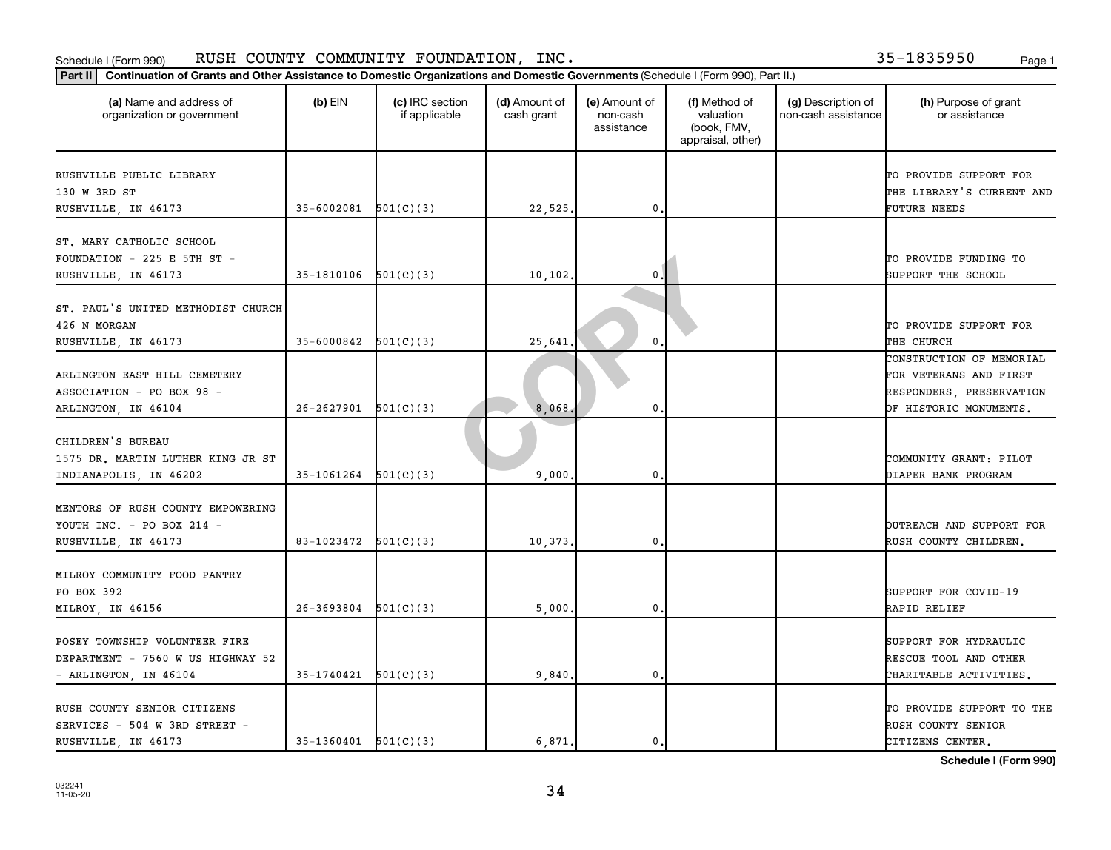### Schedule I (Form 990) KUSH COUNTY COMMUNITY FOUNDATION,INC。 Page 1 RUSH COUNTY COMMUNITY FOUNDATION, INC. 35-1835950

|                                                       |                            | Part II   Continuation of Grants and Other Assistance to Domestic Organizations and Domestic Governments (Schedule I (Form 990), Part II.) |                             |                                         |                                                                |                                           |                                       |
|-------------------------------------------------------|----------------------------|--------------------------------------------------------------------------------------------------------------------------------------------|-----------------------------|-----------------------------------------|----------------------------------------------------------------|-------------------------------------------|---------------------------------------|
| (a) Name and address of<br>organization or government | $(b)$ EIN                  | (c) IRC section<br>if applicable                                                                                                           | (d) Amount of<br>cash grant | (e) Amount of<br>non-cash<br>assistance | (f) Method of<br>valuation<br>(book, FMV,<br>appraisal, other) | (g) Description of<br>non-cash assistance | (h) Purpose of grant<br>or assistance |
| RUSHVILLE PUBLIC LIBRARY                              |                            |                                                                                                                                            |                             |                                         |                                                                |                                           | TO PROVIDE SUPPORT FOR                |
| 130 W 3RD ST                                          |                            |                                                                                                                                            |                             |                                         |                                                                |                                           | THE LIBRARY'S CURRENT AND             |
| RUSHVILLE, IN 46173                                   | $35 - 6002081$ $501(C)(3)$ |                                                                                                                                            | 22,525.                     | $\mathbf{0}$                            |                                                                |                                           | FUTURE NEEDS                          |
| ST. MARY CATHOLIC SCHOOL                              |                            |                                                                                                                                            |                             |                                         |                                                                |                                           |                                       |
| FOUNDATION - 225 E 5TH ST -                           |                            |                                                                                                                                            |                             |                                         |                                                                |                                           | TO PROVIDE FUNDING TO                 |
| RUSHVILLE, IN 46173                                   | 35-1810106                 | 501(C)(3)                                                                                                                                  | 10, 102.                    | 0                                       |                                                                |                                           | SUPPORT THE SCHOOL                    |
|                                                       |                            |                                                                                                                                            |                             |                                         |                                                                |                                           |                                       |
| ST. PAUL'S UNITED METHODIST CHURCH                    |                            |                                                                                                                                            |                             |                                         |                                                                |                                           |                                       |
| 426 N MORGAN                                          |                            |                                                                                                                                            |                             |                                         |                                                                |                                           | TO PROVIDE SUPPORT FOR                |
| RUSHVILLE, IN 46173                                   | 35-6000842                 | 501(C)(3)                                                                                                                                  | 25,641                      | $\mathbf{0}$                            |                                                                |                                           | THE CHURCH                            |
|                                                       |                            |                                                                                                                                            |                             |                                         |                                                                |                                           | CONSTRUCTION OF MEMORIAL              |
| ARLINGTON EAST HILL CEMETERY                          |                            |                                                                                                                                            |                             |                                         |                                                                |                                           | FOR VETERANS AND FIRST                |
| ASSOCIATION - PO BOX 98 -                             |                            |                                                                                                                                            |                             |                                         |                                                                |                                           | RESPONDERS, PRESERVATION              |
| ARLINGTON, IN 46104                                   | $26-2627901$ $501(C)(3)$   |                                                                                                                                            | 8,068                       | $\mathbf 0$                             |                                                                |                                           | OF HISTORIC MONUMENTS.                |
|                                                       |                            |                                                                                                                                            |                             |                                         |                                                                |                                           |                                       |
| CHILDREN'S BUREAU                                     |                            |                                                                                                                                            |                             |                                         |                                                                |                                           |                                       |
| 1575 DR. MARTIN LUTHER KING JR ST                     |                            |                                                                                                                                            |                             |                                         |                                                                |                                           | COMMUNITY GRANT: PILOT                |
| INDIANAPOLIS, IN 46202                                | 35-1061264                 | 501(C)(3)                                                                                                                                  | 9,000                       | $\mathbf 0$                             |                                                                |                                           | DIAPER BANK PROGRAM                   |
| MENTORS OF RUSH COUNTY EMPOWERING                     |                            |                                                                                                                                            |                             |                                         |                                                                |                                           |                                       |
| YOUTH INC. - PO BOX 214 -                             |                            |                                                                                                                                            |                             |                                         |                                                                |                                           | OUTREACH AND SUPPORT FOR              |
| RUSHVILLE, IN 46173                                   | 83-1023472                 | 501(C)(3)                                                                                                                                  | 10,373                      | $\mathbf 0$                             |                                                                |                                           | RUSH COUNTY CHILDREN.                 |
|                                                       |                            |                                                                                                                                            |                             |                                         |                                                                |                                           |                                       |
| MILROY COMMUNITY FOOD PANTRY                          |                            |                                                                                                                                            |                             |                                         |                                                                |                                           |                                       |
| PO BOX 392                                            |                            |                                                                                                                                            |                             |                                         |                                                                |                                           | SUPPORT FOR COVID-19                  |
| MILROY, IN 46156                                      | $26-3693804$ $501(C)(3)$   |                                                                                                                                            | 5,000                       | $\mathbf{0}$                            |                                                                |                                           | RAPID RELIEF                          |
|                                                       |                            |                                                                                                                                            |                             |                                         |                                                                |                                           |                                       |
| POSEY TOWNSHIP VOLUNTEER FIRE                         |                            |                                                                                                                                            |                             |                                         |                                                                |                                           | SUPPORT FOR HYDRAULIC                 |
| DEPARTMENT - 7560 W US HIGHWAY 52                     |                            |                                                                                                                                            |                             |                                         |                                                                |                                           | RESCUE TOOL AND OTHER                 |
| - ARLINGTON, IN 46104                                 | 35-1740421                 | 501(C)(3)                                                                                                                                  | 9,840                       | $\mathbf{0}$                            |                                                                |                                           | CHARITABLE ACTIVITIES.                |
| RUSH COUNTY SENIOR CITIZENS                           |                            |                                                                                                                                            |                             |                                         |                                                                |                                           | TO PROVIDE SUPPORT TO THE             |
| SERVICES - 504 W 3RD STREET -                         |                            |                                                                                                                                            |                             |                                         |                                                                |                                           | RUSH COUNTY SENIOR                    |
| RUSHVILLE, IN 46173                                   | $35-1360401$ $501(C)(3)$   |                                                                                                                                            | 6,871                       | $\mathbf{0}$                            |                                                                |                                           | CITIZENS CENTER.                      |

**Schedule I (Form 990)**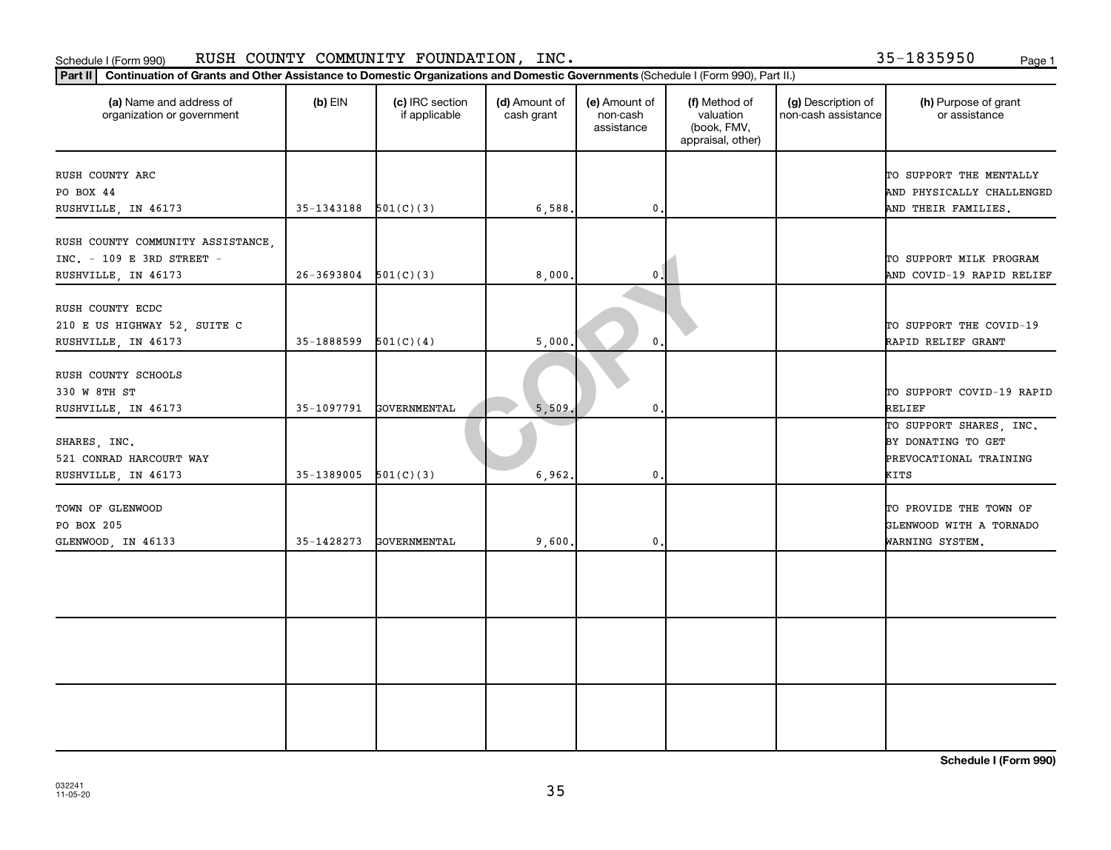### Schedule I (Form 990) KUSH COUNTY COMMUNITY FOUNDATION,INC。 Page 1 RUSH COUNTY COMMUNITY FOUNDATION, INC. 35-1835950

| (a) Name and address of<br>organization or government                                 | $(b)$ EIN                | (c) IRC section<br>if applicable | (d) Amount of<br>cash grant | (e) Amount of<br>non-cash<br>assistance | (f) Method of<br>valuation<br>(book, FMV,<br>appraisal, other) | (g) Description of<br>non-cash assistance | (h) Purpose of grant<br>or assistance                                           |
|---------------------------------------------------------------------------------------|--------------------------|----------------------------------|-----------------------------|-----------------------------------------|----------------------------------------------------------------|-------------------------------------------|---------------------------------------------------------------------------------|
| RUSH COUNTY ARC<br>PO BOX 44<br>RUSHVILLE, IN 46173                                   | 35-1343188               | 501(C)(3)                        | 6,588.                      | $\mathbf{0}$                            |                                                                |                                           | TO SUPPORT THE MENTALLY<br>AND PHYSICALLY CHALLENGED<br>AND THEIR FAMILIES.     |
| RUSH COUNTY COMMUNITY ASSISTANCE,<br>INC. - 109 E 3RD STREET -<br>RUSHVILLE, IN 46173 | $26-3693804$ $501(C)(3)$ |                                  | 8,000,                      | 0                                       |                                                                |                                           | TO SUPPORT MILK PROGRAM<br>AND COVID-19 RAPID RELIEF                            |
| RUSH COUNTY ECDC<br>210 E US HIGHWAY 52, SUITE C<br>RUSHVILLE, IN 46173               | 35-1888599               | 501(C)(4)                        | 5,000.                      | $\mathbf{0}$                            |                                                                |                                           | TO SUPPORT THE COVID-19<br>RAPID RELIEF GRANT                                   |
| RUSH COUNTY SCHOOLS<br>330 W 8TH ST<br>RUSHVILLE, IN 46173                            | 35-1097791               | GOVERNMENTAL                     | 5,509                       | 0.                                      |                                                                |                                           | TO SUPPORT COVID-19 RAPID<br>RELIEF                                             |
| SHARES, INC.<br>521 CONRAD HARCOURT WAY<br>RUSHVILLE, IN 46173                        | $35-1389005$ $501(C)(3)$ |                                  | 6,962.                      | 0.                                      |                                                                |                                           | TO SUPPORT SHARES, INC.<br>BY DONATING TO GET<br>PREVOCATIONAL TRAINING<br>KITS |
| TOWN OF GLENWOOD<br>PO BOX 205<br>GLENWOOD, IN 46133                                  | 35-1428273               | GOVERNMENTAL                     | 9,600.                      | 0                                       |                                                                |                                           | TO PROVIDE THE TOWN OF<br>GLENWOOD WITH A TORNADO<br>WARNING SYSTEM.            |
|                                                                                       |                          |                                  |                             |                                         |                                                                |                                           |                                                                                 |
|                                                                                       |                          |                                  |                             |                                         |                                                                |                                           |                                                                                 |
|                                                                                       |                          |                                  |                             |                                         |                                                                |                                           |                                                                                 |

**Schedule I (Form 990)**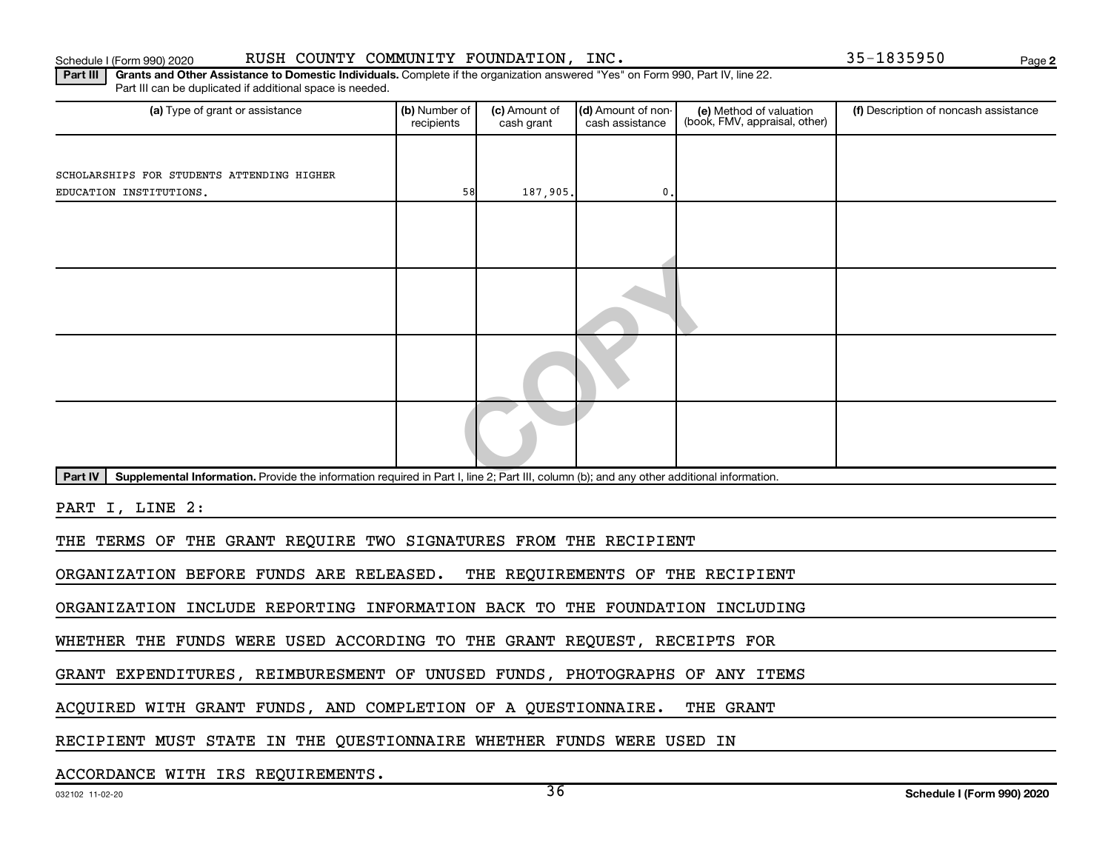### Schedule I (Form 990) 2020 RUSH COUNTY COMMUNITY FOUNDATION, INC.  $35-1835950$  Page

**2**

Part III | Grants and Other Assistance to Domestic Individuals. Complete if the organization answered "Yes" on Form 990, Part IV, line 22. Part III can be duplicated if additional space is needed.

| (a) Type of grant or assistance                                                                                                                      | (b) Number of<br>recipients | (c) Amount of<br>cash grant | (d) Amount of non-<br>cash assistance | (e) Method of valuation<br>(book, FMV, appraisal, other) | (f) Description of noncash assistance |  |
|------------------------------------------------------------------------------------------------------------------------------------------------------|-----------------------------|-----------------------------|---------------------------------------|----------------------------------------------------------|---------------------------------------|--|
|                                                                                                                                                      |                             |                             |                                       |                                                          |                                       |  |
| SCHOLARSHIPS FOR STUDENTS ATTENDING HIGHER                                                                                                           |                             |                             |                                       |                                                          |                                       |  |
| EDUCATION INSTITUTIONS.                                                                                                                              | 58                          | 187,905.                    | 0.                                    |                                                          |                                       |  |
|                                                                                                                                                      |                             |                             |                                       |                                                          |                                       |  |
|                                                                                                                                                      |                             |                             |                                       |                                                          |                                       |  |
|                                                                                                                                                      |                             |                             |                                       |                                                          |                                       |  |
|                                                                                                                                                      |                             |                             |                                       |                                                          |                                       |  |
| Supplemental Information. Provide the information required in Part I, line 2; Part III, column (b); and any other additional information.<br>Part IV |                             |                             |                                       |                                                          |                                       |  |
| PART I, LINE 2:                                                                                                                                      |                             |                             |                                       |                                                          |                                       |  |
| THE TERMS OF THE GRANT REQUIRE TWO SIGNATURES FROM THE RECIPIENT                                                                                     |                             |                             |                                       |                                                          |                                       |  |

ORGANIZATION BEFORE FUNDS ARE RELEASED. THE REQUIREMENTS OF THE RECIPIENT

ORGANIZATION INCLUDE REPORTING INFORMATION BACK TO THE FOUNDATION INCLUDING

WHETHER THE FUNDS WERE USED ACCORDING TO THE GRANT REQUEST, RECEIPTS FOR

GRANT EXPENDITURES, REIMBURESMENT OF UNUSED FUNDS, PHOTOGRAPHS OF ANY ITEMS

ACQUIRED WITH GRANT FUNDS, AND COMPLETION OF A QUESTIONNAIRE. THE GRANT

RECIPIENT MUST STATE IN THE QUESTIONNAIRE WHETHER FUNDS WERE USED IN

ACCORDANCE WITH IRS REQUIREMENTS.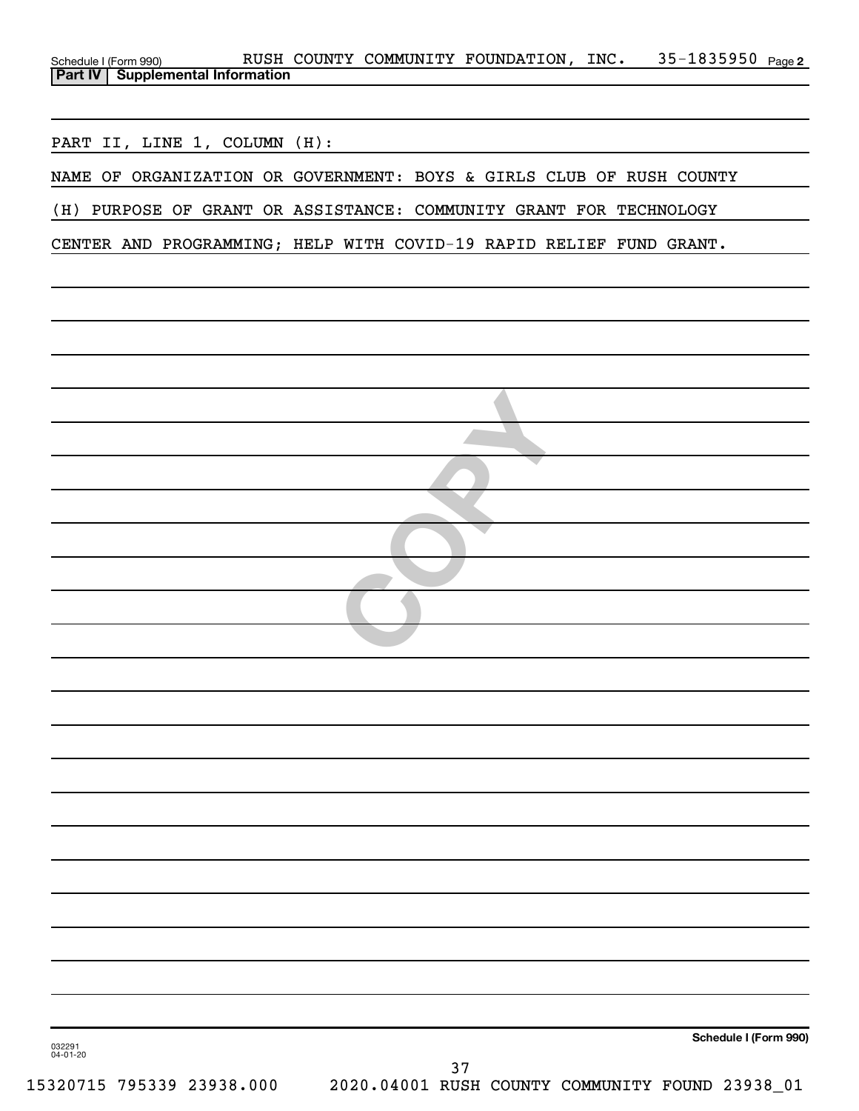| Schedule I (Form 990) RUSH COUNTY COMMUNITY FOUNDATION, INC. 35-1835950 Page 2<br>Part IV Supplemental Information                                    |
|-------------------------------------------------------------------------------------------------------------------------------------------------------|
|                                                                                                                                                       |
|                                                                                                                                                       |
| PART II, LINE 1, COLUMN (H):<br><u> 1989 - Johann Harry Barn, mars and de Branch and de Branch and de Branch and de Branch and de Branch and de B</u> |
| NAME OF ORGANIZATION OR GOVERNMENT: BOYS & GIRLS CLUB OF RUSH COUNTY                                                                                  |
| (H) PURPOSE OF GRANT OR ASSISTANCE: COMMUNITY GRANT FOR TECHNOLOGY                                                                                    |
| CENTER AND PROGRAMMING; HELP WITH COVID-19 RAPID RELIEF FUND GRANT.                                                                                   |
|                                                                                                                                                       |
|                                                                                                                                                       |
|                                                                                                                                                       |
|                                                                                                                                                       |
|                                                                                                                                                       |
|                                                                                                                                                       |
|                                                                                                                                                       |
|                                                                                                                                                       |
|                                                                                                                                                       |
|                                                                                                                                                       |
|                                                                                                                                                       |
|                                                                                                                                                       |
|                                                                                                                                                       |
|                                                                                                                                                       |
|                                                                                                                                                       |
|                                                                                                                                                       |
|                                                                                                                                                       |
|                                                                                                                                                       |
|                                                                                                                                                       |
|                                                                                                                                                       |
|                                                                                                                                                       |
|                                                                                                                                                       |
|                                                                                                                                                       |
|                                                                                                                                                       |
|                                                                                                                                                       |
| Schedule I (Form 990)                                                                                                                                 |
| 032291<br>04-01-20<br>37<br>ESSATIE TAESSA SSASA AAA<br>2020 01/001 DIIGH COUNTER COMMITER ROUND 22020 01                                             |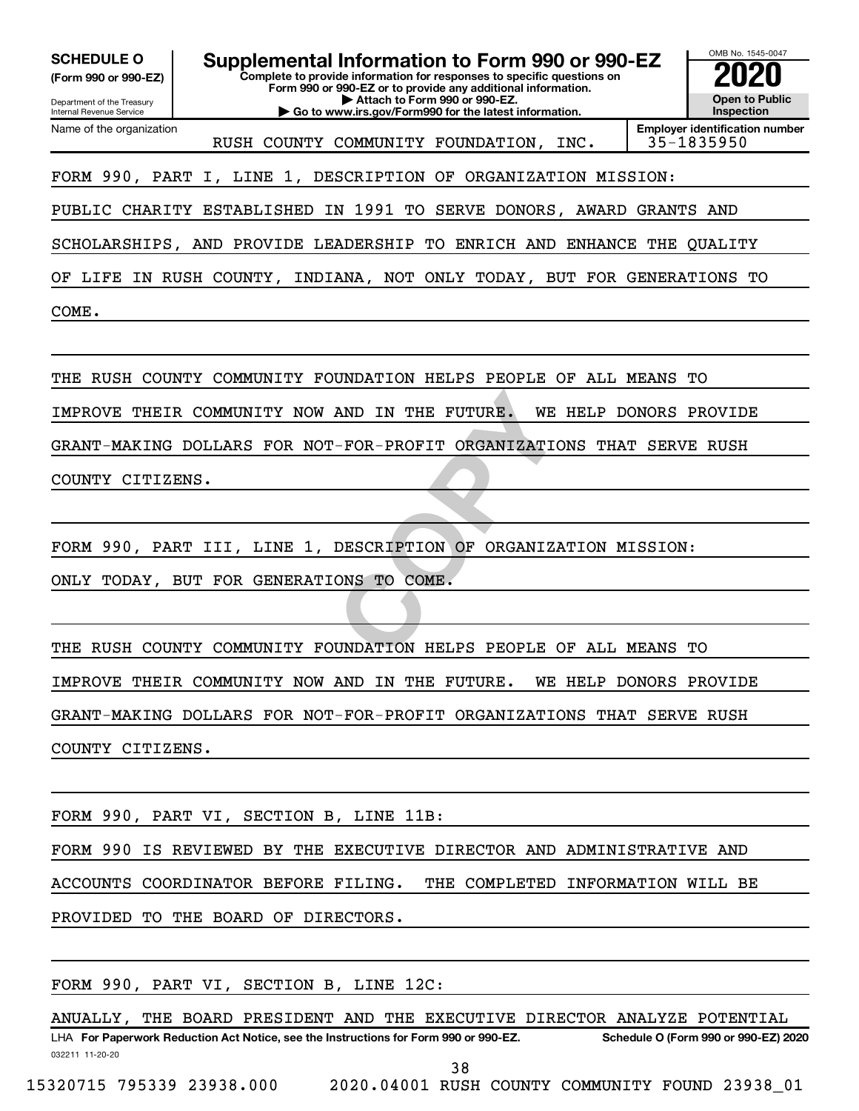**(Form 990 or 990-EZ)**

Department of the Treasury Internal Revenue Service Name of the organization

**Complete to provide information for responses to specific questions on Form 990 or 990-EZ or to provide any additional information. | Attach to Form 990 or 990-EZ. | Go to www.irs.gov/Form990 for the latest information. SCHEDULE O Supplemental Information to Form 990 or 990-EZ 2020**<br>(Form 990 or 990-EZ) Complete to provide information for responses to specific questions on



RUSH COUNTY COMMUNITY FOUNDATION, INC. | 35-1835950

FORM 990, PART I, LINE 1, DESCRIPTION OF ORGANIZATION MISSION:

PUBLIC CHARITY ESTABLISHED IN 1991 TO SERVE DONORS, AWARD GRANTS AND

SCHOLARSHIPS, AND PROVIDE LEADERSHIP TO ENRICH AND ENHANCE THE QUALITY

OF LIFE IN RUSH COUNTY, INDIANA, NOT ONLY TODAY, BUT FOR GENERATIONS TO

COME.

THE RUSH COUNTY COMMUNITY FOUNDATION HELPS PEOPLE OF ALL MEANS TO

IMPROVE THEIR COMMUNITY NOW AND IN THE FUTURE. WE HELP DONORS PROVIDE

GRANT-MAKING DOLLARS FOR NOT-FOR-PROFIT ORGANIZATIONS THAT SERVE RUSH

COUNTY CITIZENS.

FORM 990, PART III, LINE 1, DESCRIPTION OF ORGANIZATION MISSION:

ONLY TODAY, BUT FOR GENERATIONS TO COME.

AND IN THE FUTURE. WE HELP<br>
-FOR-PROFIT ORGANIZATIONS T<br>
DESCRIPTION OF ORGANIZATION<br>
ONS TO COME.<br>
UNDATION HELPS PEOPLE OF AL THE RUSH COUNTY COMMUNITY FOUNDATION HELPS PEOPLE OF ALL MEANS TO IMPROVE THEIR COMMUNITY NOW AND IN THE FUTURE. WE HELP DONORS PROVIDE GRANT-MAKING DOLLARS FOR NOT-FOR-PROFIT ORGANIZATIONS THAT SERVE RUSH COUNTY CITIZENS.

FORM 990, PART VI, SECTION B, LINE 11B:

FORM 990 IS REVIEWED BY THE EXECUTIVE DIRECTOR AND ADMINISTRATIVE AND

ACCOUNTS COORDINATOR BEFORE FILING. THE COMPLETED INFORMATION WILL BE

PROVIDED TO THE BOARD OF DIRECTORS.

FORM 990, PART VI, SECTION B, LINE 12C:

032211 11-20-20 **For Paperwork Reduction Act Notice, see the Instructions for Form 990 or 990-EZ. Schedule O (Form 990 or 990-EZ) 2020** LHA ANUALLY, THE BOARD PRESIDENT AND THE EXECUTIVE DIRECTOR ANALYZE POTENTIAL

38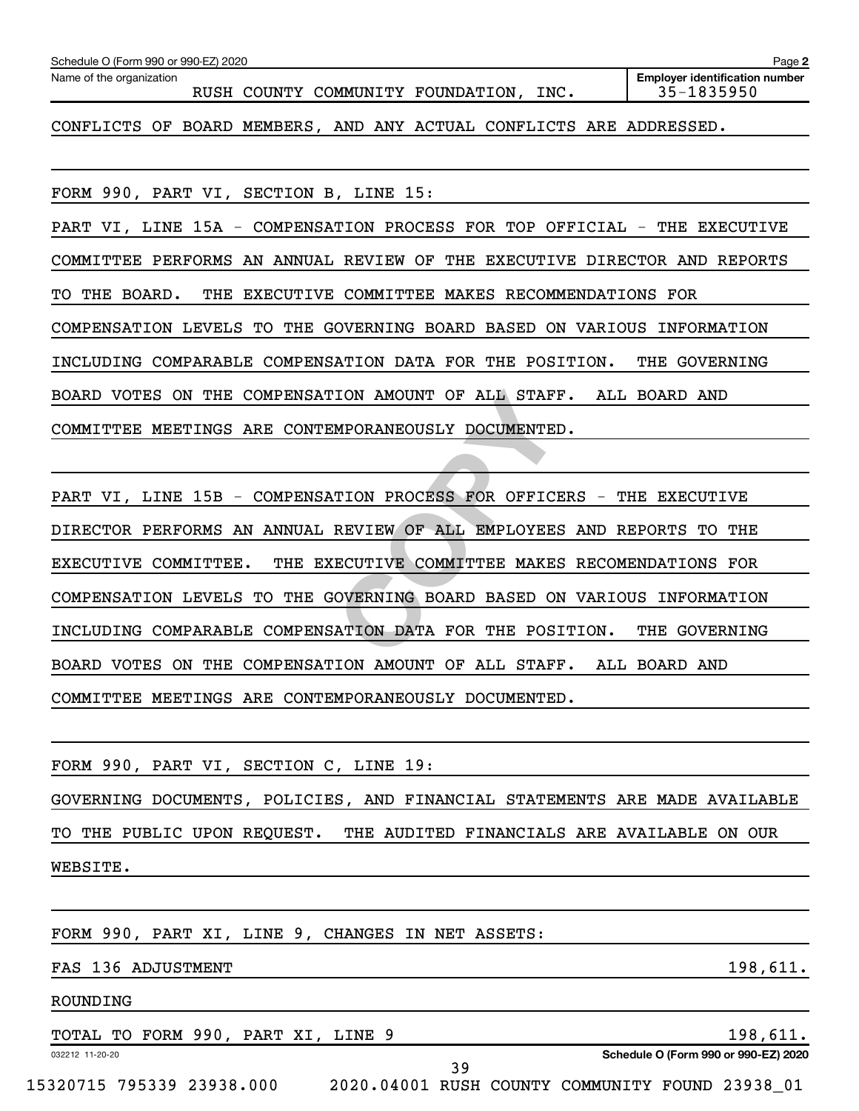| Schedule O (Form 990 or 990-EZ) 2020                                      | Page 2                                              |  |  |  |
|---------------------------------------------------------------------------|-----------------------------------------------------|--|--|--|
| Name of the organization<br>RUSH COUNTY COMMUNITY FOUNDATION, INC.        | <b>Employer identification number</b><br>35-1835950 |  |  |  |
| CONFLICTS OF BOARD MEMBERS, AND ANY ACTUAL CONFLICTS ARE ADDRESSED.       |                                                     |  |  |  |
|                                                                           |                                                     |  |  |  |
| FORM 990, PART VI, SECTION B, LINE 15:                                    |                                                     |  |  |  |
| PART VI, LINE 15A - COMPENSATION PROCESS FOR TOP OFFICIAL - THE EXECUTIVE |                                                     |  |  |  |
| COMMITTEE PERFORMS AN ANNUAL REVIEW OF THE EXECUTIVE DIRECTOR AND REPORTS |                                                     |  |  |  |
| TO THE BOARD.<br>THE EXECUTIVE COMMITTEE MAKES RECOMMENDATIONS FOR        |                                                     |  |  |  |
| COMPENSATION LEVELS TO THE GOVERNING BOARD BASED ON VARIOUS INFORMATION   |                                                     |  |  |  |
| INCLUDING COMPARABLE COMPENSATION DATA FOR THE POSITION.                  | THE GOVERNING                                       |  |  |  |
| BOARD VOTES ON THE COMPENSATION AMOUNT OF ALL STAFF. ALL BOARD AND        |                                                     |  |  |  |
| COMMITTEE MEETINGS ARE CONTEMPORANEOUSLY DOCUMENTED.                      |                                                     |  |  |  |
|                                                                           |                                                     |  |  |  |
| PART VI, LINE 15B - COMPENSATION PROCESS FOR OFFICERS - THE EXECUTIVE     |                                                     |  |  |  |
| DIRECTOR PERFORMS AN ANNUAL REVIEW OF ALL EMPLOYEES AND REPORTS TO THE    |                                                     |  |  |  |
| THE EXECUTIVE COMMITTEE MAKES RECOMENDATIONS FOR<br>EXECUTIVE COMMITTEE.  |                                                     |  |  |  |
| COMPENSATION LEVELS TO THE GOVERNING BOARD BASED ON VARIOUS INFORMATION   |                                                     |  |  |  |
| INCLUDING COMPARABLE COMPENSATION DATA FOR THE POSITION.                  | THE GOVERNING                                       |  |  |  |
| BOARD VOTES ON THE COMPENSATION AMOUNT OF ALL STAFF. ALL BOARD AND        |                                                     |  |  |  |
| COMMITTEE MEETINGS ARE CONTEMPORANEOUSLY DOCUMENTED.                      |                                                     |  |  |  |
|                                                                           |                                                     |  |  |  |
| FORM 990, PART VI, SECTION C, LINE 19:                                    |                                                     |  |  |  |

GOVERNING DOCUMENTS, POLICIES, AND FINANCIAL STATEMENTS ARE MADE AVAILABLE TO THE PUBLIC UPON REQUEST. THE AUDITED FINANCIALS ARE AVAILABLE ON OUR WEBSITE.

FORM 990, PART XI, LINE 9, CHANGES IN NET ASSETS:

FAS 136 ADJUSTMENT 198,611.

ROUNDING

032212 11-20-20

TOTAL TO FORM 990, PART XI, LINE 9 198,611.

**Schedule O (Form 990 or 990-EZ) 2020**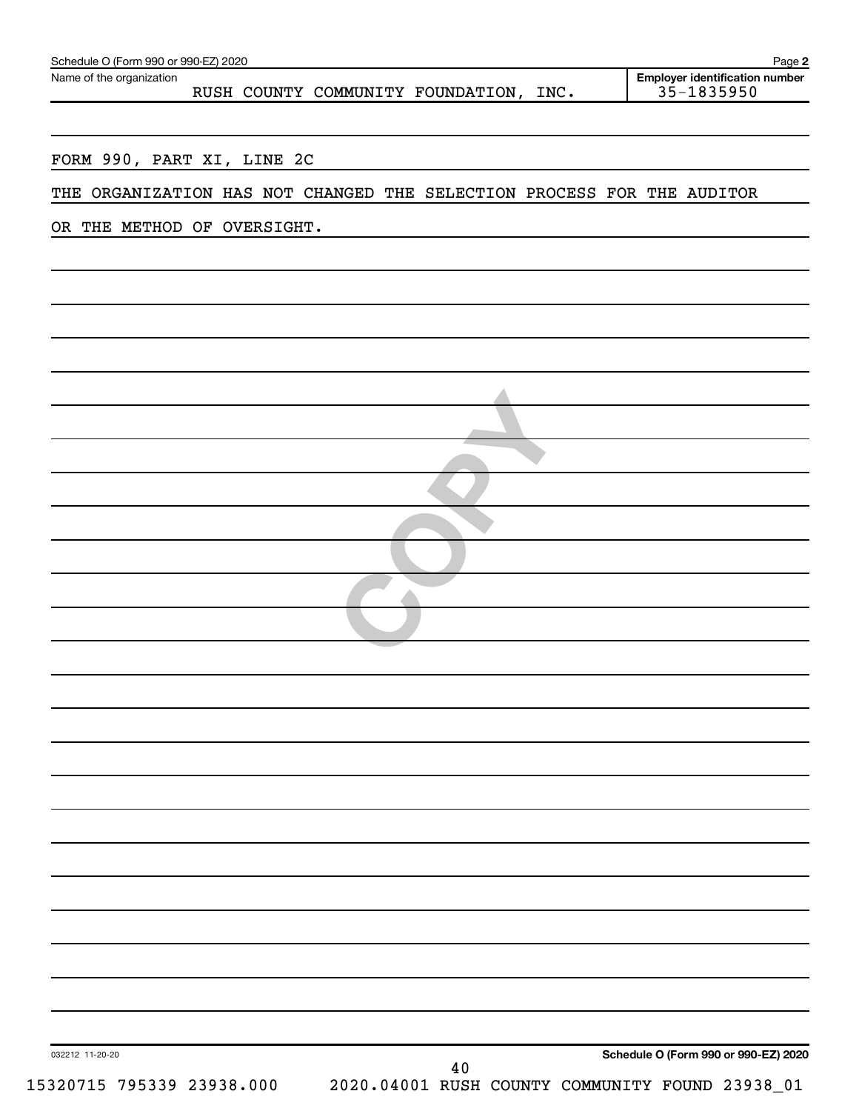|                                                                        | Page 2                                              |
|------------------------------------------------------------------------|-----------------------------------------------------|
| Name of the organization<br>RUSH COUNTY COMMUNITY FOUNDATION, INC.     | <b>Employer identification number</b><br>35-1835950 |
|                                                                        |                                                     |
| FORM 990, PART XI, LINE 2C                                             |                                                     |
| THE ORGANIZATION HAS NOT CHANGED THE SELECTION PROCESS FOR THE AUDITOR |                                                     |
| OR THE METHOD OF OVERSIGHT.                                            |                                                     |
|                                                                        |                                                     |
|                                                                        |                                                     |
|                                                                        |                                                     |
|                                                                        |                                                     |
|                                                                        |                                                     |
|                                                                        |                                                     |
|                                                                        |                                                     |
|                                                                        |                                                     |
|                                                                        |                                                     |
|                                                                        |                                                     |
|                                                                        |                                                     |
|                                                                        |                                                     |
|                                                                        |                                                     |
|                                                                        |                                                     |
|                                                                        |                                                     |
|                                                                        |                                                     |
|                                                                        |                                                     |
|                                                                        |                                                     |
|                                                                        |                                                     |
|                                                                        |                                                     |
|                                                                        |                                                     |
|                                                                        |                                                     |
|                                                                        |                                                     |
|                                                                        |                                                     |
|                                                                        |                                                     |
|                                                                        |                                                     |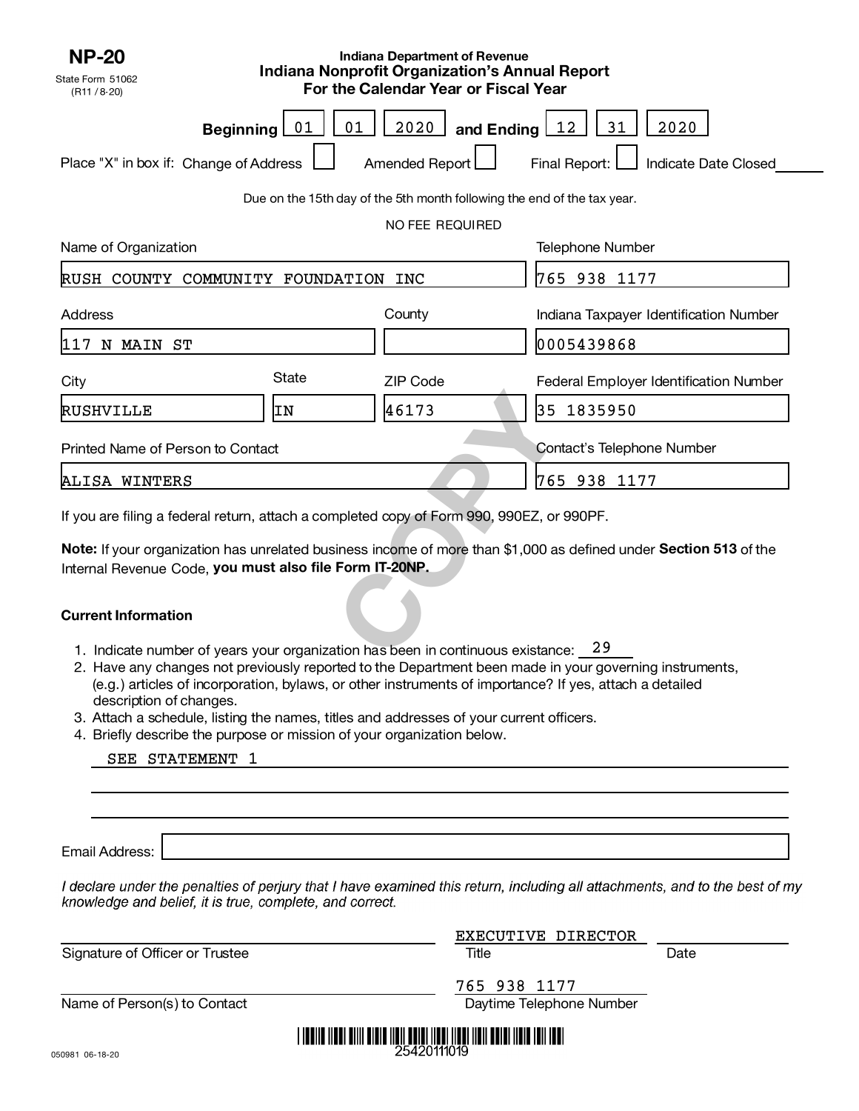| <b>NP-20</b><br>State Form 51062<br>(R11 / 8-20)                                          |          | <b>Indiana Department of Revenue</b><br><b>Indiana Nonprofit Organization's Annual Report</b><br>For the Calendar Year or Fiscal Year |                                                                                                                   |
|-------------------------------------------------------------------------------------------|----------|---------------------------------------------------------------------------------------------------------------------------------------|-------------------------------------------------------------------------------------------------------------------|
| <b>Beginning</b><br>Place "X" in box if: Change of Address                                | 01<br>01 | 2020<br>and Ending $12$<br>Amended Report                                                                                             | 2020<br>31<br>Final Report:<br>Indicate Date Closed                                                               |
|                                                                                           |          | Due on the 15th day of the 5th month following the end of the tax year.                                                               |                                                                                                                   |
|                                                                                           |          | NO FEE REQUIRED                                                                                                                       |                                                                                                                   |
| Name of Organization                                                                      |          |                                                                                                                                       | <b>Telephone Number</b>                                                                                           |
| RUSH COUNTY COMMUNITY FOUNDATION INC                                                      |          |                                                                                                                                       | 765 938 1177                                                                                                      |
| Address                                                                                   |          | County                                                                                                                                | Indiana Taxpayer Identification Number                                                                            |
| 117 N MAIN ST                                                                             |          |                                                                                                                                       | 0005439868                                                                                                        |
| City                                                                                      | State    | <b>ZIP Code</b>                                                                                                                       | Federal Employer Identification Number                                                                            |
| RUSHVILLE                                                                                 | ΙN       | 46173                                                                                                                                 | 35 1835950                                                                                                        |
| Printed Name of Person to Contact                                                         |          |                                                                                                                                       | Contact's Telephone Number                                                                                        |
| ALISA WINTERS                                                                             |          |                                                                                                                                       | 765 938 1177                                                                                                      |
| If you are filing a federal return, attach a completed copy of Form 990, 990EZ, or 990PF. |          |                                                                                                                                       |                                                                                                                   |
| Internal Revenue Code, you must also file Form IT-20NP.                                   |          |                                                                                                                                       | Note: If your organization has unrelated business income of more than \$1,000 as defined under Section 513 of the |
| <b>Current Information</b>                                                                |          |                                                                                                                                       |                                                                                                                   |
| 1. Indicate number of years your organization has been in continuous existance: 29        |          |                                                                                                                                       |                                                                                                                   |

## **Current Information**

- 1. Indicate number of years your organization has been in continuous existance: 29
- 2. Have any changes not previously reported to the Department been made in your governing instruments, (e.g.) articles of incorporation, bylaws, or other instruments of importance? If yes, attach a detailed description of changes.
- 3. Attach a schedule, listing the names, titles and addresses of your current officers.
- 4. Briefly describe the purpose or mission of your organization below.

| SEE STATEMENT |  |
|---------------|--|
|---------------|--|

Email Address:

I declare under the penalties of perjury that I have examined this return, including all attachments, and to the best of my knowledge and belief, it is true, complete, and correct.

| EXECUTIVE DIRECTOR       |             |
|--------------------------|-------------|
| Title                    | Date        |
| 765 938 1177             |             |
| Daytime Telephone Number |             |
|                          |             |
|                          | 25420111019 |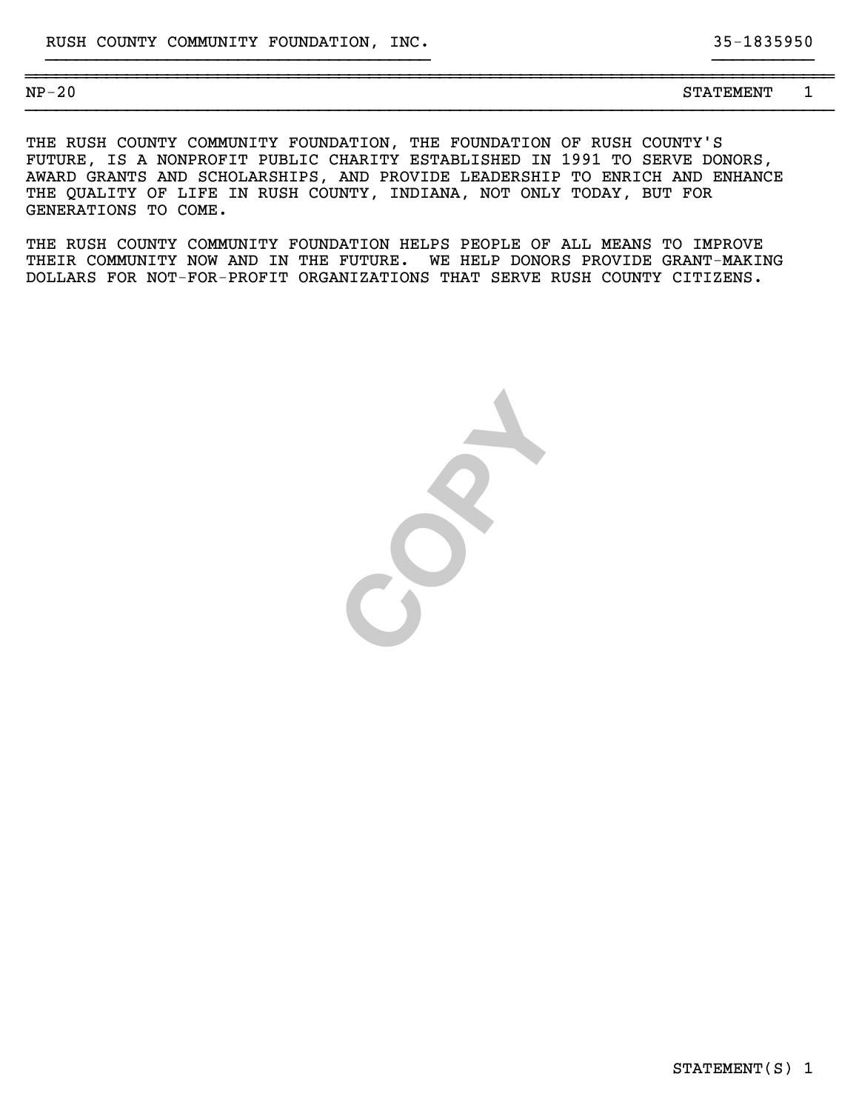STATEMENT(S) 1

| $\sim$<br><b>ND</b><br>20 U<br>---<br>$\overline{\phantom{0}}$ | ` TEMENT<br>.<br>_________ |  |
|----------------------------------------------------------------|----------------------------|--|

}}}}}}}}}}}}}}}}}}}}}}}}}}}}}}}}}}}}}}}}}}}}}}}}}}}}}}}}}}}}}}}}}}}}}}}}}}}}}}}}

THE RUSH COUNTY COMMUNITY FOUNDATION, THE FOUNDATION OF RUSH COUNTY'S FUTURE, IS A NONPROFIT PUBLIC CHARITY ESTABLISHED IN 1991 TO SERVE DONORS, AWARD GRANTS AND SCHOLARSHIPS, AND PROVIDE LEADERSHIP TO ENRICH AND ENHANCE THE QUALITY OF LIFE IN RUSH COUNTY, INDIANA, NOT ONLY TODAY, BUT FOR GENERATIONS TO COME.

}}}}}}}}}}}}}}}}}}}}}}}}}}}}}}}}}}}}}} }}}}}}}}}}

THE RUSH COUNTY COMMUNITY FOUNDATION HELPS PEOPLE OF ALL MEANS TO IMPROVE THEIR COMMUNITY NOW AND IN THE FUTURE. WE HELP DONORS PROVIDE GRANT-MAKING DOLLARS FOR NOT-FOR-PROFIT ORGANIZATIONS THAT SERVE RUSH COUNTY CITIZENS.

**COPY**

STATEMENT 1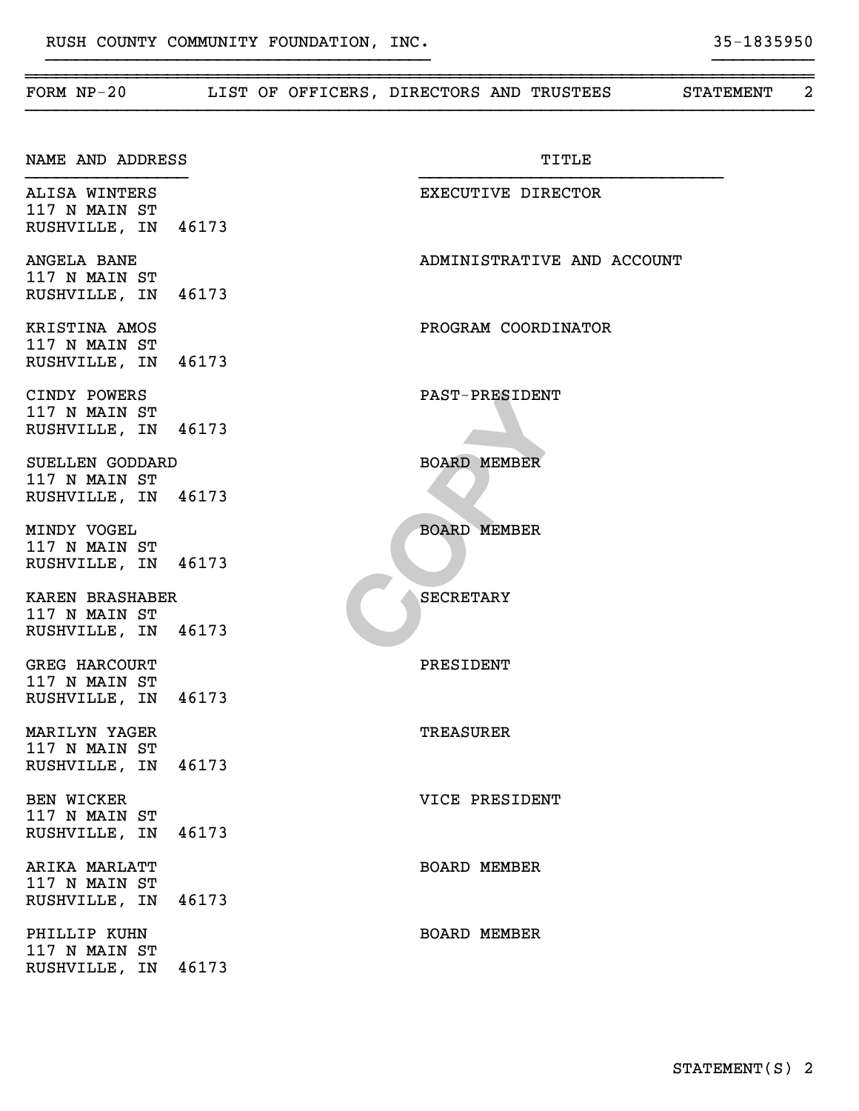| FORM $NP-20$                                              |       | LIST OF OFFICERS, DIRECTORS AND TRUSTEES<br><b>STATEMENT</b> | 2 |
|-----------------------------------------------------------|-------|--------------------------------------------------------------|---|
| NAME AND ADDRESS                                          |       | <b>TITLE</b>                                                 |   |
| ALISA WINTERS<br>117 N MAIN ST<br>RUSHVILLE, IN 46173     |       | EXECUTIVE DIRECTOR                                           |   |
| ANGELA BANE<br>117 N MAIN ST<br>RUSHVILLE, IN 46173       |       | ADMINISTRATIVE AND ACCOUNT                                   |   |
| KRISTINA AMOS<br>117 N MAIN ST<br>RUSHVILLE, IN 46173     |       | PROGRAM COORDINATOR                                          |   |
| CINDY POWERS<br>117 N MAIN ST<br>RUSHVILLE, IN 46173      |       | <b>PAST-PRESIDENT</b>                                        |   |
| SUELLEN GODDARD<br>117 N MAIN ST<br>RUSHVILLE, IN 46173   |       | <b>BOARD MEMBER</b>                                          |   |
| MINDY VOGEL<br>117 N MAIN ST<br>RUSHVILLE, IN 46173       |       | <b>BOARD MEMBER</b>                                          |   |
| KAREN BRASHABER<br>117 N MAIN ST<br>RUSHVILLE, IN 46173   |       | <b>SECRETARY</b>                                             |   |
| <b>GREG HARCOURT</b><br>117 N MAIN ST<br>RUSHVILLE, IN    | 46173 | PRESIDENT                                                    |   |
| MARILYN YAGER<br>117 N MAIN ST<br>RUSHVILLE, IN 46173     |       | <b>TREASURER</b>                                             |   |
| <b>BEN WICKER</b><br>117 N MAIN ST<br>RUSHVILLE, IN 46173 |       | VICE PRESIDENT                                               |   |
| ARIKA MARLATT<br>117 N MAIN ST<br>RUSHVILLE, IN 46173     |       | <b>BOARD MEMBER</b>                                          |   |
| PHILLIP KUHN<br>117 N MAIN ST<br>RUSHVILLE, IN 46173      |       | <b>BOARD MEMBER</b>                                          |   |

~~~~~~~~~~~~~~~~~~~~~~~~~~~~~~~~~~~~~~~~~~~~~~~~~~~~~~~~~~~~~~~~~~~~~~~~~~~~~~